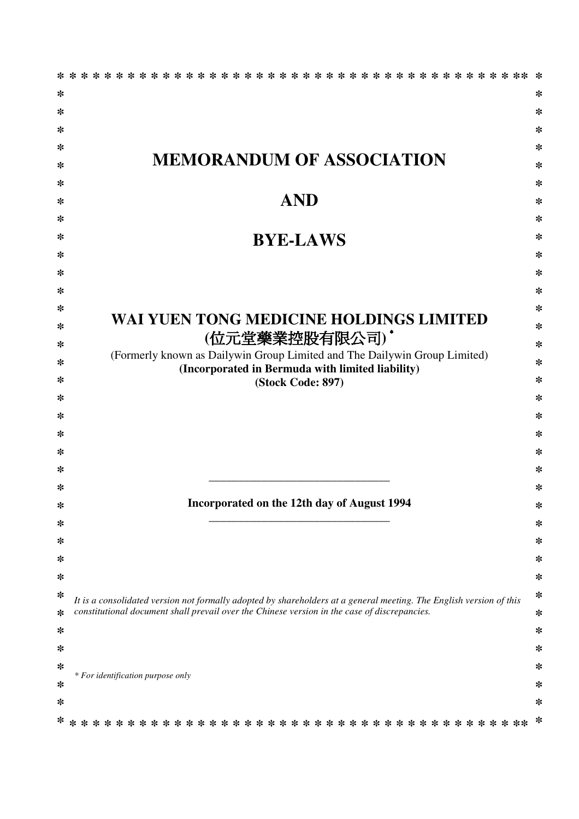|   | $* * *$<br>* * * * *<br>* * * * *<br>* * * * *<br>* * *                                                                                                                                                             | ∗      |
|---|---------------------------------------------------------------------------------------------------------------------------------------------------------------------------------------------------------------------|--------|
| * |                                                                                                                                                                                                                     | ∗      |
| * |                                                                                                                                                                                                                     | ∗      |
| ∗ |                                                                                                                                                                                                                     | ∗      |
| ∗ |                                                                                                                                                                                                                     | $\ast$ |
| ∗ | <b>MEMORANDUM OF ASSOCIATION</b>                                                                                                                                                                                    | $\ast$ |
| ∗ |                                                                                                                                                                                                                     | $\ast$ |
| ∗ | <b>AND</b>                                                                                                                                                                                                          | ∗      |
| ∗ |                                                                                                                                                                                                                     | ∗      |
| ∗ | <b>BYE-LAWS</b>                                                                                                                                                                                                     | ∗      |
| ∗ |                                                                                                                                                                                                                     | ∗      |
| ∗ |                                                                                                                                                                                                                     | ∗      |
| ∗ |                                                                                                                                                                                                                     | ∗      |
| ∗ |                                                                                                                                                                                                                     | ∗      |
| ∗ | WAI YUEN TONG MEDICINE HOLDINGS LIMITED                                                                                                                                                                             | ∗      |
| ∗ | (位元堂藥業控股有限公司)*                                                                                                                                                                                                      | $\ast$ |
| ∗ | (Formerly known as Dailywin Group Limited and The Dailywin Group Limited)                                                                                                                                           | ∗      |
| ∗ | (Incorporated in Bermuda with limited liability)<br>(Stock Code: 897)                                                                                                                                               | $\ast$ |
| ∗ |                                                                                                                                                                                                                     | ∗      |
| ∗ |                                                                                                                                                                                                                     | $\ast$ |
| ∗ |                                                                                                                                                                                                                     | ∗      |
| ∗ |                                                                                                                                                                                                                     | ∗      |
| ∗ |                                                                                                                                                                                                                     | ∗      |
| ∗ |                                                                                                                                                                                                                     | ∗      |
| ∗ | Incorporated on the 12th day of August 1994                                                                                                                                                                         | ∗      |
| ∗ |                                                                                                                                                                                                                     | ∗      |
| ∗ |                                                                                                                                                                                                                     | ∗      |
| ∗ |                                                                                                                                                                                                                     | ∗      |
| ∗ |                                                                                                                                                                                                                     | ∗      |
| ∗ |                                                                                                                                                                                                                     | ∗      |
| ∗ | It is a consolidated version not formally adopted by shareholders at a general meeting. The English version of this<br>constitutional document shall prevail over the Chinese version in the case of discrepancies. | ∗      |
| ∗ |                                                                                                                                                                                                                     | ∗      |
| ∗ |                                                                                                                                                                                                                     | ∗      |
| ∗ |                                                                                                                                                                                                                     | ∗      |
| ∗ | * For identification purpose only                                                                                                                                                                                   | ∗      |
| ∗ |                                                                                                                                                                                                                     | ∗      |
| ∗ |                                                                                                                                                                                                                     |        |
|   |                                                                                                                                                                                                                     |        |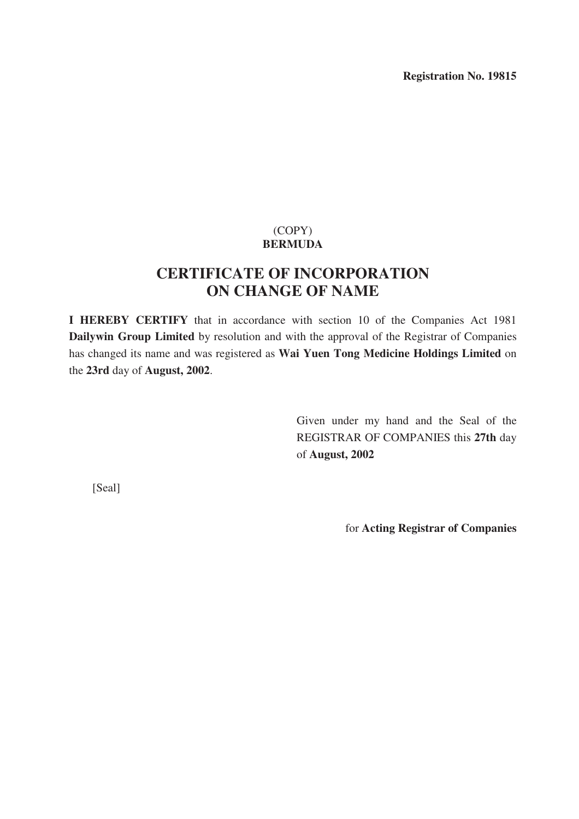**Registration No. 19815** 

## (COPY) **BERMUDA**

# **CERTIFICATE OF INCORPORATION ON CHANGE OF NAME**

**I HEREBY CERTIFY** that in accordance with section 10 of the Companies Act 1981 **Dailywin Group Limited** by resolution and with the approval of the Registrar of Companies has changed its name and was registered as **Wai Yuen Tong Medicine Holdings Limited** on the **23rd** day of **August, 2002**.

> Given under my hand and the Seal of the REGISTRAR OF COMPANIES this **27th** day of **August, 2002**

[Seal]

for **Acting Registrar of Companies**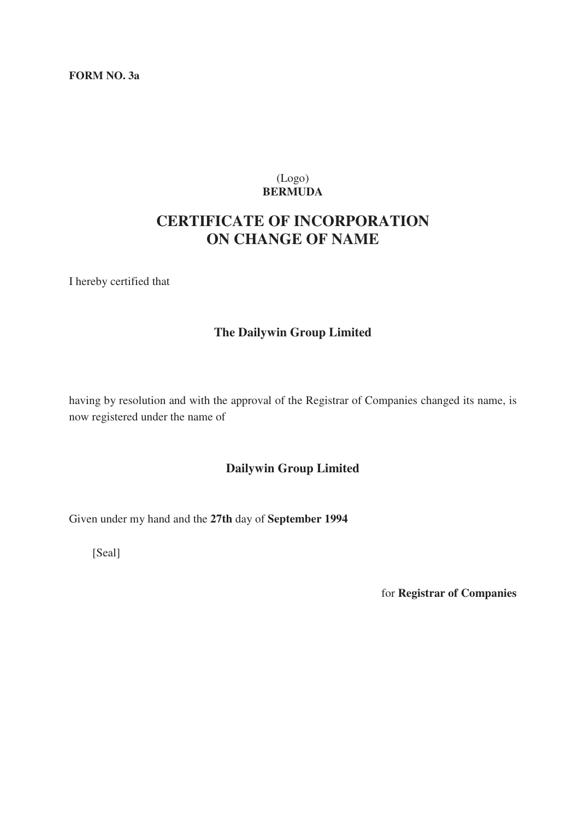#### **FORM NO. 3a**

## (Logo) **BERMUDA**

# **CERTIFICATE OF INCORPORATION ON CHANGE OF NAME**

I hereby certified that

## **The Dailywin Group Limited**

having by resolution and with the approval of the Registrar of Companies changed its name, is now registered under the name of

## **Dailywin Group Limited**

Given under my hand and the **27th** day of **September 1994** 

[Seal]

for **Registrar of Companies**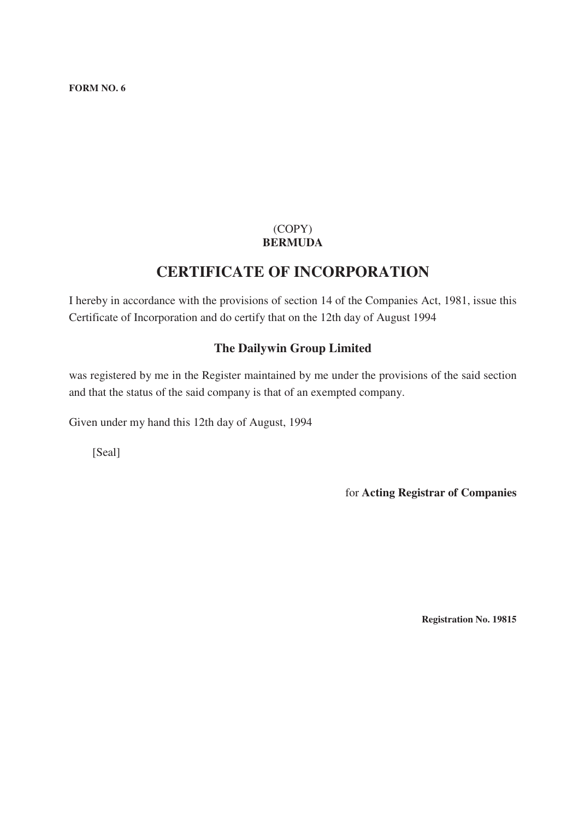**FORM NO. 6** 

## (COPY) **BERMUDA**

# **CERTIFICATE OF INCORPORATION**

I hereby in accordance with the provisions of section 14 of the Companies Act, 1981, issue this Certificate of Incorporation and do certify that on the 12th day of August 1994

## **The Dailywin Group Limited**

was registered by me in the Register maintained by me under the provisions of the said section and that the status of the said company is that of an exempted company.

Given under my hand this 12th day of August, 1994

[Seal]

for **Acting Registrar of Companies** 

**Registration No. 19815**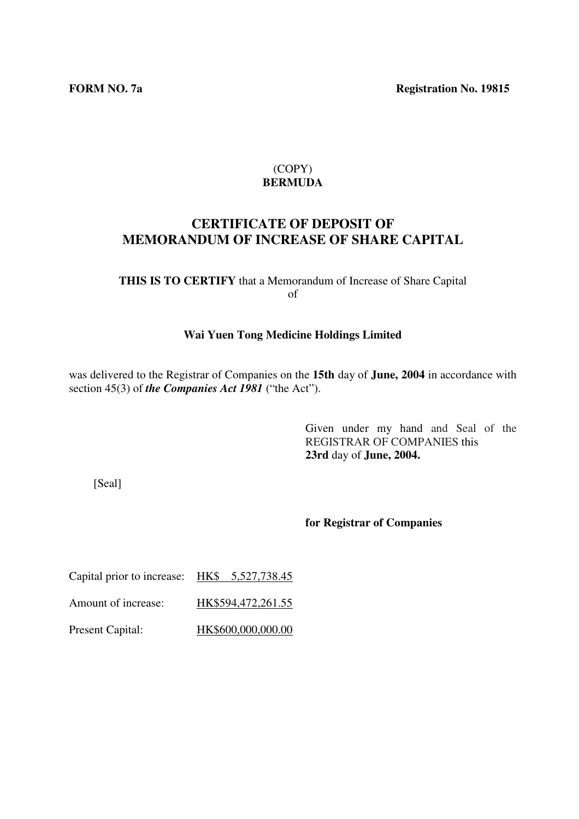## **CERTIFICATE OF DEPOSIT OF MEMORANDUM OF INCREASE OF SHARE CAPITAL**

## **THIS IS TO CERTIFY** that a Memorandum of Increase of Share Capital of

#### **Wai Yuen Tong Medicine Holdings Limited**

was delivered to the Registrar of Companies on the **15th** day of **June, 2004** in accordance with section 45(3) of *the Companies Act 1981* ("the Act").

> Given under my hand and Seal of the REGISTRAR OF COMPANIES this **23rd** day of **June, 2004.**

[Seal]

#### **for Registrar of Companies**

Capital prior to increase: HK\$ 5,527,738.45 Amount of increase: HK\$594,472,261.55 Present Capital: HK\$600,000,000.00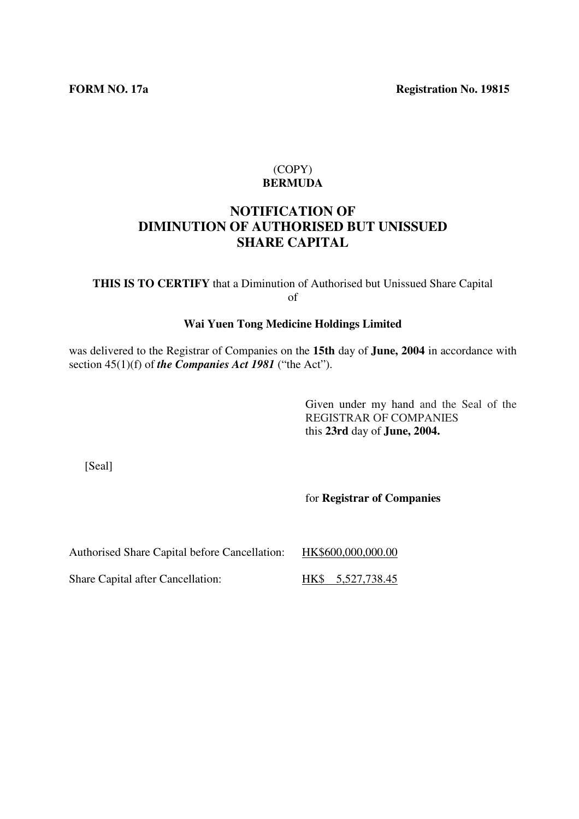## **NOTIFICATION OF DIMINUTION OF AUTHORISED BUT UNISSUED SHARE CAPITAL**

**THIS IS TO CERTIFY** that a Diminution of Authorised but Unissued Share Capital of

#### **Wai Yuen Tong Medicine Holdings Limited**

was delivered to the Registrar of Companies on the **15th** day of **June, 2004** in accordance with section 45(1)(f) of *the Companies Act 1981* ("the Act").

> Given under my hand and the Seal of the REGISTRAR OF COMPANIES this **23rd** day of **June, 2004.**

[Seal]

for **Registrar of Companies**

Authorised Share Capital before Cancellation: HK\$600,000,000.00

Share Capital after Cancellation: HK\$ 5,527,738.45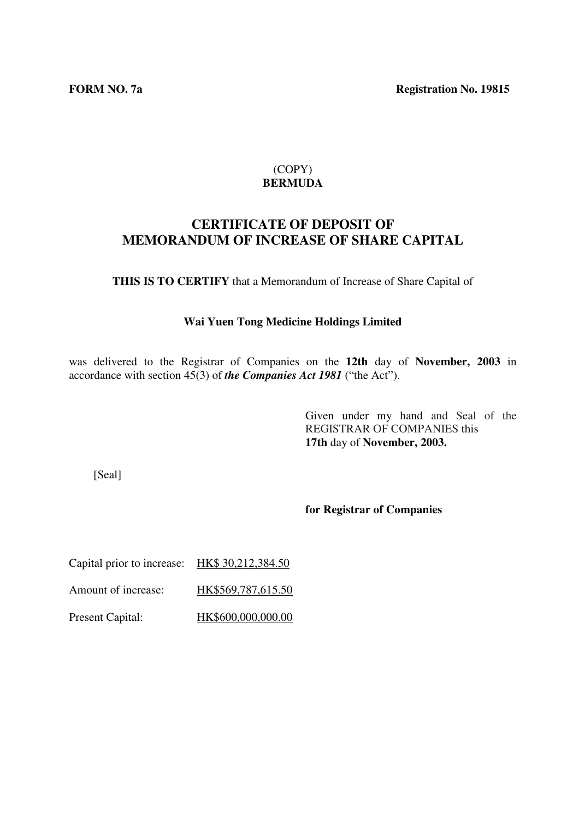## **CERTIFICATE OF DEPOSIT OF MEMORANDUM OF INCREASE OF SHARE CAPITAL**

**THIS IS TO CERTIFY** that a Memorandum of Increase of Share Capital of

#### **Wai Yuen Tong Medicine Holdings Limited**

was delivered to the Registrar of Companies on the **12th** day of **November, 2003** in accordance with section 45(3) of *the Companies Act 1981* ("the Act").

> Given under my hand and Seal of the REGISTRAR OF COMPANIES this **17th** day of **November, 2003.**

[Seal]

**for Registrar of Companies**

Capital prior to increase: HK\$ 30,212,384.50

Amount of increase: HK\$569,787,615.50

Present Capital: HK\$600,000,000.00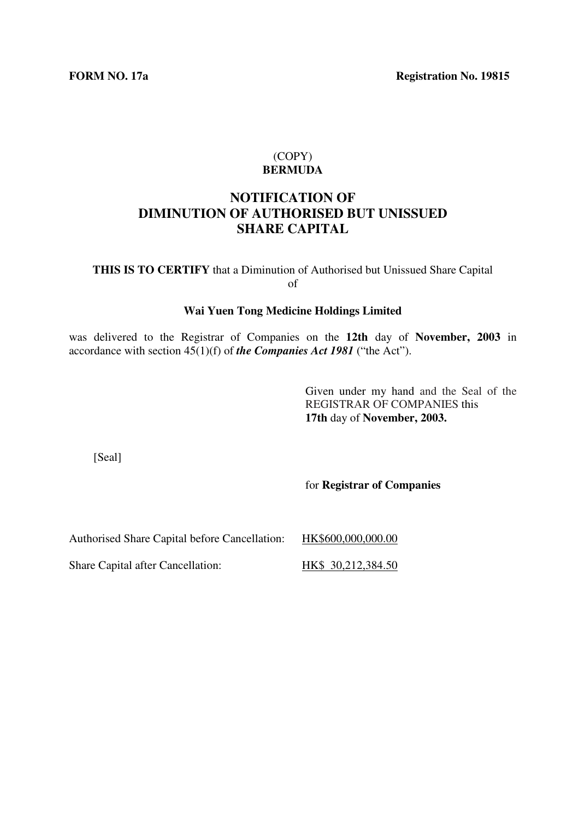## **NOTIFICATION OF DIMINUTION OF AUTHORISED BUT UNISSUED SHARE CAPITAL**

**THIS IS TO CERTIFY** that a Diminution of Authorised but Unissued Share Capital of

#### **Wai Yuen Tong Medicine Holdings Limited**

was delivered to the Registrar of Companies on the **12th** day of **November, 2003** in accordance with section 45(1)(f) of *the Companies Act 1981* ("the Act").

> Given under my hand and the Seal of the REGISTRAR OF COMPANIES this **17th** day of **November, 2003.**

[Seal]

for **Registrar of Companies**

Authorised Share Capital before Cancellation: HK\$600,000,000.00

Share Capital after Cancellation: HK\$ 30,212,384.50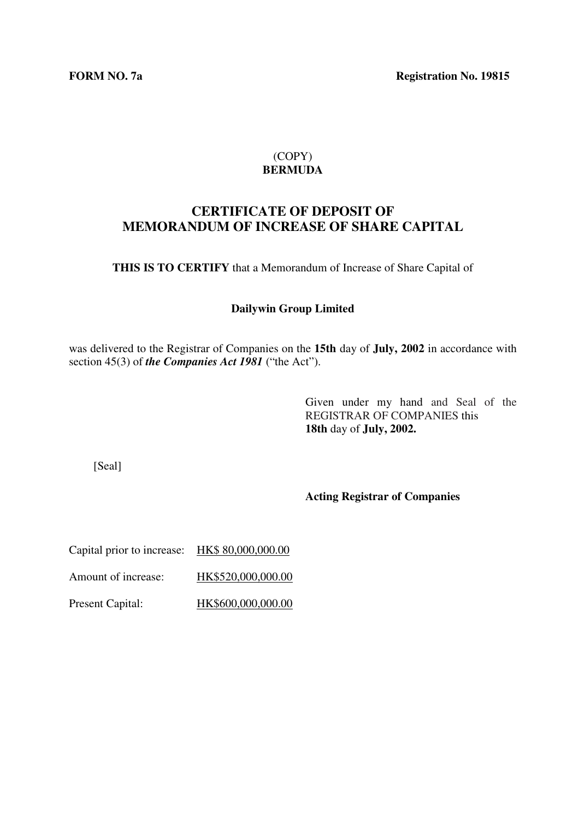**FORM NO. 7a** Registration No. 19815

## (COPY) **BERMUDA**

## **CERTIFICATE OF DEPOSIT OF MEMORANDUM OF INCREASE OF SHARE CAPITAL**

**THIS IS TO CERTIFY** that a Memorandum of Increase of Share Capital of

#### **Dailywin Group Limited**

was delivered to the Registrar of Companies on the **15th** day of **July, 2002** in accordance with section 45(3) of *the Companies Act 1981* ("the Act").

> Given under my hand and Seal of the REGISTRAR OF COMPANIES this **18th** day of **July, 2002.**

[Seal]

**Acting Registrar of Companies**

| Capital prior to increase: | HK\$80,000,000.00  |
|----------------------------|--------------------|
| Amount of increase:        | HK\$520,000,000.00 |
| <b>Present Capital:</b>    | HK\$600,000,000.00 |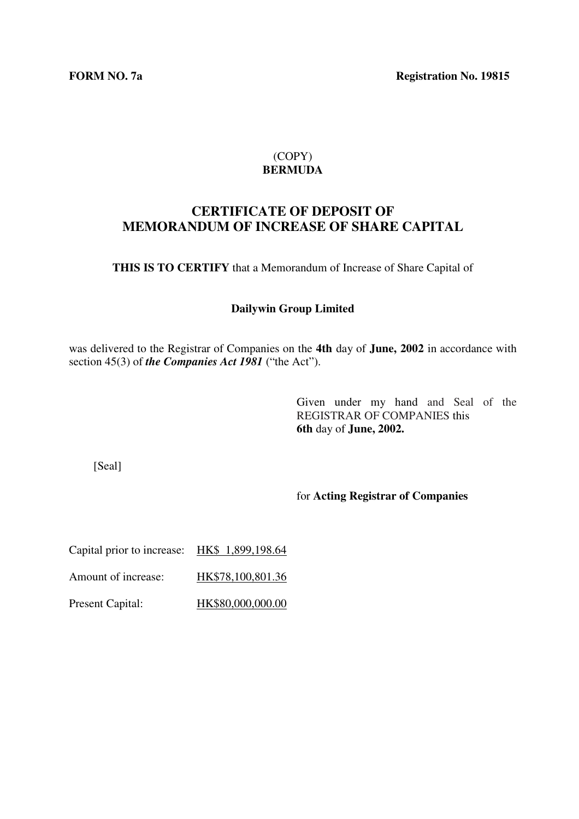**FORM NO. 7a** Registration No. 19815

## (COPY) **BERMUDA**

## **CERTIFICATE OF DEPOSIT OF MEMORANDUM OF INCREASE OF SHARE CAPITAL**

**THIS IS TO CERTIFY** that a Memorandum of Increase of Share Capital of

#### **Dailywin Group Limited**

was delivered to the Registrar of Companies on the **4th** day of **June, 2002** in accordance with section 45(3) of *the Companies Act 1981* ("the Act").

> Given under my hand and Seal of the REGISTRAR OF COMPANIES this **6th** day of **June, 2002.**

[Seal]

for **Acting Registrar of Companies**

| Capital prior to increase: | HK\$ 1,899,198.64 |
|----------------------------|-------------------|
| Amount of increase:        | HK\$78,100,801.36 |
| <b>Present Capital:</b>    | HK\$80,000,000.00 |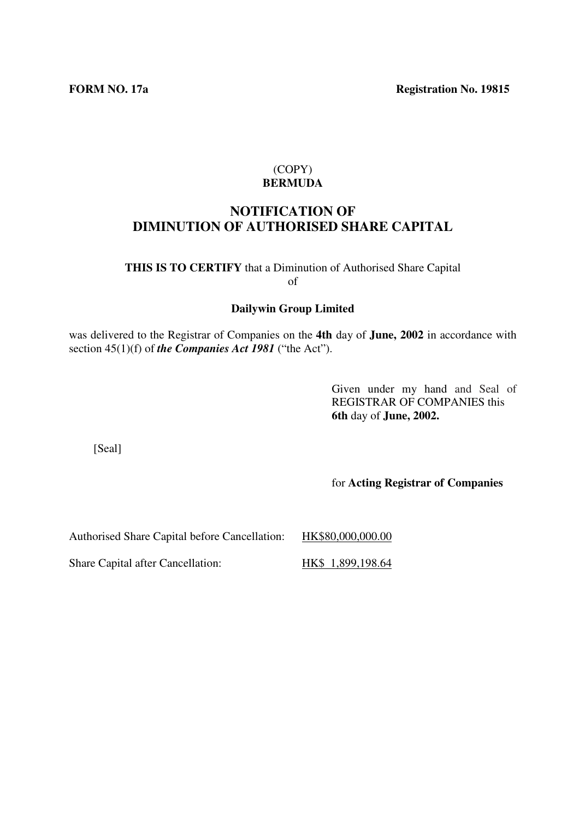## **NOTIFICATION OF DIMINUTION OF AUTHORISED SHARE CAPITAL**

**THIS IS TO CERTIFY** that a Diminution of Authorised Share Capital of

#### **Dailywin Group Limited**

was delivered to the Registrar of Companies on the **4th** day of **June, 2002** in accordance with section 45(1)(f) of *the Companies Act 1981* ("the Act").

> Given under my hand and Seal of REGISTRAR OF COMPANIES this **6th** day of **June, 2002.**

[Seal]

for **Acting Registrar of Companies**

Authorised Share Capital before Cancellation: HK\$80,000,000.00

Share Capital after Cancellation: HK\$ 1,899,198.64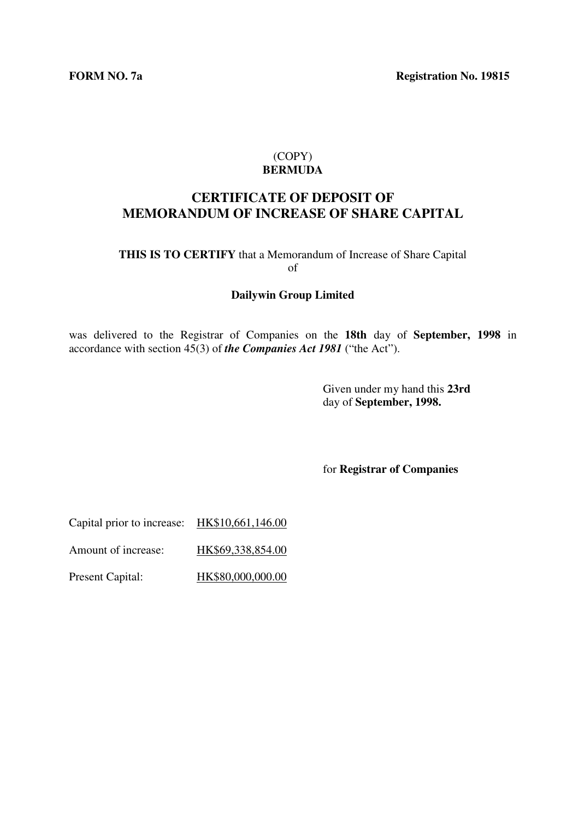**FORM NO. 7a** Registration No. 19815

## (COPY) **BERMUDA**

## **CERTIFICATE OF DEPOSIT OF MEMORANDUM OF INCREASE OF SHARE CAPITAL**

#### **THIS IS TO CERTIFY** that a Memorandum of Increase of Share Capital of

#### **Dailywin Group Limited**

was delivered to the Registrar of Companies on the **18th** day of **September, 1998** in accordance with section 45(3) of *the Companies Act 1981* ("the Act").

> Given under my hand this **23rd**  day of **September, 1998.**

for **Registrar of Companies**

| Capital prior to increase: | HK\$10,661,146.00 |
|----------------------------|-------------------|
|----------------------------|-------------------|

Amount of increase: HK\$69,338,854.00

Present Capital: HK\$80,000,000.00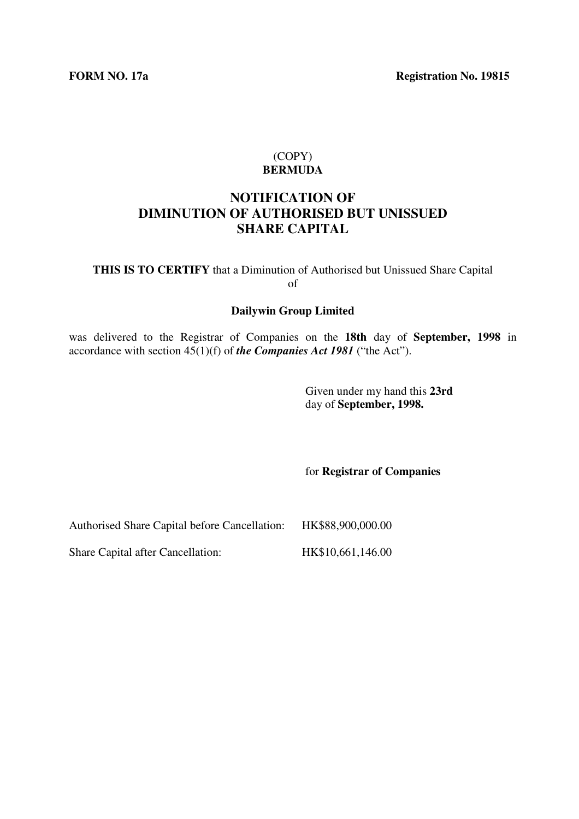**FORM NO. 17a** Registration No. 19815

#### (COPY) **BERMUDA**

## **NOTIFICATION OF DIMINUTION OF AUTHORISED BUT UNISSUED SHARE CAPITAL**

**THIS IS TO CERTIFY** that a Diminution of Authorised but Unissued Share Capital of

#### **Dailywin Group Limited**

was delivered to the Registrar of Companies on the **18th** day of **September, 1998** in accordance with section 45(1)(f) of *the Companies Act 1981* ("the Act").

> Given under my hand this **23rd**  day of **September, 1998.**

for **Registrar of Companies**

Authorised Share Capital before Cancellation: HK\$88,900,000.00

Share Capital after Cancellation: HK\$10,661,146.00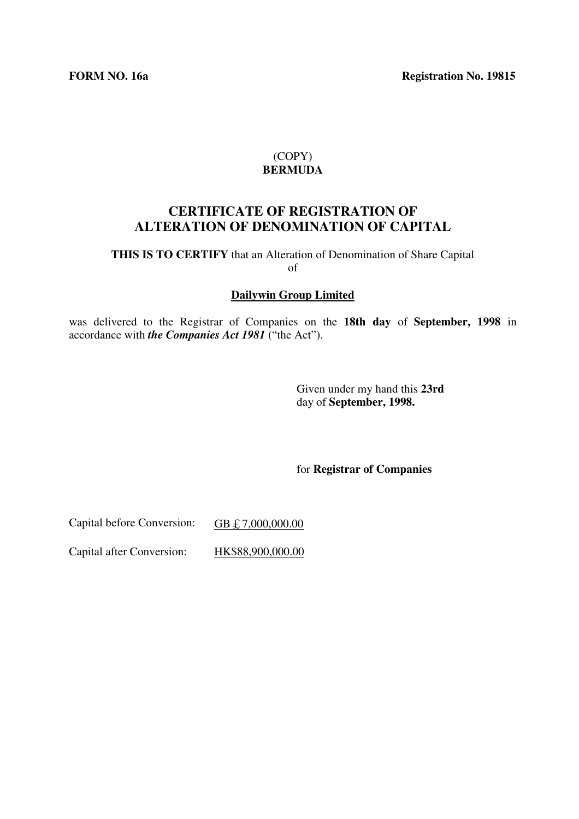## **CERTIFICATE OF REGISTRATION OF ALTERATION OF DENOMINATION OF CAPITAL**

**THIS IS TO CERTIFY** that an Alteration of Denomination of Share Capital of

#### **Dailywin Group Limited**

was delivered to the Registrar of Companies on the **18th day** of **September, 1998** in accordance with *the Companies Act 1981* ("the Act").

> Given under my hand this **23rd**  day of **September, 1998.**

for **Registrar of Companies**

Capital before Conversion: GB £ 7,000,000.00

Capital after Conversion: HK\$88,900,000.00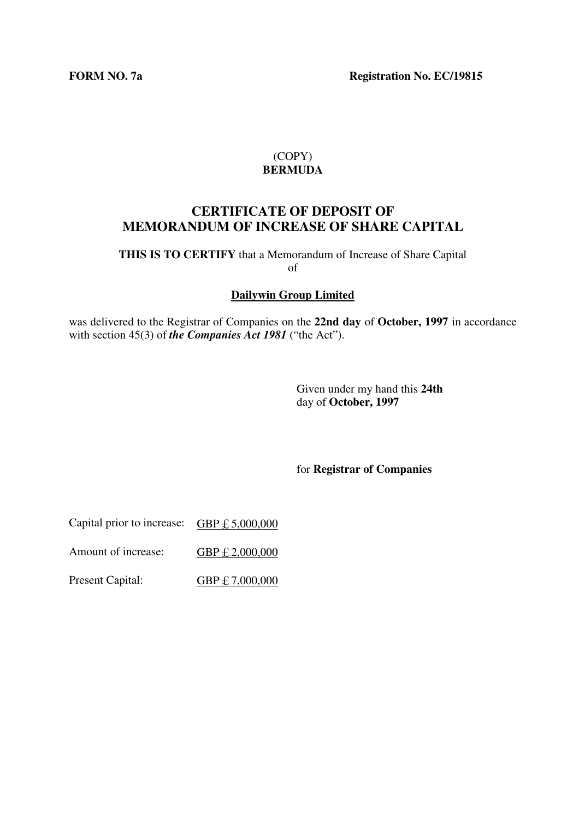**FORM NO. 7a** Registration No. EC/19815

### (COPY) **BERMUDA**

## **CERTIFICATE OF DEPOSIT OF MEMORANDUM OF INCREASE OF SHARE CAPITAL**

**THIS IS TO CERTIFY** that a Memorandum of Increase of Share Capital of

**Dailywin Group Limited**

was delivered to the Registrar of Companies on the **22nd day** of **October, 1997** in accordance with section 45(3) of *the Companies Act 1981* ("the Act").

> Given under my hand this **24th**  day of **October, 1997**

for **Registrar of Companies**

Capital prior to increase:  $GBP \text{ } \pounds 5,000,000$ 

Amount of increase: GBP £ 2,000,000

Present Capital: GBP £ 7,000,000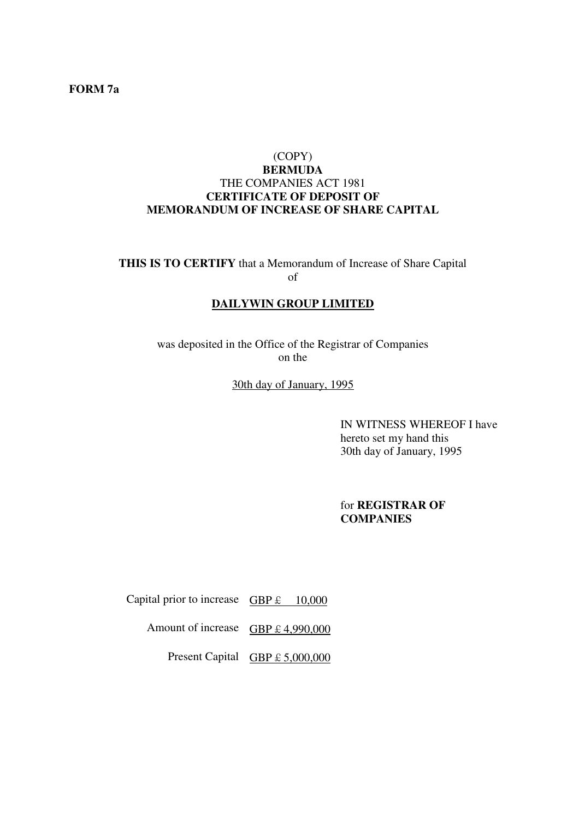#### **FORM 7a**

#### (COPY)

#### **BERMUDA**  THE COMPANIES ACT 1981 **CERTIFICATE OF DEPOSIT OF MEMORANDUM OF INCREASE OF SHARE CAPITAL**

**THIS IS TO CERTIFY** that a Memorandum of Increase of Share Capital of

#### **DAILYWIN GROUP LIMITED**

was deposited in the Office of the Registrar of Companies on the

30th day of January, 1995

IN WITNESS WHEREOF I have hereto set my hand this 30th day of January, 1995

for **REGISTRAR OF COMPANIES**

Capital prior to increase  $GBP \t L 10,000$ 

Amount of increase GBP  $\text{\pounds}$  4,990,000

Present Capital  $GBP \text{ } \pounds 5,000,000$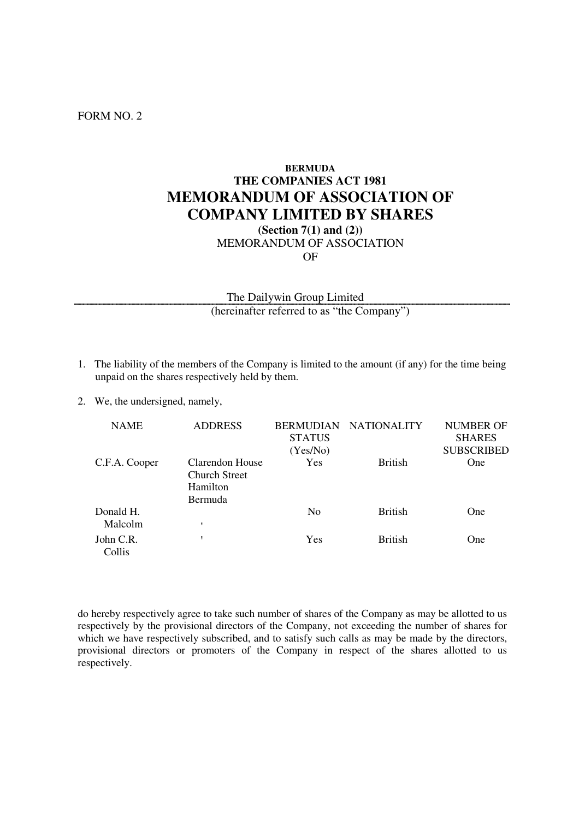#### FORM NO. 2

## **BERMUDA THE COMPANIES ACT 1981 MEMORANDUM OF ASSOCIATION OF COMPANY LIMITED BY SHARES (Section 7(1) and (2))**

MEMORANDUM OF ASSOCIATION OF

The Dailywin Group Limited (hereinafter referred to as "the Company")

- 1. The liability of the members of the Company is limited to the amount (if any) for the time being unpaid on the shares respectively held by them.
- 2. We, the undersigned, namely,

| <b>NAME</b>          | <b>ADDRESS</b>                                                 | <b>STATUS</b><br>(Yes/No) | BERMUDIAN NATIONALITY | NUMBER OF<br><b>SHARES</b><br><b>SUBSCRIBED</b> |
|----------------------|----------------------------------------------------------------|---------------------------|-----------------------|-------------------------------------------------|
| C.F.A. Cooper        | Clarendon House<br>Church Street<br>Hamilton<br><b>Bermuda</b> | Yes                       | <b>British</b>        | One                                             |
| Donald H.<br>Malcolm | п                                                              | N <sub>0</sub>            | <b>British</b>        | <b>One</b>                                      |
| John C.R.<br>Collis  | Ħ                                                              | Yes                       | <b>British</b>        | <b>One</b>                                      |

do hereby respectively agree to take such number of shares of the Company as may be allotted to us respectively by the provisional directors of the Company, not exceeding the number of shares for which we have respectively subscribed, and to satisfy such calls as may be made by the directors, provisional directors or promoters of the Company in respect of the shares allotted to us respectively.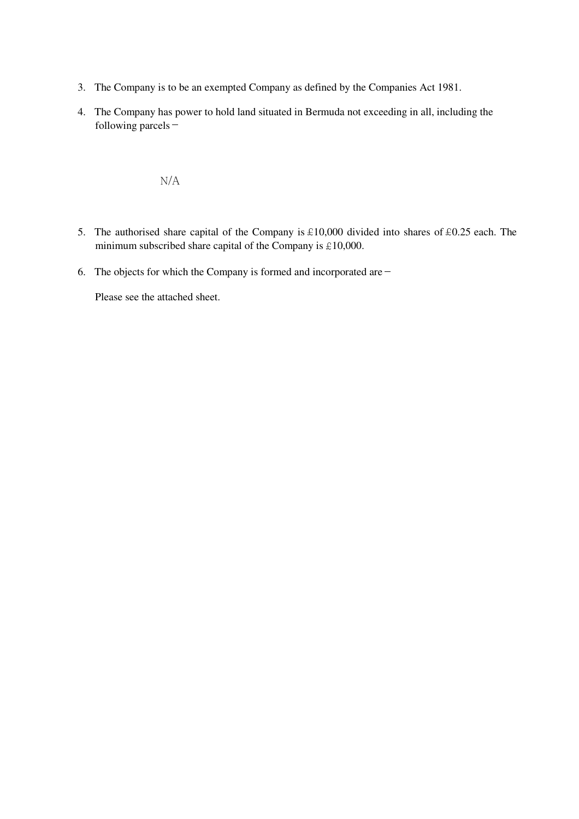- 3. The Company is to be an exempted Company as defined by the Companies Act 1981.
- 4. The Company has power to hold land situated in Bermuda not exceeding in all, including the following parcels-

N/A

- 5. The authorised share capital of the Company is  $£10,000$  divided into shares of  $£0.25$  each. The minimum subscribed share capital of the Company is  $£10,000$ .
- 6. The objects for which the Company is formed and incorporated are  $-$

Please see the attached sheet.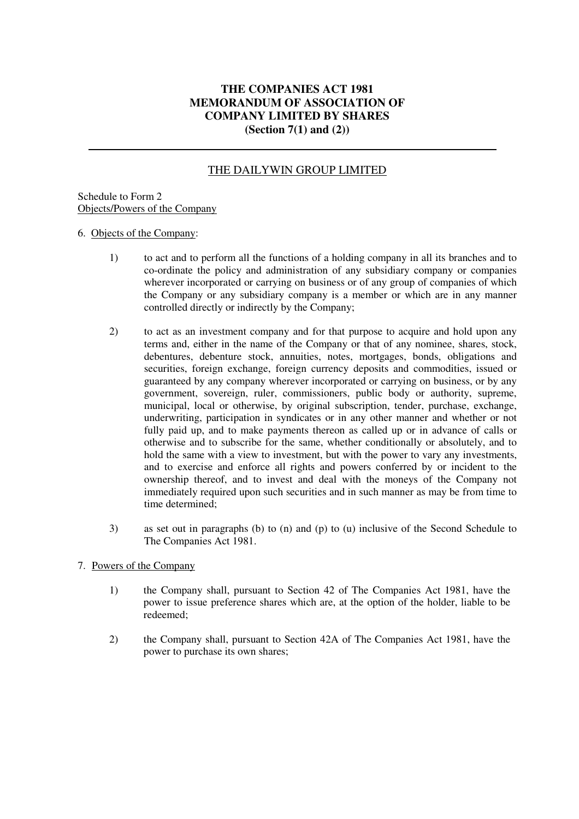#### **THE COMPANIES ACT 1981 MEMORANDUM OF ASSOCIATION OF COMPANY LIMITED BY SHARES (Section 7(1) and (2))**

## THE DAILYWIN GROUP LIMITED

#### Schedule to Form 2 Objects/Powers of the Company

#### 6. Objects of the Company:

- 1) to act and to perform all the functions of a holding company in all its branches and to co-ordinate the policy and administration of any subsidiary company or companies wherever incorporated or carrying on business or of any group of companies of which the Company or any subsidiary company is a member or which are in any manner controlled directly or indirectly by the Company;
- 2) to act as an investment company and for that purpose to acquire and hold upon any terms and, either in the name of the Company or that of any nominee, shares, stock, debentures, debenture stock, annuities, notes, mortgages, bonds, obligations and securities, foreign exchange, foreign currency deposits and commodities, issued or guaranteed by any company wherever incorporated or carrying on business, or by any government, sovereign, ruler, commissioners, public body or authority, supreme, municipal, local or otherwise, by original subscription, tender, purchase, exchange, underwriting, participation in syndicates or in any other manner and whether or not fully paid up, and to make payments thereon as called up or in advance of calls or otherwise and to subscribe for the same, whether conditionally or absolutely, and to hold the same with a view to investment, but with the power to vary any investments, and to exercise and enforce all rights and powers conferred by or incident to the ownership thereof, and to invest and deal with the moneys of the Company not immediately required upon such securities and in such manner as may be from time to time determined;
- 3) as set out in paragraphs (b) to (n) and (p) to (u) inclusive of the Second Schedule to The Companies Act 1981.
- 7. Powers of the Company
	- 1) the Company shall, pursuant to Section 42 of The Companies Act 1981, have the power to issue preference shares which are, at the option of the holder, liable to be redeemed;
	- 2) the Company shall, pursuant to Section 42A of The Companies Act 1981, have the power to purchase its own shares;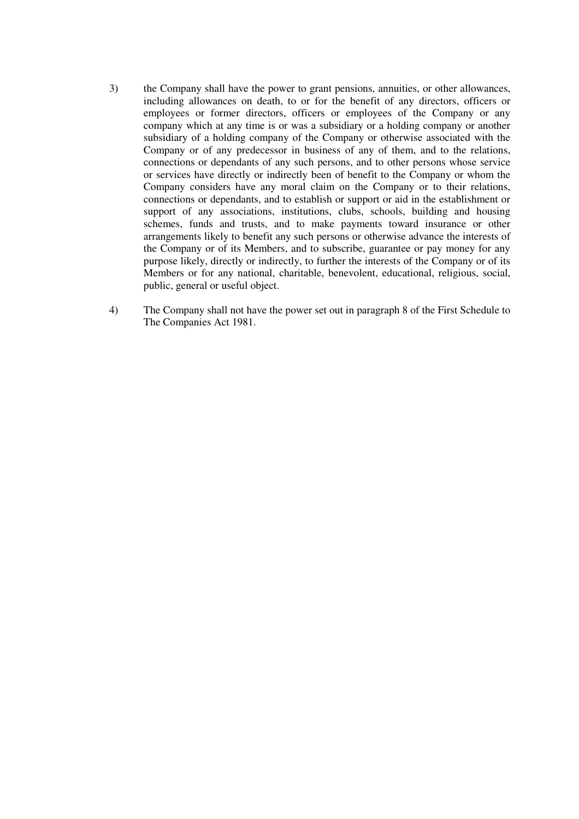- 3) the Company shall have the power to grant pensions, annuities, or other allowances, including allowances on death, to or for the benefit of any directors, officers or employees or former directors, officers or employees of the Company or any company which at any time is or was a subsidiary or a holding company or another subsidiary of a holding company of the Company or otherwise associated with the Company or of any predecessor in business of any of them, and to the relations, connections or dependants of any such persons, and to other persons whose service or services have directly or indirectly been of benefit to the Company or whom the Company considers have any moral claim on the Company or to their relations, connections or dependants, and to establish or support or aid in the establishment or support of any associations, institutions, clubs, schools, building and housing schemes, funds and trusts, and to make payments toward insurance or other arrangements likely to benefit any such persons or otherwise advance the interests of the Company or of its Members, and to subscribe, guarantee or pay money for any purpose likely, directly or indirectly, to further the interests of the Company or of its Members or for any national, charitable, benevolent, educational, religious, social, public, general or useful object.
- 4) The Company shall not have the power set out in paragraph 8 of the First Schedule to The Companies Act 1981.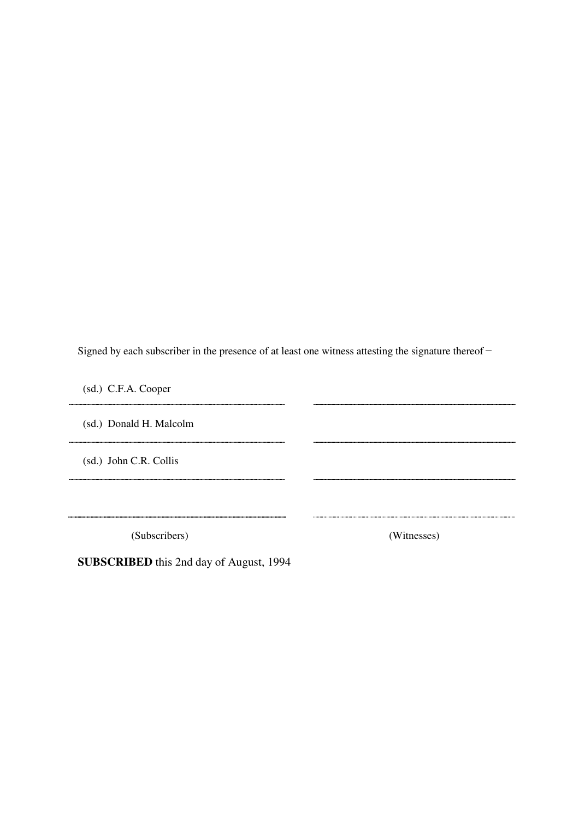Signed by each subscriber in the presence of at least one witness attesting the signature thereof -

(sd.) C.F.A. Cooper

(sd.) Donald H. Malcolm

(sd.) John C.R. Collis

(Subscribers) (Witnesses)

**SUBSCRIBED** this 2nd day of August, 1994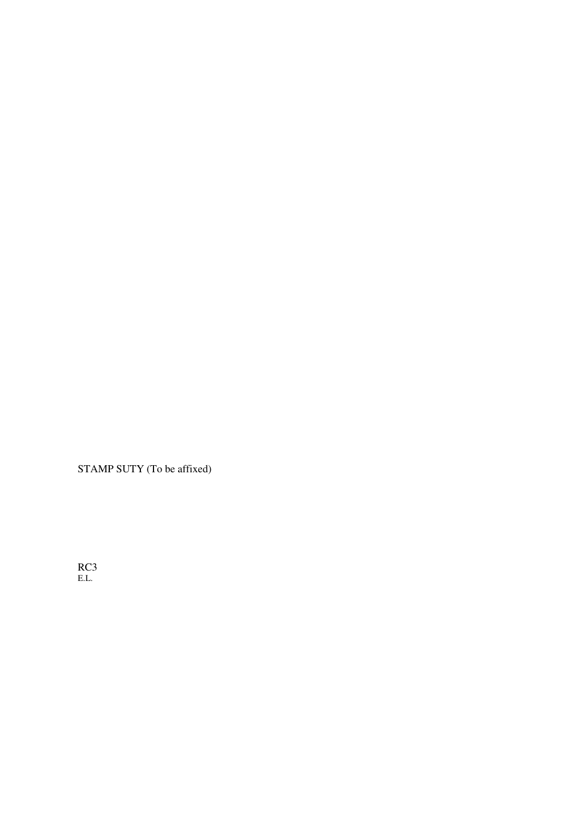STAMP SUTY (To be affixed)

RC3 E.L.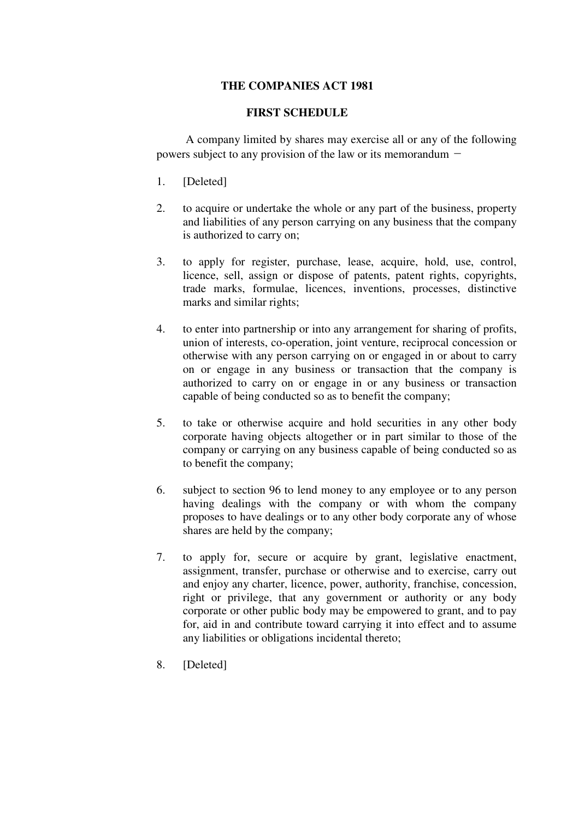#### **THE COMPANIES ACT 1981**

#### **FIRST SCHEDULE**

A company limited by shares may exercise all or any of the following powers subject to any provision of the law or its memorandum  $-$ 

- 1. [Deleted]
- 2. to acquire or undertake the whole or any part of the business, property and liabilities of any person carrying on any business that the company is authorized to carry on;
- 3. to apply for register, purchase, lease, acquire, hold, use, control, licence, sell, assign or dispose of patents, patent rights, copyrights, trade marks, formulae, licences, inventions, processes, distinctive marks and similar rights;
- 4. to enter into partnership or into any arrangement for sharing of profits, union of interests, co-operation, joint venture, reciprocal concession or otherwise with any person carrying on or engaged in or about to carry on or engage in any business or transaction that the company is authorized to carry on or engage in or any business or transaction capable of being conducted so as to benefit the company;
- 5. to take or otherwise acquire and hold securities in any other body corporate having objects altogether or in part similar to those of the company or carrying on any business capable of being conducted so as to benefit the company;
- 6. subject to section 96 to lend money to any employee or to any person having dealings with the company or with whom the company proposes to have dealings or to any other body corporate any of whose shares are held by the company;
- 7. to apply for, secure or acquire by grant, legislative enactment, assignment, transfer, purchase or otherwise and to exercise, carry out and enjoy any charter, licence, power, authority, franchise, concession, right or privilege, that any government or authority or any body corporate or other public body may be empowered to grant, and to pay for, aid in and contribute toward carrying it into effect and to assume any liabilities or obligations incidental thereto;
- 8. [Deleted]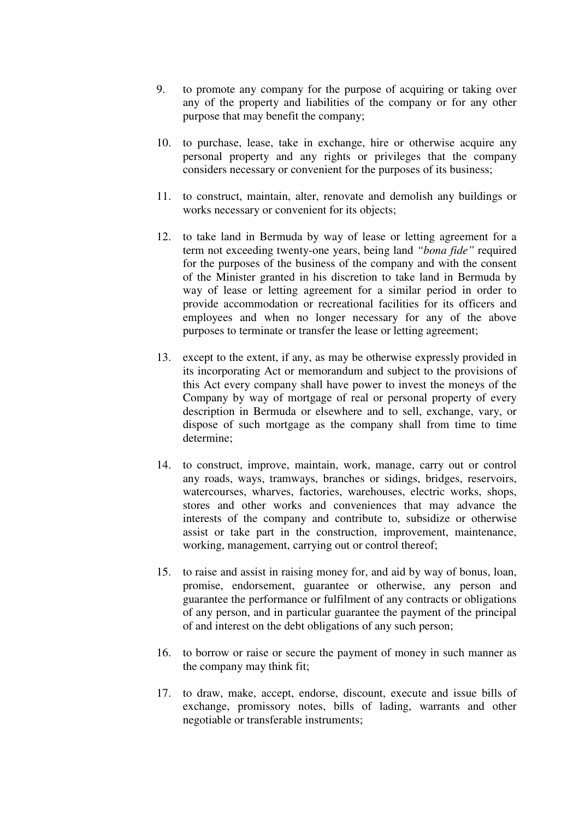- 9. to promote any company for the purpose of acquiring or taking over any of the property and liabilities of the company or for any other purpose that may benefit the company;
- 10. to purchase, lease, take in exchange, hire or otherwise acquire any personal property and any rights or privileges that the company considers necessary or convenient for the purposes of its business;
- 11. to construct, maintain, alter, renovate and demolish any buildings or works necessary or convenient for its objects;
- 12. to take land in Bermuda by way of lease or letting agreement for a term not exceeding twenty-one years, being land *"bona fide"* required for the purposes of the business of the company and with the consent of the Minister granted in his discretion to take land in Bermuda by way of lease or letting agreement for a similar period in order to provide accommodation or recreational facilities for its officers and employees and when no longer necessary for any of the above purposes to terminate or transfer the lease or letting agreement;
- 13. except to the extent, if any, as may be otherwise expressly provided in its incorporating Act or memorandum and subject to the provisions of this Act every company shall have power to invest the moneys of the Company by way of mortgage of real or personal property of every description in Bermuda or elsewhere and to sell, exchange, vary, or dispose of such mortgage as the company shall from time to time determine;
- 14. to construct, improve, maintain, work, manage, carry out or control any roads, ways, tramways, branches or sidings, bridges, reservoirs, watercourses, wharves, factories, warehouses, electric works, shops, stores and other works and conveniences that may advance the interests of the company and contribute to, subsidize or otherwise assist or take part in the construction, improvement, maintenance, working, management, carrying out or control thereof;
- 15. to raise and assist in raising money for, and aid by way of bonus, loan, promise, endorsement, guarantee or otherwise, any person and guarantee the performance or fulfilment of any contracts or obligations of any person, and in particular guarantee the payment of the principal of and interest on the debt obligations of any such person;
- 16. to borrow or raise or secure the payment of money in such manner as the company may think fit;
- 17. to draw, make, accept, endorse, discount, execute and issue bills of exchange, promissory notes, bills of lading, warrants and other negotiable or transferable instruments;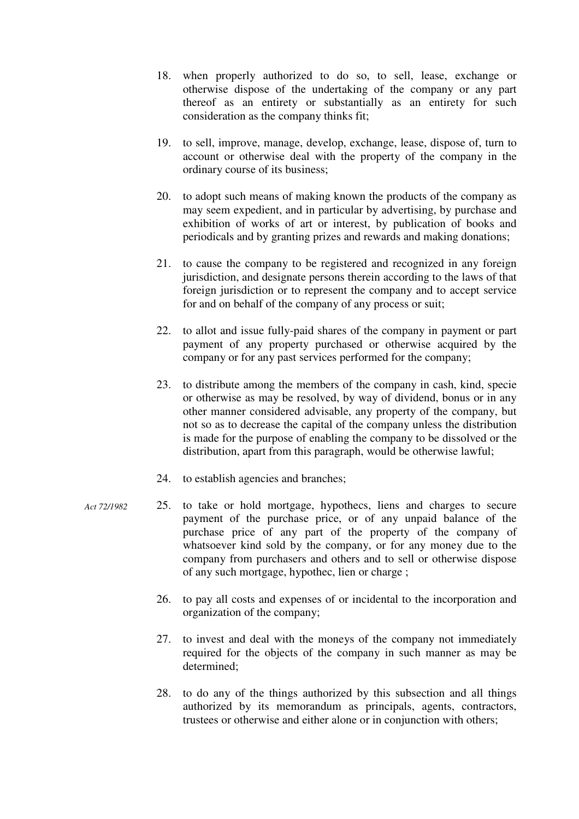- 18. when properly authorized to do so, to sell, lease, exchange or otherwise dispose of the undertaking of the company or any part thereof as an entirety or substantially as an entirety for such consideration as the company thinks fit;
- 19. to sell, improve, manage, develop, exchange, lease, dispose of, turn to account or otherwise deal with the property of the company in the ordinary course of its business;
- 20. to adopt such means of making known the products of the company as may seem expedient, and in particular by advertising, by purchase and exhibition of works of art or interest, by publication of books and periodicals and by granting prizes and rewards and making donations;
- 21. to cause the company to be registered and recognized in any foreign jurisdiction, and designate persons therein according to the laws of that foreign jurisdiction or to represent the company and to accept service for and on behalf of the company of any process or suit;
- 22. to allot and issue fully-paid shares of the company in payment or part payment of any property purchased or otherwise acquired by the company or for any past services performed for the company;
- 23. to distribute among the members of the company in cash, kind, specie or otherwise as may be resolved, by way of dividend, bonus or in any other manner considered advisable, any property of the company, but not so as to decrease the capital of the company unless the distribution is made for the purpose of enabling the company to be dissolved or the distribution, apart from this paragraph, would be otherwise lawful;
- 24. to establish agencies and branches;
- 25. to take or hold mortgage, hypothecs, liens and charges to secure payment of the purchase price, or of any unpaid balance of the purchase price of any part of the property of the company of whatsoever kind sold by the company, or for any money due to the company from purchasers and others and to sell or otherwise dispose of any such mortgage, hypothec, lien or charge ; *Act 72/1982* 
	- 26. to pay all costs and expenses of or incidental to the incorporation and organization of the company;
	- 27. to invest and deal with the moneys of the company not immediately required for the objects of the company in such manner as may be determined;
	- 28. to do any of the things authorized by this subsection and all things authorized by its memorandum as principals, agents, contractors, trustees or otherwise and either alone or in conjunction with others;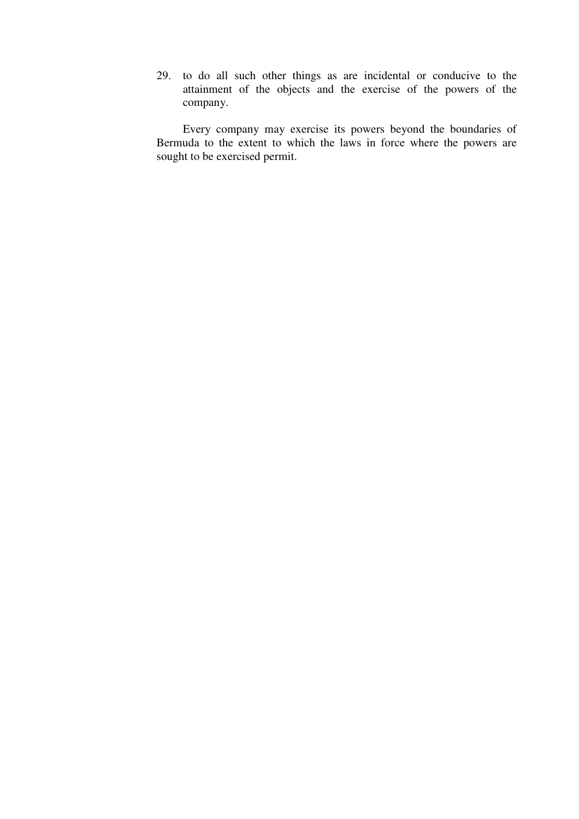29. to do all such other things as are incidental or conducive to the attainment of the objects and the exercise of the powers of the company.

Every company may exercise its powers beyond the boundaries of Bermuda to the extent to which the laws in force where the powers are sought to be exercised permit.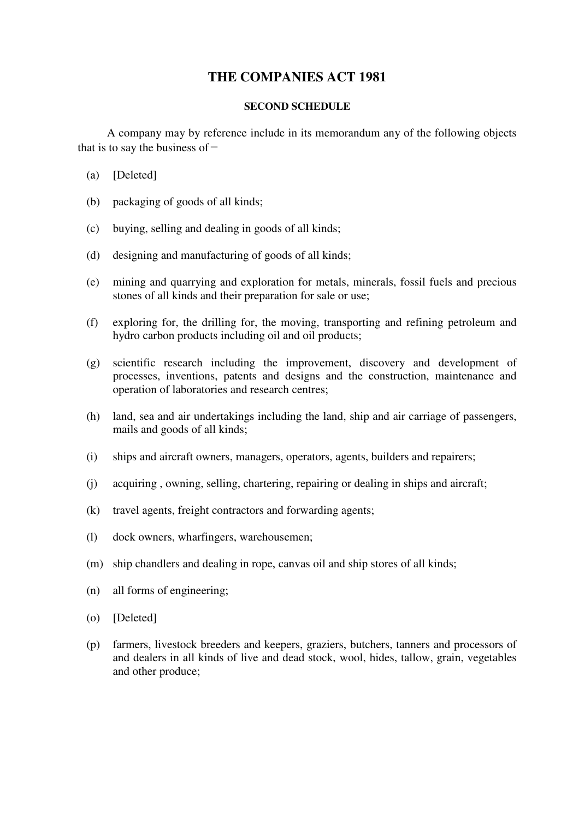## **THE COMPANIES ACT 1981**

#### **SECOND SCHEDULE**

A company may by reference include in its memorandum any of the following objects that is to say the business of  $-$ 

- (a) [Deleted]
- (b) packaging of goods of all kinds;
- (c) buying, selling and dealing in goods of all kinds;
- (d) designing and manufacturing of goods of all kinds;
- (e) mining and quarrying and exploration for metals, minerals, fossil fuels and precious stones of all kinds and their preparation for sale or use;
- (f) exploring for, the drilling for, the moving, transporting and refining petroleum and hydro carbon products including oil and oil products;
- (g) scientific research including the improvement, discovery and development of processes, inventions, patents and designs and the construction, maintenance and operation of laboratories and research centres;
- (h) land, sea and air undertakings including the land, ship and air carriage of passengers, mails and goods of all kinds;
- (i) ships and aircraft owners, managers, operators, agents, builders and repairers;
- (j) acquiring , owning, selling, chartering, repairing or dealing in ships and aircraft;
- (k) travel agents, freight contractors and forwarding agents;
- (l) dock owners, wharfingers, warehousemen;
- (m) ship chandlers and dealing in rope, canvas oil and ship stores of all kinds;
- (n) all forms of engineering;
- (o) [Deleted]
- (p) farmers, livestock breeders and keepers, graziers, butchers, tanners and processors of and dealers in all kinds of live and dead stock, wool, hides, tallow, grain, vegetables and other produce;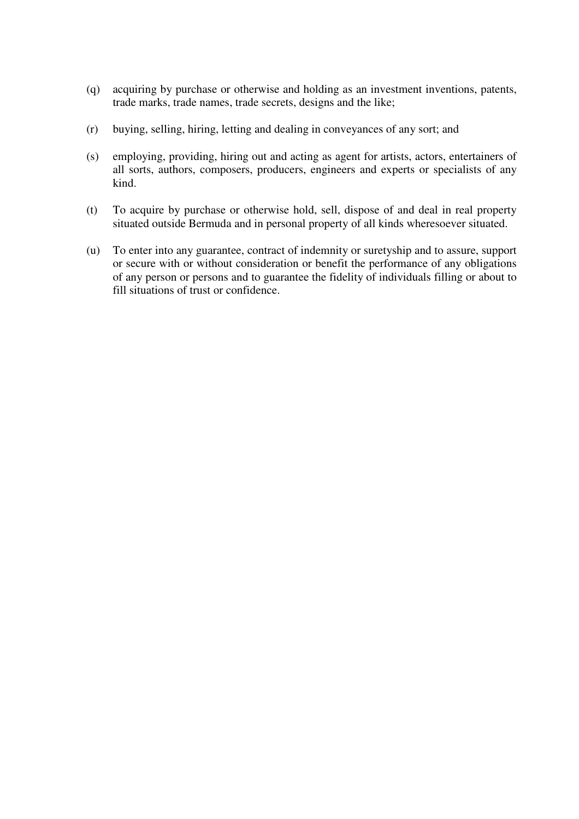- (q) acquiring by purchase or otherwise and holding as an investment inventions, patents, trade marks, trade names, trade secrets, designs and the like;
- (r) buying, selling, hiring, letting and dealing in conveyances of any sort; and
- (s) employing, providing, hiring out and acting as agent for artists, actors, entertainers of all sorts, authors, composers, producers, engineers and experts or specialists of any kind.
- (t) To acquire by purchase or otherwise hold, sell, dispose of and deal in real property situated outside Bermuda and in personal property of all kinds wheresoever situated.
- (u) To enter into any guarantee, contract of indemnity or suretyship and to assure, support or secure with or without consideration or benefit the performance of any obligations of any person or persons and to guarantee the fidelity of individuals filling or about to fill situations of trust or confidence.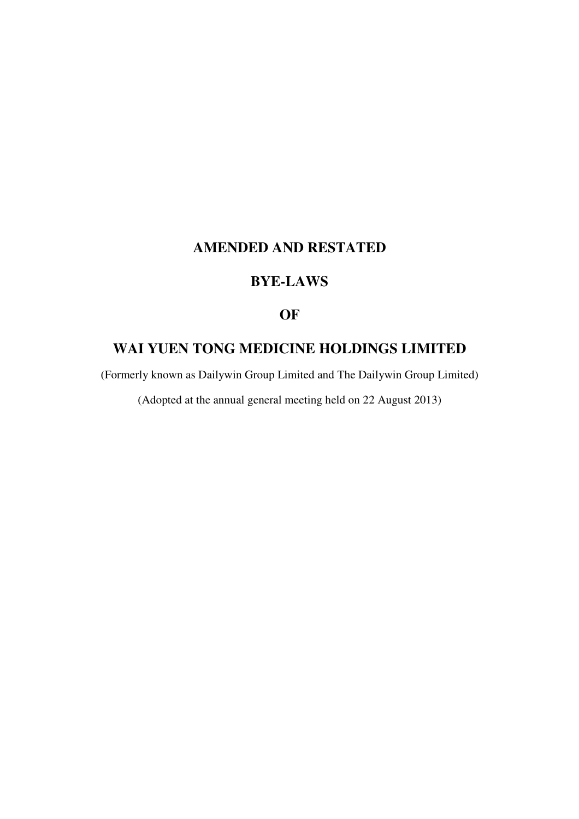# **AMENDED AND RESTATED**

## **BYE-LAWS**

## **OF**

# **WAI YUEN TONG MEDICINE HOLDINGS LIMITED**

(Formerly known as Dailywin Group Limited and The Dailywin Group Limited)

(Adopted at the annual general meeting held on 22 August 2013)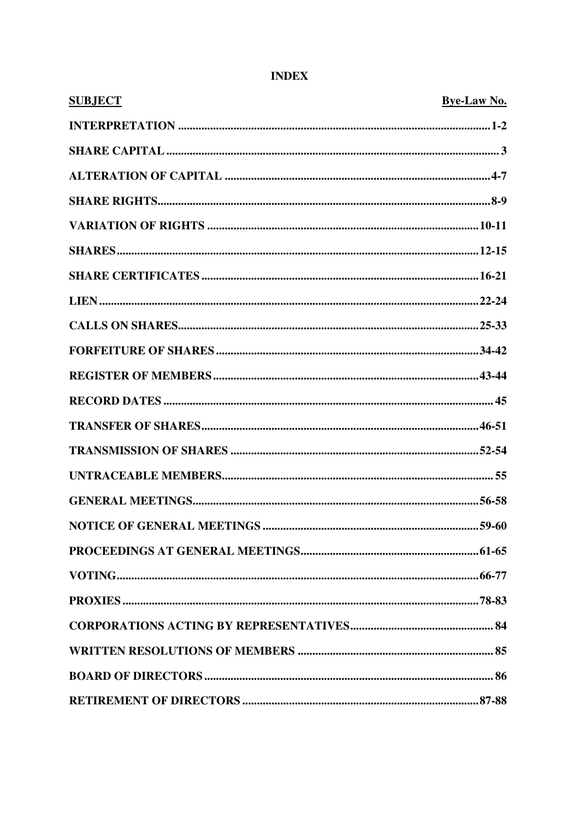| <b>SUBJECT</b> | <b>Bye-Law No.</b> |
|----------------|--------------------|
|                |                    |
|                |                    |
|                |                    |
|                |                    |
|                |                    |
|                |                    |
|                |                    |
|                |                    |
|                |                    |
|                |                    |
|                |                    |
|                |                    |
|                |                    |
|                |                    |
|                |                    |
|                |                    |
|                |                    |
|                |                    |
|                |                    |
|                |                    |
|                |                    |
|                |                    |
|                |                    |
|                |                    |

## **INDEX**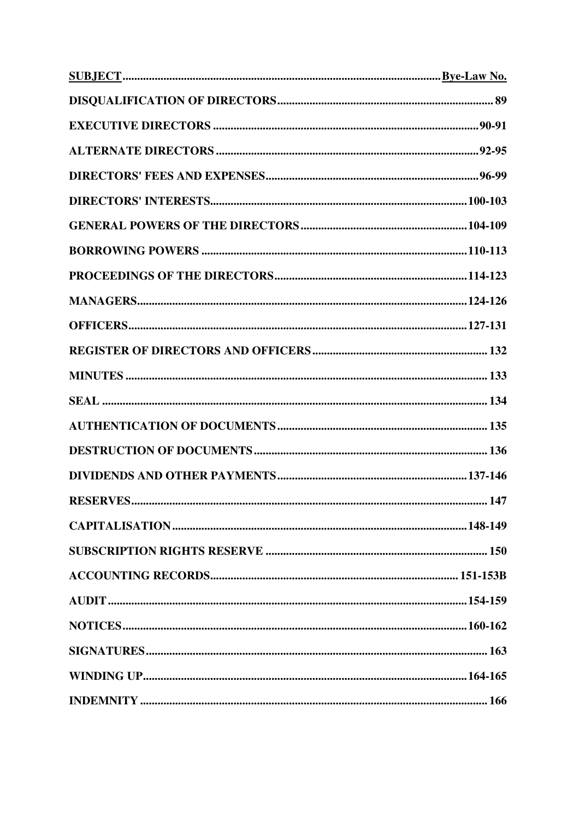| RESERVES | 147 |
|----------|-----|
|          |     |
|          |     |
|          |     |
|          |     |
|          |     |
|          |     |
|          |     |
|          |     |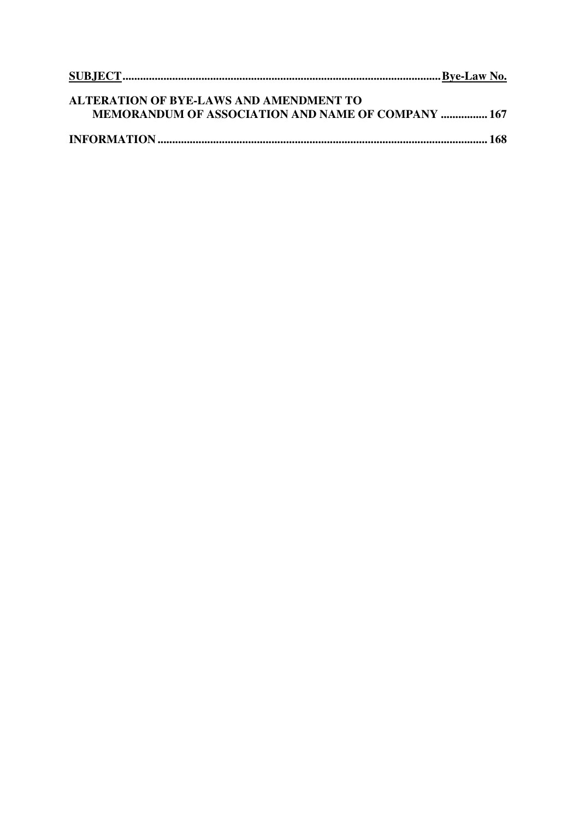| <b>ALTERATION OF BYE-LAWS AND AMENDMENT TO</b>            |  |
|-----------------------------------------------------------|--|
| <b>MEMORANDUM OF ASSOCIATION AND NAME OF COMPANY  167</b> |  |
|                                                           |  |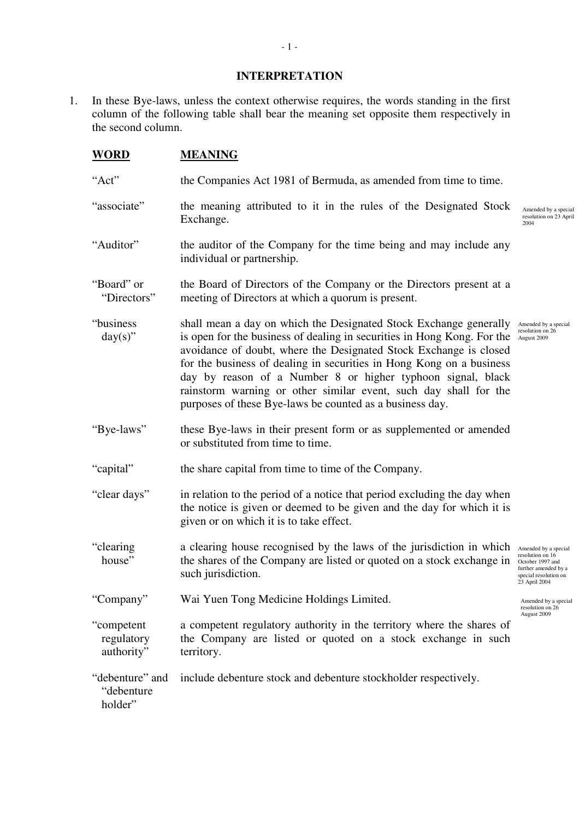#### **INTERPRETATION**

1. In these Bye-laws, unless the context otherwise requires, the words standing in the first column of the following table shall bear the meaning set opposite them respectively in the second column.

| <b>WORD</b> | <b>MEANING</b> |
|-------------|----------------|
|             |                |

"Act" the Companies Act 1981 of Bermuda, as amended from time to time. "associate" the meaning attributed to it in the rules of the Designated Stock Exchange. "Auditor" the auditor of the Company for the time being and may include any individual or partnership. "Board" or "Directors" the Board of Directors of the Company or the Directors present at a meeting of Directors at which a quorum is present. "business  $day(s)$ " shall mean a day on which the Designated Stock Exchange generally Amended by a special is open for the business of dealing in securities in Hong Kong. For the August 2009 avoidance of doubt, where the Designated Stock Exchange is closed for the business of dealing in securities in Hong Kong on a business day by reason of a Number 8 or higher typhoon signal, black rainstorm warning or other similar event, such day shall for the purposes of these Bye-laws be counted as a business day. "Bye-laws" these Bye-laws in their present form or as supplemented or amended or substituted from time to time. "capital" the share capital from time to time of the Company. "clear days" in relation to the period of a notice that period excluding the day when the notice is given or deemed to be given and the day for which it is given or on which it is to take effect. "clearing house" a clearing house recognised by the laws of the jurisdiction in which Amended by a special the shares of the Company are listed or quoted on a stock exchange in such jurisdiction. "Company" Wai Yuen Tong Medicine Holdings Limited. "competent regulatory authority" a competent regulatory authority in the territory where the shares of the Company are listed or quoted on a stock exchange in such territory. "debenture" and "debenture holder" include debenture stock and debenture stockholder respectively. Amended by a special resolution on 23 April 2004 resolution on 16 October 1997 and further amended by a special resolution on 23 April 2004 Amended by a special resolution on 26 August 2009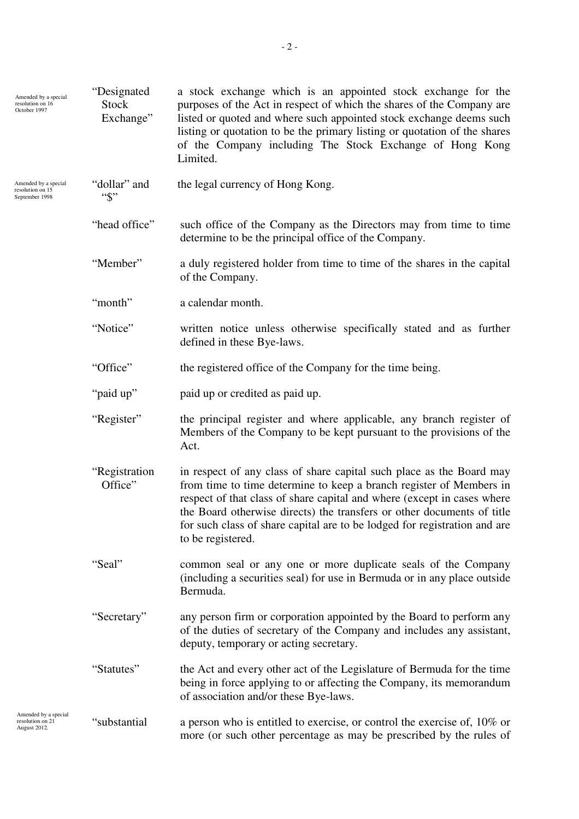| Amended by a special<br>resolution on 16<br>October 1997   | "Designated<br><b>Stock</b><br>Exchange" | a stock exchange which is an appointed stock exchange for the<br>purposes of the Act in respect of which the shares of the Company are<br>listed or quoted and where such appointed stock exchange deems such<br>listing or quotation to be the primary listing or quotation of the shares<br>of the Company including The Stock Exchange of Hong Kong<br>Limited.                                 |
|------------------------------------------------------------|------------------------------------------|----------------------------------------------------------------------------------------------------------------------------------------------------------------------------------------------------------------------------------------------------------------------------------------------------------------------------------------------------------------------------------------------------|
| Amended by a special<br>resolution on 15<br>September 1998 | "dollar" and<br>$``\$"$                  | the legal currency of Hong Kong.                                                                                                                                                                                                                                                                                                                                                                   |
|                                                            | "head office"                            | such office of the Company as the Directors may from time to time<br>determine to be the principal office of the Company.                                                                                                                                                                                                                                                                          |
|                                                            | "Member"                                 | a duly registered holder from time to time of the shares in the capital<br>of the Company.                                                                                                                                                                                                                                                                                                         |
|                                                            | "month"                                  | a calendar month.                                                                                                                                                                                                                                                                                                                                                                                  |
|                                                            | "Notice"                                 | written notice unless otherwise specifically stated and as further<br>defined in these Bye-laws.                                                                                                                                                                                                                                                                                                   |
|                                                            | "Office"                                 | the registered office of the Company for the time being.                                                                                                                                                                                                                                                                                                                                           |
|                                                            | "paid up"                                | paid up or credited as paid up.                                                                                                                                                                                                                                                                                                                                                                    |
|                                                            | "Register"                               | the principal register and where applicable, any branch register of<br>Members of the Company to be kept pursuant to the provisions of the<br>Act.                                                                                                                                                                                                                                                 |
|                                                            | "Registration<br>Office"                 | in respect of any class of share capital such place as the Board may<br>from time to time determine to keep a branch register of Members in<br>respect of that class of share capital and where (except in cases where<br>the Board otherwise directs) the transfers or other documents of title<br>for such class of share capital are to be lodged for registration and are<br>to be registered. |
|                                                            | "Seal"                                   | common seal or any one or more duplicate seals of the Company<br>(including a securities seal) for use in Bermuda or in any place outside<br>Bermuda.                                                                                                                                                                                                                                              |
|                                                            | "Secretary"                              | any person firm or corporation appointed by the Board to perform any<br>of the duties of secretary of the Company and includes any assistant,<br>deputy, temporary or acting secretary.                                                                                                                                                                                                            |
|                                                            | "Statutes"                               | the Act and every other act of the Legislature of Bermuda for the time<br>being in force applying to or affecting the Company, its memorandum<br>of association and/or these Bye-laws.                                                                                                                                                                                                             |
| Amended by a special<br>resolution on 21<br>August 2012.   | "substantial                             | a person who is entitled to exercise, or control the exercise of, $10\%$ or<br>more (or such other percentage as may be prescribed by the rules of                                                                                                                                                                                                                                                 |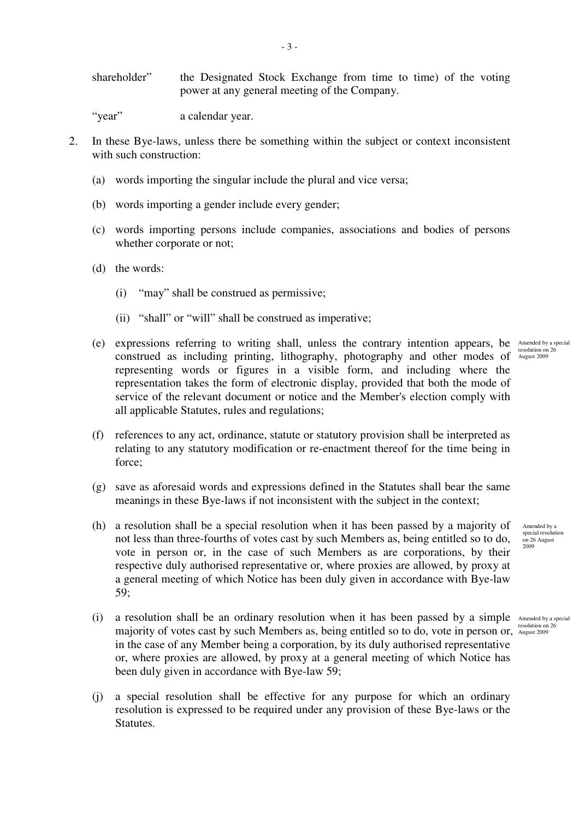shareholder" the Designated Stock Exchange from time to time) of the voting power at any general meeting of the Company.

"year" a calendar year.

- 2. In these Bye-laws, unless there be something within the subject or context inconsistent with such construction:
	- (a) words importing the singular include the plural and vice versa;
	- (b) words importing a gender include every gender;
	- (c) words importing persons include companies, associations and bodies of persons whether corporate or not;
	- (d) the words:
		- (i) "may" shall be construed as permissive;
		- (ii) "shall" or "will" shall be construed as imperative;
	- (e) expressions referring to writing shall, unless the contrary intention appears, be Amended by a special construed as including printing, lithography, photography and other modes of August 2009 representing words or figures in a visible form, and including where the representation takes the form of electronic display, provided that both the mode of service of the relevant document or notice and the Member's election comply with all applicable Statutes, rules and regulations;
	- (f) references to any act, ordinance, statute or statutory provision shall be interpreted as relating to any statutory modification or re-enactment thereof for the time being in force;
	- (g) save as aforesaid words and expressions defined in the Statutes shall bear the same meanings in these Bye-laws if not inconsistent with the subject in the context;
	- (h) a resolution shall be a special resolution when it has been passed by a majority of not less than three-fourths of votes cast by such Members as, being entitled so to do, vote in person or, in the case of such Members as are corporations, by their respective duly authorised representative or, where proxies are allowed, by proxy at a general meeting of which Notice has been duly given in accordance with Bye-law 59;
	- (i) a resolution shall be an ordinary resolution when it has been passed by a simple Amended by a special majority of votes cast by such Members as, being entitled so to do, vote in person or, August 2009 in the case of any Member being a corporation, by its duly authorised representative or, where proxies are allowed, by proxy at a general meeting of which Notice has been duly given in accordance with Bye-law 59;
	- (j) a special resolution shall be effective for any purpose for which an ordinary resolution is expressed to be required under any provision of these Bye-laws or the Statutes.

Amended by a special resolution on 26 August 2009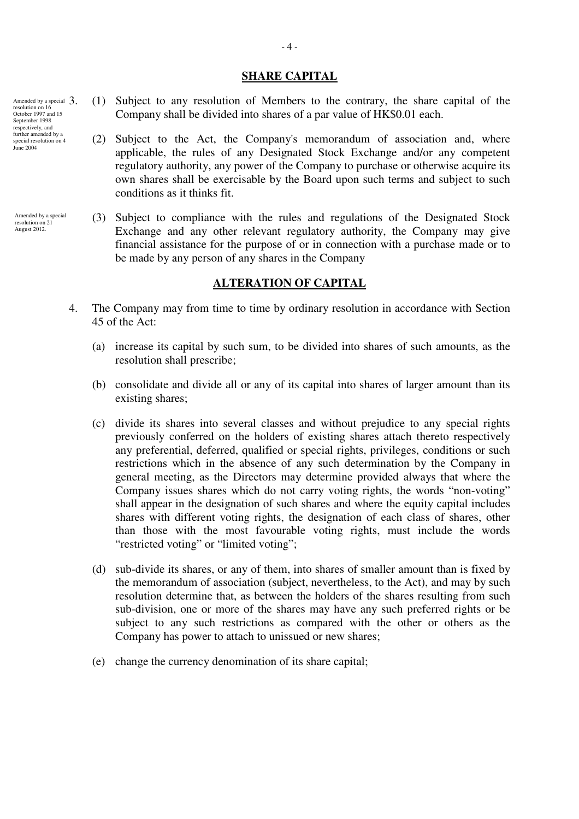#### **SHARE CAPITAL**

- 3. (1) Subject to any resolution of Members to the contrary, the share capital of the Company shall be divided into shares of a par value of HK\$0.01 each.
	- (2) Subject to the Act, the Company's memorandum of association and, where applicable, the rules of any Designated Stock Exchange and/or any competent regulatory authority, any power of the Company to purchase or otherwise acquire its own shares shall be exercisable by the Board upon such terms and subject to such conditions as it thinks fit.
- (3) Subject to compliance with the rules and regulations of the Designated Stock Exchange and any other relevant regulatory authority, the Company may give financial assistance for the purpose of or in connection with a purchase made or to be made by any person of any shares in the Company

## **ALTERATION OF CAPITAL**

- 4. The Company may from time to time by ordinary resolution in accordance with Section 45 of the Act:
	- (a) increase its capital by such sum, to be divided into shares of such amounts, as the resolution shall prescribe;
	- (b) consolidate and divide all or any of its capital into shares of larger amount than its existing shares;
	- (c) divide its shares into several classes and without prejudice to any special rights previously conferred on the holders of existing shares attach thereto respectively any preferential, deferred, qualified or special rights, privileges, conditions or such restrictions which in the absence of any such determination by the Company in general meeting, as the Directors may determine provided always that where the Company issues shares which do not carry voting rights, the words "non-voting" shall appear in the designation of such shares and where the equity capital includes shares with different voting rights, the designation of each class of shares, other than those with the most favourable voting rights, must include the words "restricted voting" or "limited voting";
	- (d) sub-divide its shares, or any of them, into shares of smaller amount than is fixed by the memorandum of association (subject, nevertheless, to the Act), and may by such resolution determine that, as between the holders of the shares resulting from such sub-division, one or more of the shares may have any such preferred rights or be subject to any such restrictions as compared with the other or others as the Company has power to attach to unissued or new shares;
	- (e) change the currency denomination of its share capital;

Amended by a special  $3.$ resolution on 16 October 1997 and 15 September 1998 respectively, and further amended by a special resolution on 4 June 2004

Amended by a special resolution on 21 August 2012.

- 4 -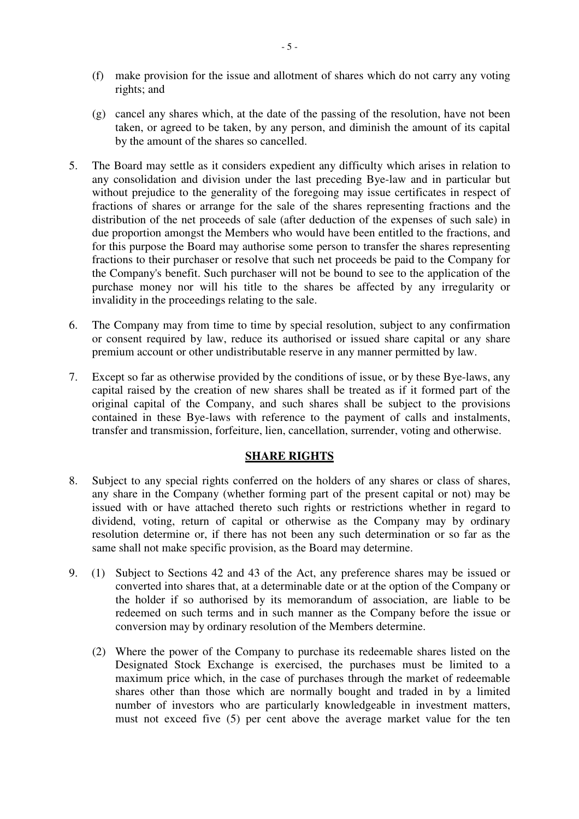- (f) make provision for the issue and allotment of shares which do not carry any voting rights; and
- (g) cancel any shares which, at the date of the passing of the resolution, have not been taken, or agreed to be taken, by any person, and diminish the amount of its capital by the amount of the shares so cancelled.
- 5. The Board may settle as it considers expedient any difficulty which arises in relation to any consolidation and division under the last preceding Bye-law and in particular but without prejudice to the generality of the foregoing may issue certificates in respect of fractions of shares or arrange for the sale of the shares representing fractions and the distribution of the net proceeds of sale (after deduction of the expenses of such sale) in due proportion amongst the Members who would have been entitled to the fractions, and for this purpose the Board may authorise some person to transfer the shares representing fractions to their purchaser or resolve that such net proceeds be paid to the Company for the Company's benefit. Such purchaser will not be bound to see to the application of the purchase money nor will his title to the shares be affected by any irregularity or invalidity in the proceedings relating to the sale.
- 6. The Company may from time to time by special resolution, subject to any confirmation or consent required by law, reduce its authorised or issued share capital or any share premium account or other undistributable reserve in any manner permitted by law.
- 7. Except so far as otherwise provided by the conditions of issue, or by these Bye-laws, any capital raised by the creation of new shares shall be treated as if it formed part of the original capital of the Company, and such shares shall be subject to the provisions contained in these Bye-laws with reference to the payment of calls and instalments, transfer and transmission, forfeiture, lien, cancellation, surrender, voting and otherwise.

# **SHARE RIGHTS**

- 8. Subject to any special rights conferred on the holders of any shares or class of shares, any share in the Company (whether forming part of the present capital or not) may be issued with or have attached thereto such rights or restrictions whether in regard to dividend, voting, return of capital or otherwise as the Company may by ordinary resolution determine or, if there has not been any such determination or so far as the same shall not make specific provision, as the Board may determine.
- 9. (1) Subject to Sections 42 and 43 of the Act, any preference shares may be issued or converted into shares that, at a determinable date or at the option of the Company or the holder if so authorised by its memorandum of association, are liable to be redeemed on such terms and in such manner as the Company before the issue or conversion may by ordinary resolution of the Members determine.
	- (2) Where the power of the Company to purchase its redeemable shares listed on the Designated Stock Exchange is exercised, the purchases must be limited to a maximum price which, in the case of purchases through the market of redeemable shares other than those which are normally bought and traded in by a limited number of investors who are particularly knowledgeable in investment matters, must not exceed five (5) per cent above the average market value for the ten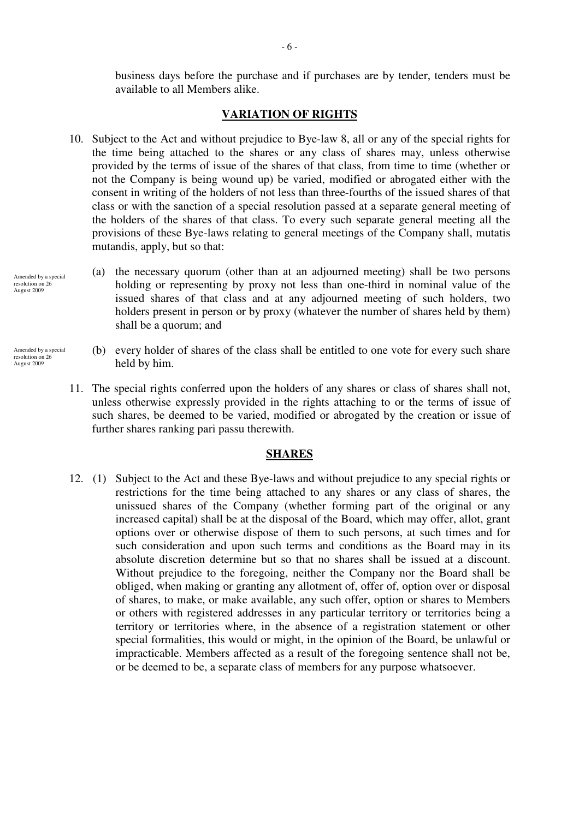business days before the purchase and if purchases are by tender, tenders must be available to all Members alike.

### **VARIATION OF RIGHTS**

- 10. Subject to the Act and without prejudice to Bye-law 8, all or any of the special rights for the time being attached to the shares or any class of shares may, unless otherwise provided by the terms of issue of the shares of that class, from time to time (whether or not the Company is being wound up) be varied, modified or abrogated either with the consent in writing of the holders of not less than three-fourths of the issued shares of that class or with the sanction of a special resolution passed at a separate general meeting of the holders of the shares of that class. To every such separate general meeting all the provisions of these Bye-laws relating to general meetings of the Company shall, mutatis mutandis, apply, but so that:
	- (a) the necessary quorum (other than at an adjourned meeting) shall be two persons holding or representing by proxy not less than one-third in nominal value of the issued shares of that class and at any adjourned meeting of such holders, two holders present in person or by proxy (whatever the number of shares held by them) shall be a quorum; and
- (b) every holder of shares of the class shall be entitled to one vote for every such share held by him.
- 11. The special rights conferred upon the holders of any shares or class of shares shall not, unless otherwise expressly provided in the rights attaching to or the terms of issue of such shares, be deemed to be varied, modified or abrogated by the creation or issue of further shares ranking pari passu therewith.

#### **SHARES**

12. (1) Subject to the Act and these Bye-laws and without prejudice to any special rights or restrictions for the time being attached to any shares or any class of shares, the unissued shares of the Company (whether forming part of the original or any increased capital) shall be at the disposal of the Board, which may offer, allot, grant options over or otherwise dispose of them to such persons, at such times and for such consideration and upon such terms and conditions as the Board may in its absolute discretion determine but so that no shares shall be issued at a discount. Without prejudice to the foregoing, neither the Company nor the Board shall be obliged, when making or granting any allotment of, offer of, option over or disposal of shares, to make, or make available, any such offer, option or shares to Members or others with registered addresses in any particular territory or territories being a territory or territories where, in the absence of a registration statement or other special formalities, this would or might, in the opinion of the Board, be unlawful or impracticable. Members affected as a result of the foregoing sentence shall not be, or be deemed to be, a separate class of members for any purpose whatsoever.

Amended by a special resolution on 26 August 2009

Amended by a special resolution on 26 August 2009

- 6 -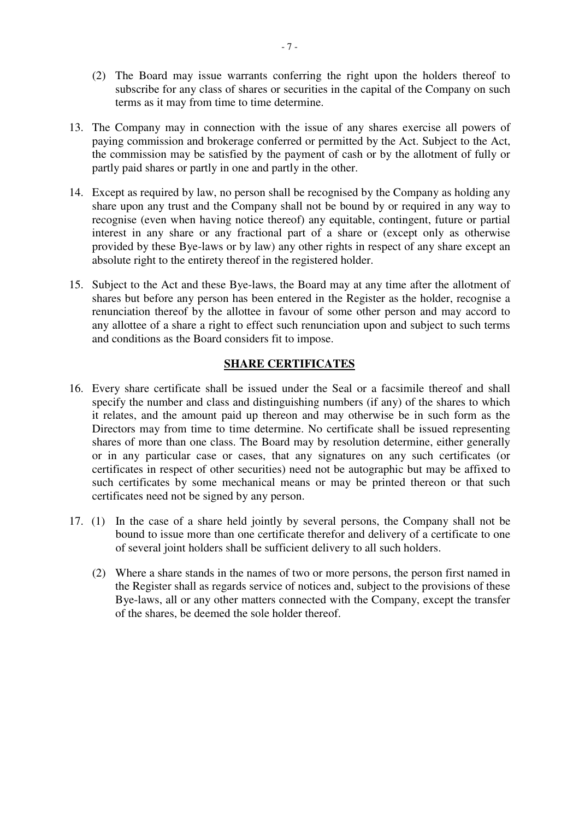- (2) The Board may issue warrants conferring the right upon the holders thereof to subscribe for any class of shares or securities in the capital of the Company on such terms as it may from time to time determine.
- 13. The Company may in connection with the issue of any shares exercise all powers of paying commission and brokerage conferred or permitted by the Act. Subject to the Act, the commission may be satisfied by the payment of cash or by the allotment of fully or partly paid shares or partly in one and partly in the other.
- 14. Except as required by law, no person shall be recognised by the Company as holding any share upon any trust and the Company shall not be bound by or required in any way to recognise (even when having notice thereof) any equitable, contingent, future or partial interest in any share or any fractional part of a share or (except only as otherwise provided by these Bye-laws or by law) any other rights in respect of any share except an absolute right to the entirety thereof in the registered holder.
- 15. Subject to the Act and these Bye-laws, the Board may at any time after the allotment of shares but before any person has been entered in the Register as the holder, recognise a renunciation thereof by the allottee in favour of some other person and may accord to any allottee of a share a right to effect such renunciation upon and subject to such terms and conditions as the Board considers fit to impose.

## **SHARE CERTIFICATES**

- 16. Every share certificate shall be issued under the Seal or a facsimile thereof and shall specify the number and class and distinguishing numbers (if any) of the shares to which it relates, and the amount paid up thereon and may otherwise be in such form as the Directors may from time to time determine. No certificate shall be issued representing shares of more than one class. The Board may by resolution determine, either generally or in any particular case or cases, that any signatures on any such certificates (or certificates in respect of other securities) need not be autographic but may be affixed to such certificates by some mechanical means or may be printed thereon or that such certificates need not be signed by any person.
- 17. (1) In the case of a share held jointly by several persons, the Company shall not be bound to issue more than one certificate therefor and delivery of a certificate to one of several joint holders shall be sufficient delivery to all such holders.
	- (2) Where a share stands in the names of two or more persons, the person first named in the Register shall as regards service of notices and, subject to the provisions of these Bye-laws, all or any other matters connected with the Company, except the transfer of the shares, be deemed the sole holder thereof.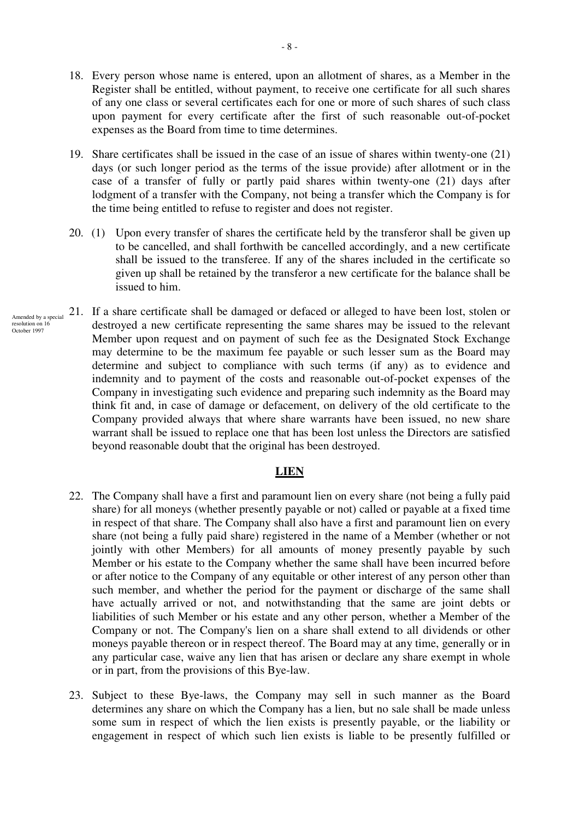- 18. Every person whose name is entered, upon an allotment of shares, as a Member in the Register shall be entitled, without payment, to receive one certificate for all such shares of any one class or several certificates each for one or more of such shares of such class upon payment for every certificate after the first of such reasonable out-of-pocket expenses as the Board from time to time determines.
- 19. Share certificates shall be issued in the case of an issue of shares within twenty-one (21) days (or such longer period as the terms of the issue provide) after allotment or in the case of a transfer of fully or partly paid shares within twenty-one (21) days after lodgment of a transfer with the Company, not being a transfer which the Company is for the time being entitled to refuse to register and does not register.
- 20. (1) Upon every transfer of shares the certificate held by the transferor shall be given up to be cancelled, and shall forthwith be cancelled accordingly, and a new certificate shall be issued to the transferee. If any of the shares included in the certificate so given up shall be retained by the transferor a new certificate for the balance shall be issued to him.
- 21. If a share certificate shall be damaged or defaced or alleged to have been lost, stolen or destroyed a new certificate representing the same shares may be issued to the relevant Member upon request and on payment of such fee as the Designated Stock Exchange may determine to be the maximum fee payable or such lesser sum as the Board may determine and subject to compliance with such terms (if any) as to evidence and indemnity and to payment of the costs and reasonable out-of-pocket expenses of the Company in investigating such evidence and preparing such indemnity as the Board may think fit and, in case of damage or defacement, on delivery of the old certificate to the Company provided always that where share warrants have been issued, no new share warrant shall be issued to replace one that has been lost unless the Directors are satisfied beyond reasonable doubt that the original has been destroyed. Amended by a special resolution on 16 October 1997

#### **LIEN**

- 22. The Company shall have a first and paramount lien on every share (not being a fully paid share) for all moneys (whether presently payable or not) called or payable at a fixed time in respect of that share. The Company shall also have a first and paramount lien on every share (not being a fully paid share) registered in the name of a Member (whether or not jointly with other Members) for all amounts of money presently payable by such Member or his estate to the Company whether the same shall have been incurred before or after notice to the Company of any equitable or other interest of any person other than such member, and whether the period for the payment or discharge of the same shall have actually arrived or not, and notwithstanding that the same are joint debts or liabilities of such Member or his estate and any other person, whether a Member of the Company or not. The Company's lien on a share shall extend to all dividends or other moneys payable thereon or in respect thereof. The Board may at any time, generally or in any particular case, waive any lien that has arisen or declare any share exempt in whole or in part, from the provisions of this Bye-law.
- 23. Subject to these Bye-laws, the Company may sell in such manner as the Board determines any share on which the Company has a lien, but no sale shall be made unless some sum in respect of which the lien exists is presently payable, or the liability or engagement in respect of which such lien exists is liable to be presently fulfilled or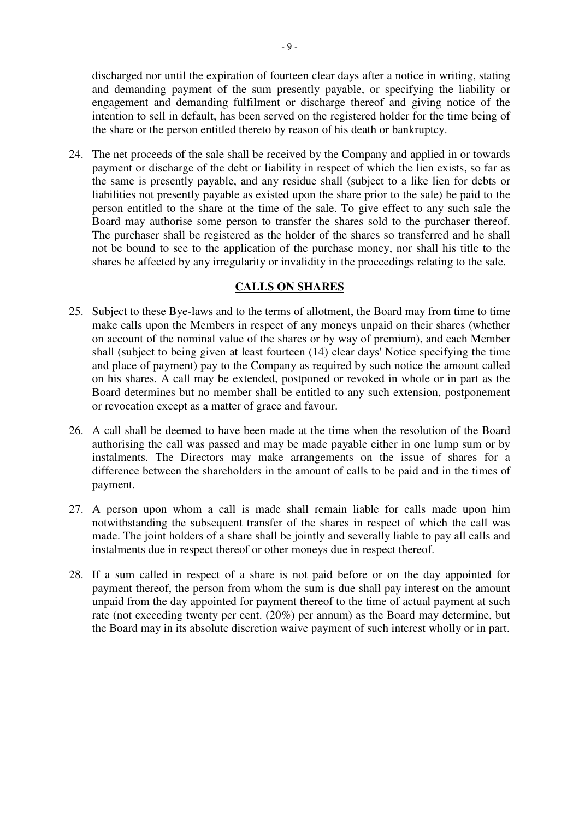discharged nor until the expiration of fourteen clear days after a notice in writing, stating and demanding payment of the sum presently payable, or specifying the liability or engagement and demanding fulfilment or discharge thereof and giving notice of the intention to sell in default, has been served on the registered holder for the time being of the share or the person entitled thereto by reason of his death or bankruptcy.

24. The net proceeds of the sale shall be received by the Company and applied in or towards payment or discharge of the debt or liability in respect of which the lien exists, so far as the same is presently payable, and any residue shall (subject to a like lien for debts or liabilities not presently payable as existed upon the share prior to the sale) be paid to the person entitled to the share at the time of the sale. To give effect to any such sale the Board may authorise some person to transfer the shares sold to the purchaser thereof. The purchaser shall be registered as the holder of the shares so transferred and he shall not be bound to see to the application of the purchase money, nor shall his title to the shares be affected by any irregularity or invalidity in the proceedings relating to the sale.

## **CALLS ON SHARES**

- 25. Subject to these Bye-laws and to the terms of allotment, the Board may from time to time make calls upon the Members in respect of any moneys unpaid on their shares (whether on account of the nominal value of the shares or by way of premium), and each Member shall (subject to being given at least fourteen (14) clear days' Notice specifying the time and place of payment) pay to the Company as required by such notice the amount called on his shares. A call may be extended, postponed or revoked in whole or in part as the Board determines but no member shall be entitled to any such extension, postponement or revocation except as a matter of grace and favour.
- 26. A call shall be deemed to have been made at the time when the resolution of the Board authorising the call was passed and may be made payable either in one lump sum or by instalments. The Directors may make arrangements on the issue of shares for a difference between the shareholders in the amount of calls to be paid and in the times of payment.
- 27. A person upon whom a call is made shall remain liable for calls made upon him notwithstanding the subsequent transfer of the shares in respect of which the call was made. The joint holders of a share shall be jointly and severally liable to pay all calls and instalments due in respect thereof or other moneys due in respect thereof.
- 28. If a sum called in respect of a share is not paid before or on the day appointed for payment thereof, the person from whom the sum is due shall pay interest on the amount unpaid from the day appointed for payment thereof to the time of actual payment at such rate (not exceeding twenty per cent. (20%) per annum) as the Board may determine, but the Board may in its absolute discretion waive payment of such interest wholly or in part.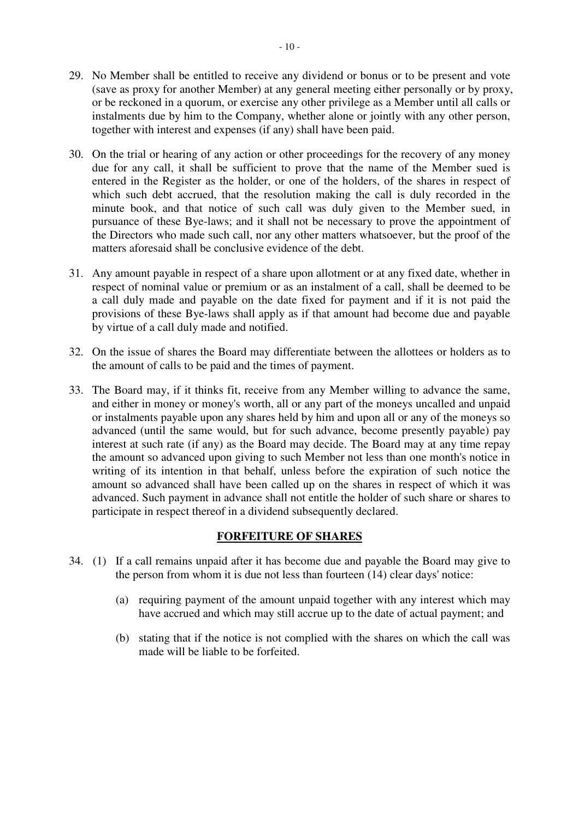- 29. No Member shall be entitled to receive any dividend or bonus or to be present and vote (save as proxy for another Member) at any general meeting either personally or by proxy, or be reckoned in a quorum, or exercise any other privilege as a Member until all calls or instalments due by him to the Company, whether alone or jointly with any other person, together with interest and expenses (if any) shall have been paid.
- 30. On the trial or hearing of any action or other proceedings for the recovery of any money due for any call, it shall be sufficient to prove that the name of the Member sued is entered in the Register as the holder, or one of the holders, of the shares in respect of which such debt accrued, that the resolution making the call is duly recorded in the minute book, and that notice of such call was duly given to the Member sued, in pursuance of these Bye-laws; and it shall not be necessary to prove the appointment of the Directors who made such call, nor any other matters whatsoever, but the proof of the matters aforesaid shall be conclusive evidence of the debt.
- 31. Any amount payable in respect of a share upon allotment or at any fixed date, whether in respect of nominal value or premium or as an instalment of a call, shall be deemed to be a call duly made and payable on the date fixed for payment and if it is not paid the provisions of these Bye-laws shall apply as if that amount had become due and payable by virtue of a call duly made and notified.
- 32. On the issue of shares the Board may differentiate between the allottees or holders as to the amount of calls to be paid and the times of payment.
- 33. The Board may, if it thinks fit, receive from any Member willing to advance the same, and either in money or money's worth, all or any part of the moneys uncalled and unpaid or instalments payable upon any shares held by him and upon all or any of the moneys so advanced (until the same would, but for such advance, become presently payable) pay interest at such rate (if any) as the Board may decide. The Board may at any time repay the amount so advanced upon giving to such Member not less than one month's notice in writing of its intention in that behalf, unless before the expiration of such notice the amount so advanced shall have been called up on the shares in respect of which it was advanced. Such payment in advance shall not entitle the holder of such share or shares to participate in respect thereof in a dividend subsequently declared.

# **FORFEITURE OF SHARES**

- 34. (1) If a call remains unpaid after it has become due and payable the Board may give to the person from whom it is due not less than fourteen  $(14)$  clear days' notice:
	- (a) requiring payment of the amount unpaid together with any interest which may have accrued and which may still accrue up to the date of actual payment; and
	- (b) stating that if the notice is not complied with the shares on which the call was made will be liable to be forfeited.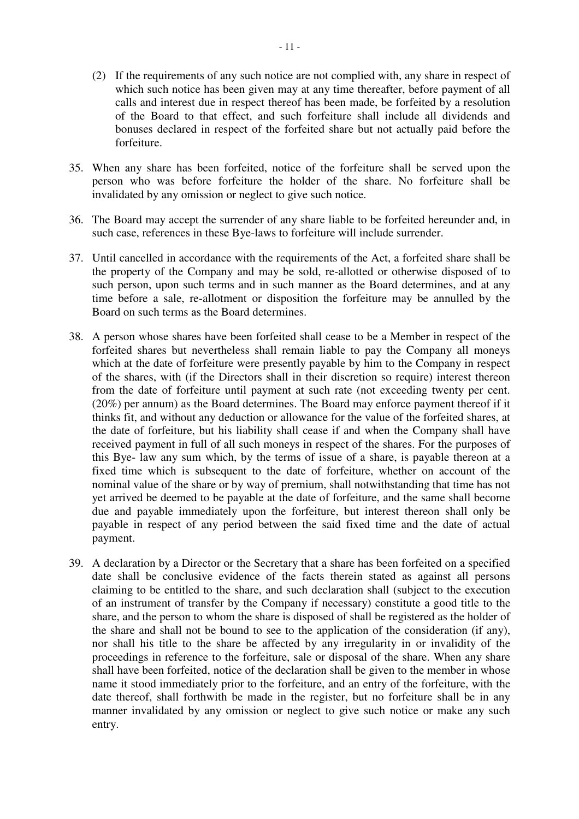- (2) If the requirements of any such notice are not complied with, any share in respect of which such notice has been given may at any time thereafter, before payment of all calls and interest due in respect thereof has been made, be forfeited by a resolution of the Board to that effect, and such forfeiture shall include all dividends and bonuses declared in respect of the forfeited share but not actually paid before the forfeiture.
- 35. When any share has been forfeited, notice of the forfeiture shall be served upon the person who was before forfeiture the holder of the share. No forfeiture shall be invalidated by any omission or neglect to give such notice.
- 36. The Board may accept the surrender of any share liable to be forfeited hereunder and, in such case, references in these Bye-laws to forfeiture will include surrender.
- 37. Until cancelled in accordance with the requirements of the Act, a forfeited share shall be the property of the Company and may be sold, re-allotted or otherwise disposed of to such person, upon such terms and in such manner as the Board determines, and at any time before a sale, re-allotment or disposition the forfeiture may be annulled by the Board on such terms as the Board determines.
- 38. A person whose shares have been forfeited shall cease to be a Member in respect of the forfeited shares but nevertheless shall remain liable to pay the Company all moneys which at the date of forfeiture were presently payable by him to the Company in respect of the shares, with (if the Directors shall in their discretion so require) interest thereon from the date of forfeiture until payment at such rate (not exceeding twenty per cent. (20%) per annum) as the Board determines. The Board may enforce payment thereof if it thinks fit, and without any deduction or allowance for the value of the forfeited shares, at the date of forfeiture, but his liability shall cease if and when the Company shall have received payment in full of all such moneys in respect of the shares. For the purposes of this Bye- law any sum which, by the terms of issue of a share, is payable thereon at a fixed time which is subsequent to the date of forfeiture, whether on account of the nominal value of the share or by way of premium, shall notwithstanding that time has not yet arrived be deemed to be payable at the date of forfeiture, and the same shall become due and payable immediately upon the forfeiture, but interest thereon shall only be payable in respect of any period between the said fixed time and the date of actual payment.
- 39. A declaration by a Director or the Secretary that a share has been forfeited on a specified date shall be conclusive evidence of the facts therein stated as against all persons claiming to be entitled to the share, and such declaration shall (subject to the execution of an instrument of transfer by the Company if necessary) constitute a good title to the share, and the person to whom the share is disposed of shall be registered as the holder of the share and shall not be bound to see to the application of the consideration (if any), nor shall his title to the share be affected by any irregularity in or invalidity of the proceedings in reference to the forfeiture, sale or disposal of the share. When any share shall have been forfeited, notice of the declaration shall be given to the member in whose name it stood immediately prior to the forfeiture, and an entry of the forfeiture, with the date thereof, shall forthwith be made in the register, but no forfeiture shall be in any manner invalidated by any omission or neglect to give such notice or make any such entry.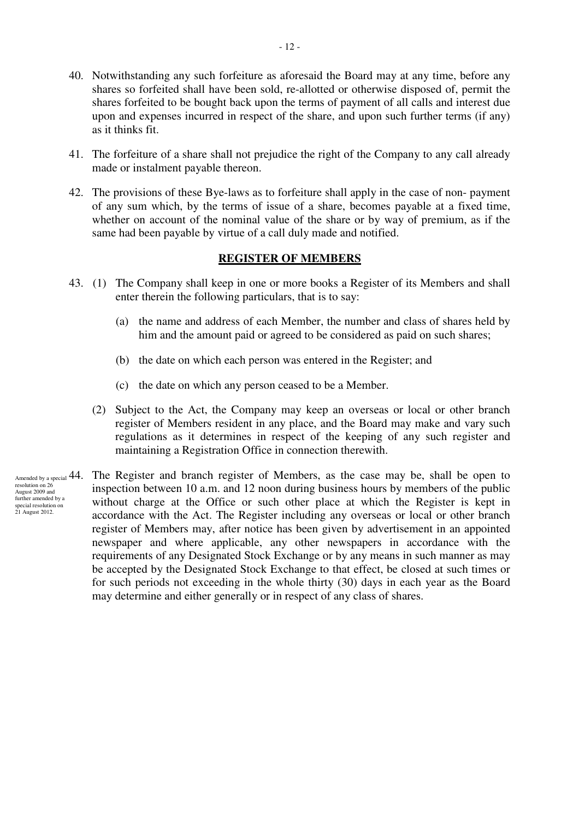- 40. Notwithstanding any such forfeiture as aforesaid the Board may at any time, before any shares so forfeited shall have been sold, re-allotted or otherwise disposed of, permit the shares forfeited to be bought back upon the terms of payment of all calls and interest due upon and expenses incurred in respect of the share, and upon such further terms (if any) as it thinks fit.
- 41. The forfeiture of a share shall not prejudice the right of the Company to any call already made or instalment payable thereon.
- 42. The provisions of these Bye-laws as to forfeiture shall apply in the case of non- payment of any sum which, by the terms of issue of a share, becomes payable at a fixed time, whether on account of the nominal value of the share or by way of premium, as if the same had been payable by virtue of a call duly made and notified.

### **REGISTER OF MEMBERS**

- 43. (1) The Company shall keep in one or more books a Register of its Members and shall enter therein the following particulars, that is to say:
	- (a) the name and address of each Member, the number and class of shares held by him and the amount paid or agreed to be considered as paid on such shares;
	- (b) the date on which each person was entered in the Register; and
	- (c) the date on which any person ceased to be a Member.
	- (2) Subject to the Act, the Company may keep an overseas or local or other branch register of Members resident in any place, and the Board may make and vary such regulations as it determines in respect of the keeping of any such register and maintaining a Registration Office in connection therewith.
- Amended by a special  $44$ . resolution on 26 August 2009 and further amended by a special resolution on 21 August 2012.
- The Register and branch register of Members, as the case may be, shall be open to inspection between 10 a.m. and 12 noon during business hours by members of the public without charge at the Office or such other place at which the Register is kept in accordance with the Act. The Register including any overseas or local or other branch register of Members may, after notice has been given by advertisement in an appointed newspaper and where applicable, any other newspapers in accordance with the requirements of any Designated Stock Exchange or by any means in such manner as may be accepted by the Designated Stock Exchange to that effect, be closed at such times or for such periods not exceeding in the whole thirty (30) days in each year as the Board may determine and either generally or in respect of any class of shares.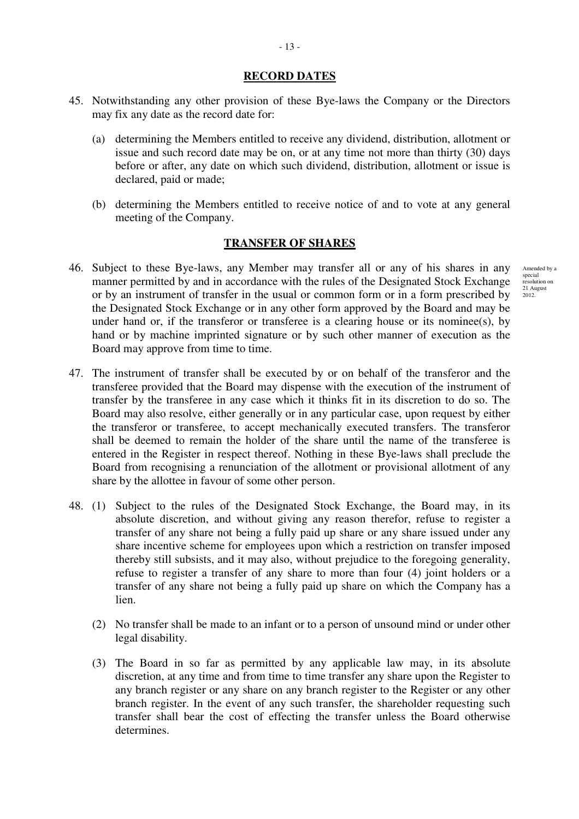### **RECORD DATES**

- 45. Notwithstanding any other provision of these Bye-laws the Company or the Directors may fix any date as the record date for:
	- (a) determining the Members entitled to receive any dividend, distribution, allotment or issue and such record date may be on, or at any time not more than thirty (30) days before or after, any date on which such dividend, distribution, allotment or issue is declared, paid or made;
	- (b) determining the Members entitled to receive notice of and to vote at any general meeting of the Company.

## **TRANSFER OF SHARES**

- 46. Subject to these Bye-laws, any Member may transfer all or any of his shares in any manner permitted by and in accordance with the rules of the Designated Stock Exchange or by an instrument of transfer in the usual or common form or in a form prescribed by the Designated Stock Exchange or in any other form approved by the Board and may be under hand or, if the transferor or transferee is a clearing house or its nominee(s), by hand or by machine imprinted signature or by such other manner of execution as the Board may approve from time to time.
- 47. The instrument of transfer shall be executed by or on behalf of the transferor and the transferee provided that the Board may dispense with the execution of the instrument of transfer by the transferee in any case which it thinks fit in its discretion to do so. The Board may also resolve, either generally or in any particular case, upon request by either the transferor or transferee, to accept mechanically executed transfers. The transferor shall be deemed to remain the holder of the share until the name of the transferee is entered in the Register in respect thereof. Nothing in these Bye-laws shall preclude the Board from recognising a renunciation of the allotment or provisional allotment of any share by the allottee in favour of some other person.
- 48. (1) Subject to the rules of the Designated Stock Exchange, the Board may, in its absolute discretion, and without giving any reason therefor, refuse to register a transfer of any share not being a fully paid up share or any share issued under any share incentive scheme for employees upon which a restriction on transfer imposed thereby still subsists, and it may also, without prejudice to the foregoing generality, refuse to register a transfer of any share to more than four (4) joint holders or a transfer of any share not being a fully paid up share on which the Company has a lien.
	- (2) No transfer shall be made to an infant or to a person of unsound mind or under other legal disability.
	- (3) The Board in so far as permitted by any applicable law may, in its absolute discretion, at any time and from time to time transfer any share upon the Register to any branch register or any share on any branch register to the Register or any other branch register. In the event of any such transfer, the shareholder requesting such transfer shall bear the cost of effecting the transfer unless the Board otherwise determines.

Amended by a special resolution on 21 August 2012.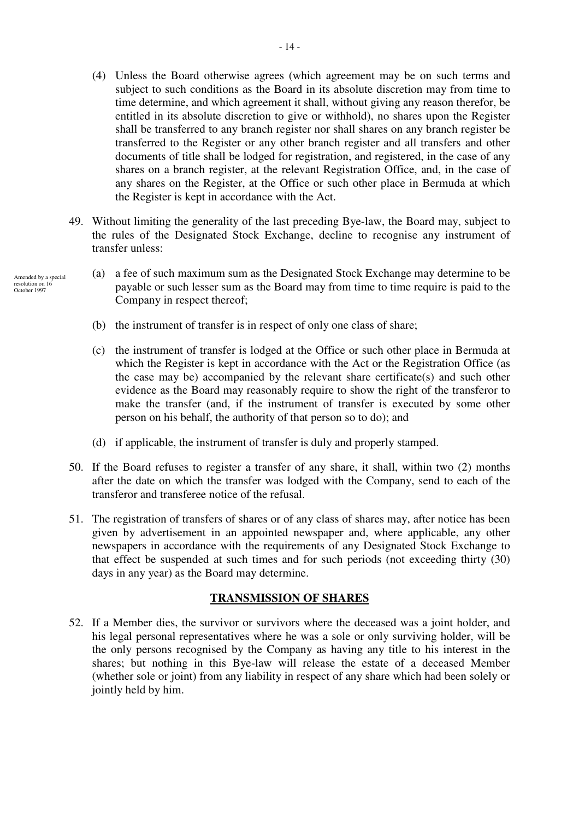- (4) Unless the Board otherwise agrees (which agreement may be on such terms and subject to such conditions as the Board in its absolute discretion may from time to time determine, and which agreement it shall, without giving any reason therefor, be entitled in its absolute discretion to give or withhold), no shares upon the Register shall be transferred to any branch register nor shall shares on any branch register be transferred to the Register or any other branch register and all transfers and other documents of title shall be lodged for registration, and registered, in the case of any shares on a branch register, at the relevant Registration Office, and, in the case of any shares on the Register, at the Office or such other place in Bermuda at which the Register is kept in accordance with the Act.
- 49. Without limiting the generality of the last preceding Bye-law, the Board may, subject to the rules of the Designated Stock Exchange, decline to recognise any instrument of transfer unless:
- (a) a fee of such maximum sum as the Designated Stock Exchange may determine to be Amended by a special resolution on 16 October 1997
	- payable or such lesser sum as the Board may from time to time require is paid to the Company in respect thereof;
	- (b) the instrument of transfer is in respect of only one class of share;
	- (c) the instrument of transfer is lodged at the Office or such other place in Bermuda at which the Register is kept in accordance with the Act or the Registration Office (as the case may be) accompanied by the relevant share certificate(s) and such other evidence as the Board may reasonably require to show the right of the transferor to make the transfer (and, if the instrument of transfer is executed by some other person on his behalf, the authority of that person so to do); and
	- (d) if applicable, the instrument of transfer is duly and properly stamped.
	- 50. If the Board refuses to register a transfer of any share, it shall, within two (2) months after the date on which the transfer was lodged with the Company, send to each of the transferor and transferee notice of the refusal.
	- 51. The registration of transfers of shares or of any class of shares may, after notice has been given by advertisement in an appointed newspaper and, where applicable, any other newspapers in accordance with the requirements of any Designated Stock Exchange to that effect be suspended at such times and for such periods (not exceeding thirty (30) days in any year) as the Board may determine.

# **TRANSMISSION OF SHARES**

52. If a Member dies, the survivor or survivors where the deceased was a joint holder, and his legal personal representatives where he was a sole or only surviving holder, will be the only persons recognised by the Company as having any title to his interest in the shares; but nothing in this Bye-law will release the estate of a deceased Member (whether sole or joint) from any liability in respect of any share which had been solely or jointly held by him.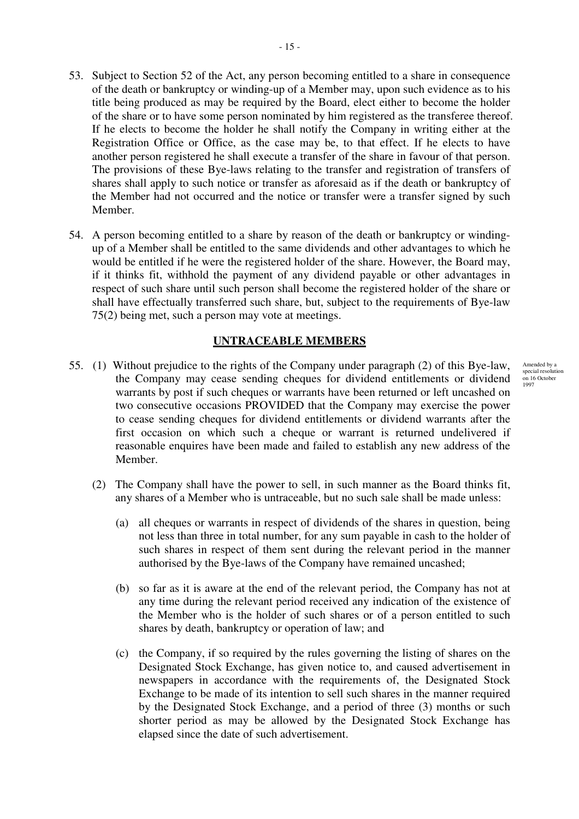- 53. Subject to Section 52 of the Act, any person becoming entitled to a share in consequence of the death or bankruptcy or winding-up of a Member may, upon such evidence as to his title being produced as may be required by the Board, elect either to become the holder of the share or to have some person nominated by him registered as the transferee thereof. If he elects to become the holder he shall notify the Company in writing either at the Registration Office or Office, as the case may be, to that effect. If he elects to have another person registered he shall execute a transfer of the share in favour of that person. The provisions of these Bye-laws relating to the transfer and registration of transfers of shares shall apply to such notice or transfer as aforesaid as if the death or bankruptcy of the Member had not occurred and the notice or transfer were a transfer signed by such Member.
- 54. A person becoming entitled to a share by reason of the death or bankruptcy or windingup of a Member shall be entitled to the same dividends and other advantages to which he would be entitled if he were the registered holder of the share. However, the Board may, if it thinks fit, withhold the payment of any dividend payable or other advantages in respect of such share until such person shall become the registered holder of the share or shall have effectually transferred such share, but, subject to the requirements of Bye-law 75(2) being met, such a person may vote at meetings.

## **UNTRACEABLE MEMBERS**

- 55. (1) Without prejudice to the rights of the Company under paragraph (2) of this Bye-law, the Company may cease sending cheques for dividend entitlements or dividend warrants by post if such cheques or warrants have been returned or left uncashed on two consecutive occasions PROVIDED that the Company may exercise the power to cease sending cheques for dividend entitlements or dividend warrants after the first occasion on which such a cheque or warrant is returned undelivered if reasonable enquires have been made and failed to establish any new address of the Member.
	- (2) The Company shall have the power to sell, in such manner as the Board thinks fit, any shares of a Member who is untraceable, but no such sale shall be made unless:
		- (a) all cheques or warrants in respect of dividends of the shares in question, being not less than three in total number, for any sum payable in cash to the holder of such shares in respect of them sent during the relevant period in the manner authorised by the Bye-laws of the Company have remained uncashed;
		- (b) so far as it is aware at the end of the relevant period, the Company has not at any time during the relevant period received any indication of the existence of the Member who is the holder of such shares or of a person entitled to such shares by death, bankruptcy or operation of law; and
		- (c) the Company, if so required by the rules governing the listing of shares on the Designated Stock Exchange, has given notice to, and caused advertisement in newspapers in accordance with the requirements of, the Designated Stock Exchange to be made of its intention to sell such shares in the manner required by the Designated Stock Exchange, and a period of three (3) months or such shorter period as may be allowed by the Designated Stock Exchange has elapsed since the date of such advertisement.

Amended by a special resolution on 16 October 1997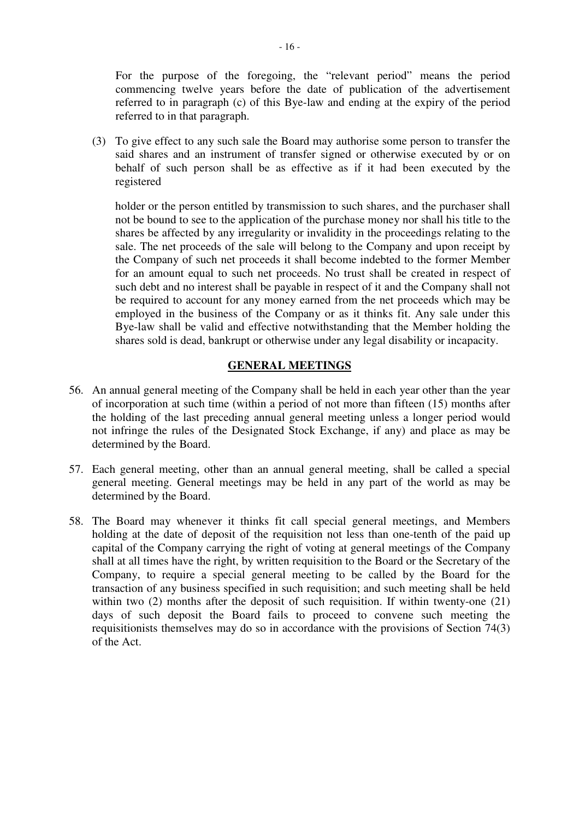For the purpose of the foregoing, the "relevant period" means the period commencing twelve years before the date of publication of the advertisement referred to in paragraph (c) of this Bye-law and ending at the expiry of the period referred to in that paragraph.

(3) To give effect to any such sale the Board may authorise some person to transfer the said shares and an instrument of transfer signed or otherwise executed by or on behalf of such person shall be as effective as if it had been executed by the registered

holder or the person entitled by transmission to such shares, and the purchaser shall not be bound to see to the application of the purchase money nor shall his title to the shares be affected by any irregularity or invalidity in the proceedings relating to the sale. The net proceeds of the sale will belong to the Company and upon receipt by the Company of such net proceeds it shall become indebted to the former Member for an amount equal to such net proceeds. No trust shall be created in respect of such debt and no interest shall be payable in respect of it and the Company shall not be required to account for any money earned from the net proceeds which may be employed in the business of the Company or as it thinks fit. Any sale under this Bye-law shall be valid and effective notwithstanding that the Member holding the shares sold is dead, bankrupt or otherwise under any legal disability or incapacity.

## **GENERAL MEETINGS**

- 56. An annual general meeting of the Company shall be held in each year other than the year of incorporation at such time (within a period of not more than fifteen (15) months after the holding of the last preceding annual general meeting unless a longer period would not infringe the rules of the Designated Stock Exchange, if any) and place as may be determined by the Board.
- 57. Each general meeting, other than an annual general meeting, shall be called a special general meeting. General meetings may be held in any part of the world as may be determined by the Board.
- 58. The Board may whenever it thinks fit call special general meetings, and Members holding at the date of deposit of the requisition not less than one-tenth of the paid up capital of the Company carrying the right of voting at general meetings of the Company shall at all times have the right, by written requisition to the Board or the Secretary of the Company, to require a special general meeting to be called by the Board for the transaction of any business specified in such requisition; and such meeting shall be held within two (2) months after the deposit of such requisition. If within twenty-one (21) days of such deposit the Board fails to proceed to convene such meeting the requisitionists themselves may do so in accordance with the provisions of Section 74(3) of the Act.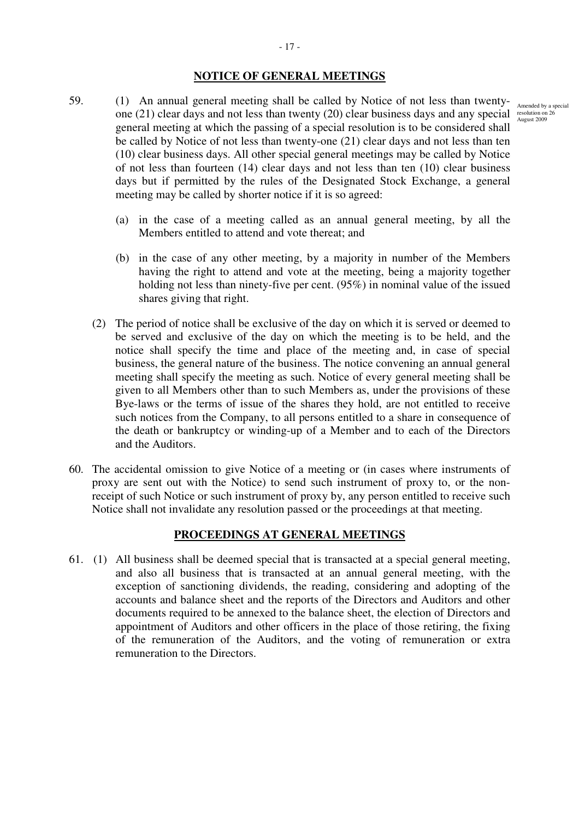### **NOTICE OF GENERAL MEETINGS**

- 59. (1) An annual general meeting shall be called by Notice of not less than twentyone (21) clear days and not less than twenty (20) clear business days and any special resolution on 26 general meeting at which the passing of a special resolution is to be considered shall be called by Notice of not less than twenty-one (21) clear days and not less than ten (10) clear business days. All other special general meetings may be called by Notice of not less than fourteen (14) clear days and not less than ten (10) clear business days but if permitted by the rules of the Designated Stock Exchange, a general meeting may be called by shorter notice if it is so agreed:
	- (a) in the case of a meeting called as an annual general meeting, by all the Members entitled to attend and vote thereat; and
	- (b) in the case of any other meeting, by a majority in number of the Members having the right to attend and vote at the meeting, being a majority together holding not less than ninety-five per cent. (95%) in nominal value of the issued shares giving that right.
	- (2) The period of notice shall be exclusive of the day on which it is served or deemed to be served and exclusive of the day on which the meeting is to be held, and the notice shall specify the time and place of the meeting and, in case of special business, the general nature of the business. The notice convening an annual general meeting shall specify the meeting as such. Notice of every general meeting shall be given to all Members other than to such Members as, under the provisions of these Bye-laws or the terms of issue of the shares they hold, are not entitled to receive such notices from the Company, to all persons entitled to a share in consequence of the death or bankruptcy or winding-up of a Member and to each of the Directors and the Auditors.
- 60. The accidental omission to give Notice of a meeting or (in cases where instruments of proxy are sent out with the Notice) to send such instrument of proxy to, or the nonreceipt of such Notice or such instrument of proxy by, any person entitled to receive such Notice shall not invalidate any resolution passed or the proceedings at that meeting.

## **PROCEEDINGS AT GENERAL MEETINGS**

61. (1) All business shall be deemed special that is transacted at a special general meeting, and also all business that is transacted at an annual general meeting, with the exception of sanctioning dividends, the reading, considering and adopting of the accounts and balance sheet and the reports of the Directors and Auditors and other documents required to be annexed to the balance sheet, the election of Directors and appointment of Auditors and other officers in the place of those retiring, the fixing of the remuneration of the Auditors, and the voting of remuneration or extra remuneration to the Directors.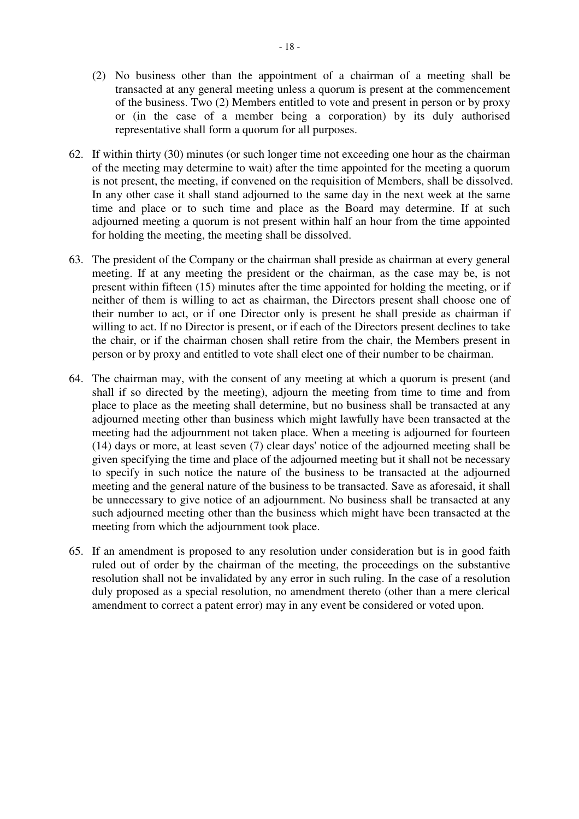- (2) No business other than the appointment of a chairman of a meeting shall be transacted at any general meeting unless a quorum is present at the commencement of the business. Two (2) Members entitled to vote and present in person or by proxy or (in the case of a member being a corporation) by its duly authorised representative shall form a quorum for all purposes.
- 62. If within thirty (30) minutes (or such longer time not exceeding one hour as the chairman of the meeting may determine to wait) after the time appointed for the meeting a quorum is not present, the meeting, if convened on the requisition of Members, shall be dissolved. In any other case it shall stand adjourned to the same day in the next week at the same time and place or to such time and place as the Board may determine. If at such adjourned meeting a quorum is not present within half an hour from the time appointed for holding the meeting, the meeting shall be dissolved.
- 63. The president of the Company or the chairman shall preside as chairman at every general meeting. If at any meeting the president or the chairman, as the case may be, is not present within fifteen (15) minutes after the time appointed for holding the meeting, or if neither of them is willing to act as chairman, the Directors present shall choose one of their number to act, or if one Director only is present he shall preside as chairman if willing to act. If no Director is present, or if each of the Directors present declines to take the chair, or if the chairman chosen shall retire from the chair, the Members present in person or by proxy and entitled to vote shall elect one of their number to be chairman.
- 64. The chairman may, with the consent of any meeting at which a quorum is present (and shall if so directed by the meeting), adjourn the meeting from time to time and from place to place as the meeting shall determine, but no business shall be transacted at any adjourned meeting other than business which might lawfully have been transacted at the meeting had the adjournment not taken place. When a meeting is adjourned for fourteen (14) days or more, at least seven (7) clear days' notice of the adjourned meeting shall be given specifying the time and place of the adjourned meeting but it shall not be necessary to specify in such notice the nature of the business to be transacted at the adjourned meeting and the general nature of the business to be transacted. Save as aforesaid, it shall be unnecessary to give notice of an adjournment. No business shall be transacted at any such adjourned meeting other than the business which might have been transacted at the meeting from which the adjournment took place.
- 65. If an amendment is proposed to any resolution under consideration but is in good faith ruled out of order by the chairman of the meeting, the proceedings on the substantive resolution shall not be invalidated by any error in such ruling. In the case of a resolution duly proposed as a special resolution, no amendment thereto (other than a mere clerical amendment to correct a patent error) may in any event be considered or voted upon.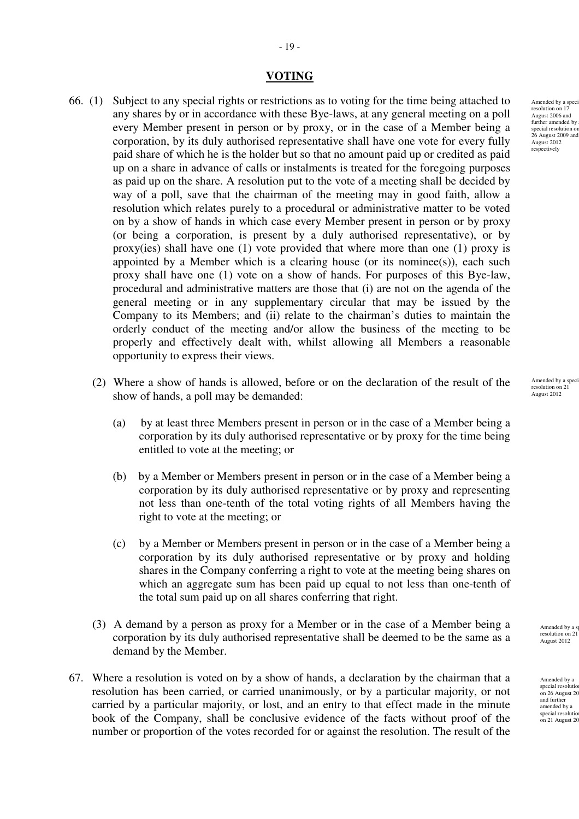#### **VOTING**

- 66. (1) Subject to any special rights or restrictions as to voting for the time being attached to any shares by or in accordance with these Bye-laws, at any general meeting on a poll every Member present in person or by proxy, or in the case of a Member being a corporation, by its duly authorised representative shall have one vote for every fully paid share of which he is the holder but so that no amount paid up or credited as paid up on a share in advance of calls or instalments is treated for the foregoing purposes as paid up on the share. A resolution put to the vote of a meeting shall be decided by way of a poll, save that the chairman of the meeting may in good faith, allow a resolution which relates purely to a procedural or administrative matter to be voted on by a show of hands in which case every Member present in person or by proxy (or being a corporation, is present by a duly authorised representative), or by proxy(ies) shall have one (1) vote provided that where more than one (1) proxy is appointed by a Member which is a clearing house (or its nominee(s)), each such proxy shall have one (1) vote on a show of hands. For purposes of this Bye-law, procedural and administrative matters are those that (i) are not on the agenda of the general meeting or in any supplementary circular that may be issued by the Company to its Members; and (ii) relate to the chairman's duties to maintain the orderly conduct of the meeting and/or allow the business of the meeting to be properly and effectively dealt with, whilst allowing all Members a reasonable opportunity to express their views.
	- (2) Where a show of hands is allowed, before or on the declaration of the result of the show of hands, a poll may be demanded:
		- (a) by at least three Members present in person or in the case of a Member being a corporation by its duly authorised representative or by proxy for the time being entitled to vote at the meeting; or
		- (b) by a Member or Members present in person or in the case of a Member being a corporation by its duly authorised representative or by proxy and representing not less than one-tenth of the total voting rights of all Members having the right to vote at the meeting; or
		- (c) by a Member or Members present in person or in the case of a Member being a corporation by its duly authorised representative or by proxy and holding shares in the Company conferring a right to vote at the meeting being shares on which an aggregate sum has been paid up equal to not less than one-tenth of the total sum paid up on all shares conferring that right.
	- (3) A demand by a person as proxy for a Member or in the case of a Member being a corporation by its duly authorised representative shall be deemed to be the same as a demand by the Member.
- 67. Where a resolution is voted on by a show of hands, a declaration by the chairman that a resolution has been carried, or carried unanimously, or by a particular majority, or not carried by a particular majority, or lost, and an entry to that effect made in the minute book of the Company, shall be conclusive evidence of the facts without proof of the number or proportion of the votes recorded for or against the resolution. The result of the

Amended by a speci resolution on 17 August 2006 and further amended by a<br>special resolution on 26 August 2009 and August 2012 respectively

Amended by a speci resolution on 21 August 2012

> Amended by a special resolution on 21 August 2012

Amended by a special resolution on  $26$  August  $20$ and further amended by a special resolutio on 21 August 20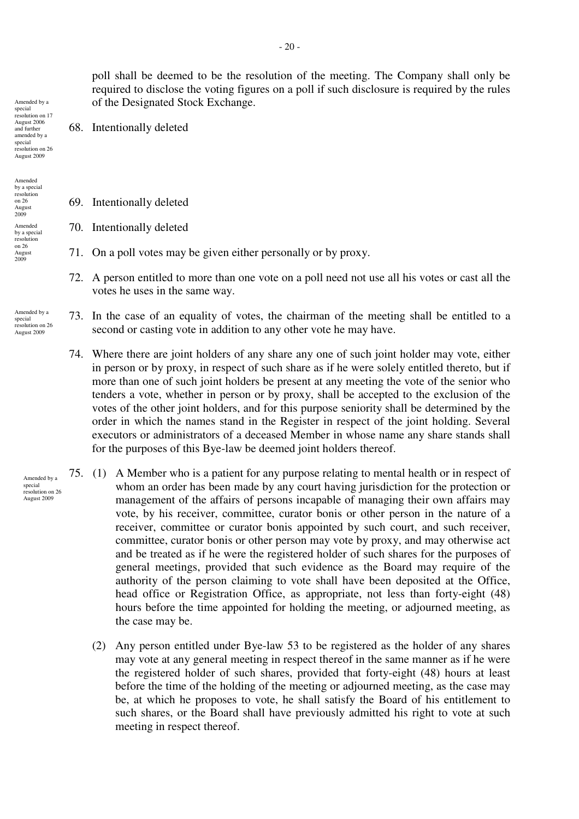poll shall be deemed to be the resolution of the meeting. The Company shall only be required to disclose the voting figures on a poll if such disclosure is required by the rules of the Designated Stock Exchange.

68. Intentionally deleted

special resolution on 17 August 2006 and further amended by a special resolution on 26 August 2009

Amended by a

Amended by a special resolution on 26 August 2009 Amended by a special resolution  $\frac{26}{26}$ August 2009

Amended by a special resolution on 26 August 2009

> Amended by a special resolution on 26 August 2009

- 69. Intentionally deleted
- 70. Intentionally deleted
- 71. On a poll votes may be given either personally or by proxy.
- 72. A person entitled to more than one vote on a poll need not use all his votes or cast all the votes he uses in the same way.
- 73. In the case of an equality of votes, the chairman of the meeting shall be entitled to a second or casting vote in addition to any other vote he may have.
	- 74. Where there are joint holders of any share any one of such joint holder may vote, either in person or by proxy, in respect of such share as if he were solely entitled thereto, but if more than one of such joint holders be present at any meeting the vote of the senior who tenders a vote, whether in person or by proxy, shall be accepted to the exclusion of the votes of the other joint holders, and for this purpose seniority shall be determined by the order in which the names stand in the Register in respect of the joint holding. Several executors or administrators of a deceased Member in whose name any share stands shall for the purposes of this Bye-law be deemed joint holders thereof.
- 75. (1) A Member who is a patient for any purpose relating to mental health or in respect of whom an order has been made by any court having jurisdiction for the protection or management of the affairs of persons incapable of managing their own affairs may vote, by his receiver, committee, curator bonis or other person in the nature of a receiver, committee or curator bonis appointed by such court, and such receiver, committee, curator bonis or other person may vote by proxy, and may otherwise act and be treated as if he were the registered holder of such shares for the purposes of general meetings, provided that such evidence as the Board may require of the authority of the person claiming to vote shall have been deposited at the Office, head office or Registration Office, as appropriate, not less than forty-eight (48) hours before the time appointed for holding the meeting, or adjourned meeting, as the case may be.
	- (2) Any person entitled under Bye-law 53 to be registered as the holder of any shares may vote at any general meeting in respect thereof in the same manner as if he were the registered holder of such shares, provided that forty-eight (48) hours at least before the time of the holding of the meeting or adjourned meeting, as the case may be, at which he proposes to vote, he shall satisfy the Board of his entitlement to such shares, or the Board shall have previously admitted his right to vote at such meeting in respect thereof.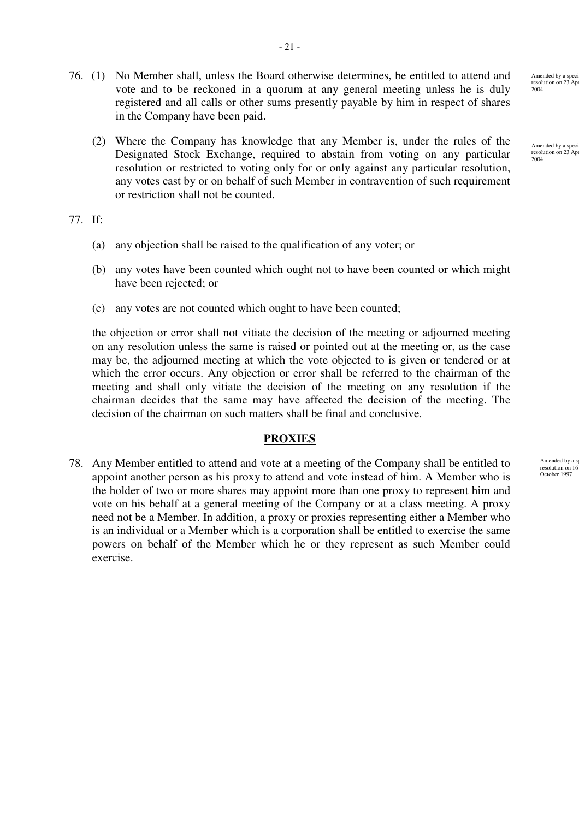- 76. (1) No Member shall, unless the Board otherwise determines, be entitled to attend and vote and to be reckoned in a quorum at any general meeting unless he is duly registered and all calls or other sums presently payable by him in respect of shares in the Company have been paid.
	- (2) Where the Company has knowledge that any Member is, under the rules of the Designated Stock Exchange, required to abstain from voting on any particular resolution or restricted to voting only for or only against any particular resolution, any votes cast by or on behalf of such Member in contravention of such requirement or restriction shall not be counted.

#### 77. If:

- (a) any objection shall be raised to the qualification of any voter; or
- (b) any votes have been counted which ought not to have been counted or which might have been rejected; or
- (c) any votes are not counted which ought to have been counted;

the objection or error shall not vitiate the decision of the meeting or adjourned meeting on any resolution unless the same is raised or pointed out at the meeting or, as the case may be, the adjourned meeting at which the vote objected to is given or tendered or at which the error occurs. Any objection or error shall be referred to the chairman of the meeting and shall only vitiate the decision of the meeting on any resolution if the chairman decides that the same may have affected the decision of the meeting. The decision of the chairman on such matters shall be final and conclusive.

## **PROXIES**

78. Any Member entitled to attend and vote at a meeting of the Company shall be entitled to appoint another person as his proxy to attend and vote instead of him. A Member who is the holder of two or more shares may appoint more than one proxy to represent him and vote on his behalf at a general meeting of the Company or at a class meeting. A proxy need not be a Member. In addition, a proxy or proxies representing either a Member who is an individual or a Member which is a corporation shall be entitled to exercise the same powers on behalf of the Member which he or they represent as such Member could exercise.

Amended by a resolution on 16 October 1997

Amended by a resolution on  $23$  Ap 2004

Amended by a speci resolution on 23 Apr<br>2004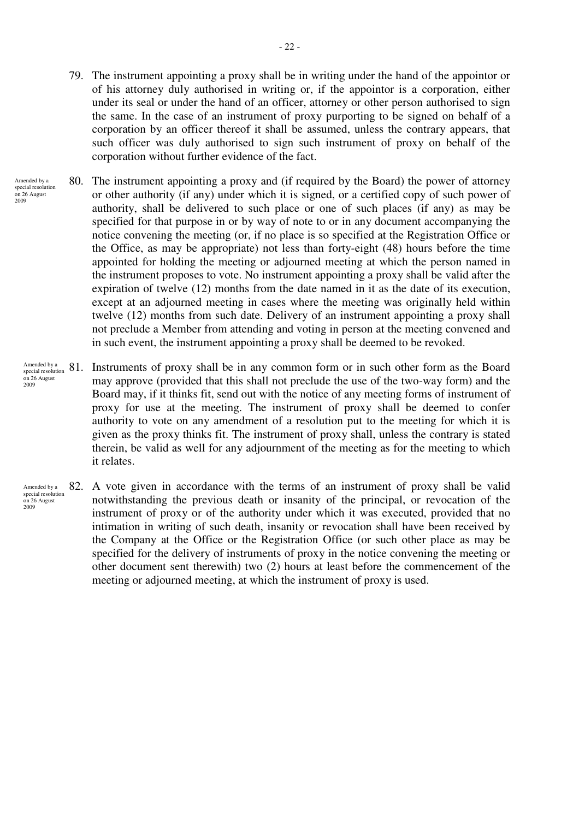- 79. The instrument appointing a proxy shall be in writing under the hand of the appointor or of his attorney duly authorised in writing or, if the appointor is a corporation, either under its seal or under the hand of an officer, attorney or other person authorised to sign the same. In the case of an instrument of proxy purporting to be signed on behalf of a corporation by an officer thereof it shall be assumed, unless the contrary appears, that such officer was duly authorised to sign such instrument of proxy on behalf of the corporation without further evidence of the fact.
- 80. The instrument appointing a proxy and (if required by the Board) the power of attorney or other authority (if any) under which it is signed, or a certified copy of such power of authority, shall be delivered to such place or one of such places (if any) as may be specified for that purpose in or by way of note to or in any document accompanying the notice convening the meeting (or, if no place is so specified at the Registration Office or the Office, as may be appropriate) not less than forty-eight (48) hours before the time appointed for holding the meeting or adjourned meeting at which the person named in the instrument proposes to vote. No instrument appointing a proxy shall be valid after the expiration of twelve (12) months from the date named in it as the date of its execution, except at an adjourned meeting in cases where the meeting was originally held within twelve (12) months from such date. Delivery of an instrument appointing a proxy shall not preclude a Member from attending and voting in person at the meeting convened and in such event, the instrument appointing a proxy shall be deemed to be revoked. Amended by a  $s$ pecial resolution on 26 August

2009

- Instruments of proxy shall be in any common form or in such other form as the Board may approve (provided that this shall not preclude the use of the two-way form) and the Board may, if it thinks fit, send out with the notice of any meeting forms of instrument of proxy for use at the meeting. The instrument of proxy shall be deemed to confer authority to vote on any amendment of a resolution put to the meeting for which it is given as the proxy thinks fit. The instrument of proxy shall, unless the contrary is stated therein, be valid as well for any adjournment of the meeting as for the meeting to which it relates. Amended by a special resolution on 26 August 2009
- 82. A vote given in accordance with the terms of an instrument of proxy shall be valid notwithstanding the previous death or insanity of the principal, or revocation of the instrument of proxy or of the authority under which it was executed, provided that no intimation in writing of such death, insanity or revocation shall have been received by the Company at the Office or the Registration Office (or such other place as may be specified for the delivery of instruments of proxy in the notice convening the meeting or other document sent therewith) two (2) hours at least before the commencement of the meeting or adjourned meeting, at which the instrument of proxy is used. Amended by a special resolution on 26 August  $2009$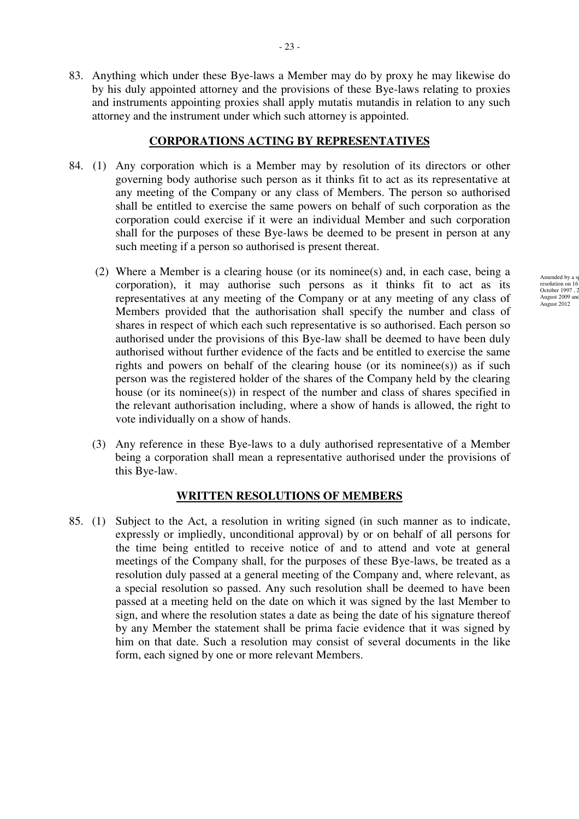83. Anything which under these Bye-laws a Member may do by proxy he may likewise do by his duly appointed attorney and the provisions of these Bye-laws relating to proxies and instruments appointing proxies shall apply mutatis mutandis in relation to any such attorney and the instrument under which such attorney is appointed.

#### **CORPORATIONS ACTING BY REPRESENTATIVES**

- 84. (1) Any corporation which is a Member may by resolution of its directors or other governing body authorise such person as it thinks fit to act as its representative at any meeting of the Company or any class of Members. The person so authorised shall be entitled to exercise the same powers on behalf of such corporation as the corporation could exercise if it were an individual Member and such corporation shall for the purposes of these Bye-laws be deemed to be present in person at any such meeting if a person so authorised is present thereat.
	- (2) Where a Member is a clearing house (or its nominee(s) and, in each case, being a corporation), it may authorise such persons as it thinks fit to act as its representatives at any meeting of the Company or at any meeting of any class of Members provided that the authorisation shall specify the number and class of shares in respect of which each such representative is so authorised. Each person so authorised under the provisions of this Bye-law shall be deemed to have been duly authorised without further evidence of the facts and be entitled to exercise the same rights and powers on behalf of the clearing house (or its nomines)) as if such person was the registered holder of the shares of the Company held by the clearing house (or its nominee(s)) in respect of the number and class of shares specified in the relevant authorisation including, where a show of hands is allowed, the right to vote individually on a show of hands.
	- (3) Any reference in these Bye-laws to a duly authorised representative of a Member being a corporation shall mean a representative authorised under the provisions of this Bye-law.

## **WRITTEN RESOLUTIONS OF MEMBERS**

85. (1) Subject to the Act, a resolution in writing signed (in such manner as to indicate, expressly or impliedly, unconditional approval) by or on behalf of all persons for the time being entitled to receive notice of and to attend and vote at general meetings of the Company shall, for the purposes of these Bye-laws, be treated as a resolution duly passed at a general meeting of the Company and, where relevant, as a special resolution so passed. Any such resolution shall be deemed to have been passed at a meeting held on the date on which it was signed by the last Member to sign, and where the resolution states a date as being the date of his signature thereof by any Member the statement shall be prima facie evidence that it was signed by him on that date. Such a resolution may consist of several documents in the like form, each signed by one or more relevant Members.

Amended by a resolution on 16 October 1997, 2<br>August 2009 and August 2009 a August 2012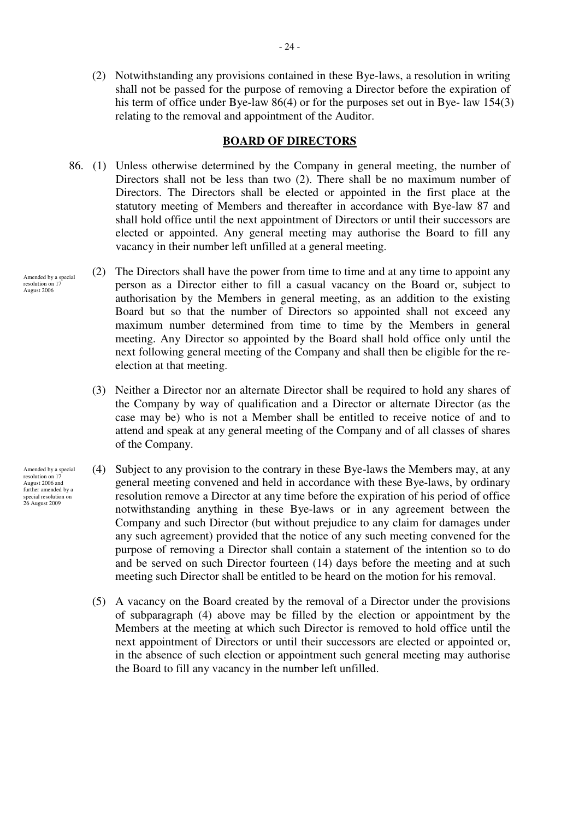(2) Notwithstanding any provisions contained in these Bye-laws, a resolution in writing shall not be passed for the purpose of removing a Director before the expiration of his term of office under Bye-law 86(4) or for the purposes set out in Bye- law 154(3) relating to the removal and appointment of the Auditor.

#### **BOARD OF DIRECTORS**

- 86. (1) Unless otherwise determined by the Company in general meeting, the number of Directors shall not be less than two (2). There shall be no maximum number of Directors. The Directors shall be elected or appointed in the first place at the statutory meeting of Members and thereafter in accordance with Bye-law 87 and shall hold office until the next appointment of Directors or until their successors are elected or appointed. Any general meeting may authorise the Board to fill any vacancy in their number left unfilled at a general meeting.
	- (2) The Directors shall have the power from time to time and at any time to appoint any person as a Director either to fill a casual vacancy on the Board or, subject to authorisation by the Members in general meeting, as an addition to the existing Board but so that the number of Directors so appointed shall not exceed any maximum number determined from time to time by the Members in general meeting. Any Director so appointed by the Board shall hold office only until the next following general meeting of the Company and shall then be eligible for the reelection at that meeting.
		- (3) Neither a Director nor an alternate Director shall be required to hold any shares of the Company by way of qualification and a Director or alternate Director (as the case may be) who is not a Member shall be entitled to receive notice of and to attend and speak at any general meeting of the Company and of all classes of shares of the Company.
		- (4) Subject to any provision to the contrary in these Bye-laws the Members may, at any general meeting convened and held in accordance with these Bye-laws, by ordinary resolution remove a Director at any time before the expiration of his period of office notwithstanding anything in these Bye-laws or in any agreement between the Company and such Director (but without prejudice to any claim for damages under any such agreement) provided that the notice of any such meeting convened for the purpose of removing a Director shall contain a statement of the intention so to do and be served on such Director fourteen (14) days before the meeting and at such meeting such Director shall be entitled to be heard on the motion for his removal.
			- (5) A vacancy on the Board created by the removal of a Director under the provisions of subparagraph (4) above may be filled by the election or appointment by the Members at the meeting at which such Director is removed to hold office until the next appointment of Directors or until their successors are elected or appointed or, in the absence of such election or appointment such general meeting may authorise the Board to fill any vacancy in the number left unfilled.

Amended by a special resolution on 1 August 2006

Amended by a special resolution on 17 August 2006 and further amended by a special resolution on 26 August 2009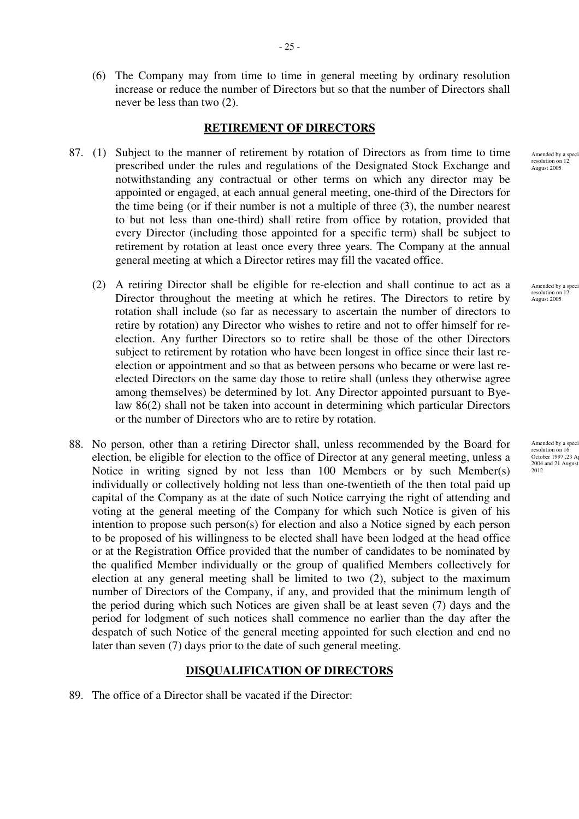(6) The Company may from time to time in general meeting by ordinary resolution increase or reduce the number of Directors but so that the number of Directors shall never be less than two (2).

## **RETIREMENT OF DIRECTORS**

- 87. (1) Subject to the manner of retirement by rotation of Directors as from time to time prescribed under the rules and regulations of the Designated Stock Exchange and notwithstanding any contractual or other terms on which any director may be appointed or engaged, at each annual general meeting, one-third of the Directors for the time being (or if their number is not a multiple of three (3), the number nearest to but not less than one-third) shall retire from office by rotation, provided that every Director (including those appointed for a specific term) shall be subject to retirement by rotation at least once every three years. The Company at the annual general meeting at which a Director retires may fill the vacated office.
	- (2) A retiring Director shall be eligible for re-election and shall continue to act as a Director throughout the meeting at which he retires. The Directors to retire by rotation shall include (so far as necessary to ascertain the number of directors to retire by rotation) any Director who wishes to retire and not to offer himself for reelection. Any further Directors so to retire shall be those of the other Directors subject to retirement by rotation who have been longest in office since their last reelection or appointment and so that as between persons who became or were last reelected Directors on the same day those to retire shall (unless they otherwise agree among themselves) be determined by lot. Any Director appointed pursuant to Byelaw 86(2) shall not be taken into account in determining which particular Directors or the number of Directors who are to retire by rotation.
- 88. No person, other than a retiring Director shall, unless recommended by the Board for election, be eligible for election to the office of Director at any general meeting, unless a Notice in writing signed by not less than 100 Members or by such Member(s) individually or collectively holding not less than one-twentieth of the then total paid up capital of the Company as at the date of such Notice carrying the right of attending and voting at the general meeting of the Company for which such Notice is given of his intention to propose such person(s) for election and also a Notice signed by each person to be proposed of his willingness to be elected shall have been lodged at the head office or at the Registration Office provided that the number of candidates to be nominated by the qualified Member individually or the group of qualified Members collectively for election at any general meeting shall be limited to two (2), subject to the maximum number of Directors of the Company, if any, and provided that the minimum length of the period during which such Notices are given shall be at least seven (7) days and the period for lodgment of such notices shall commence no earlier than the day after the despatch of such Notice of the general meeting appointed for such election and end no later than seven (7) days prior to the date of such general meeting.

## **DISQUALIFICATION OF DIRECTORS**

89. The office of a Director shall be vacated if the Director:

Amended by a spec resolution on 12 August 2005

Amended by a spe resolution on 12 August 2005

Amended by a speci resolution on 16<br>October 1997 ,23 Ap 2004 and 21 August 2012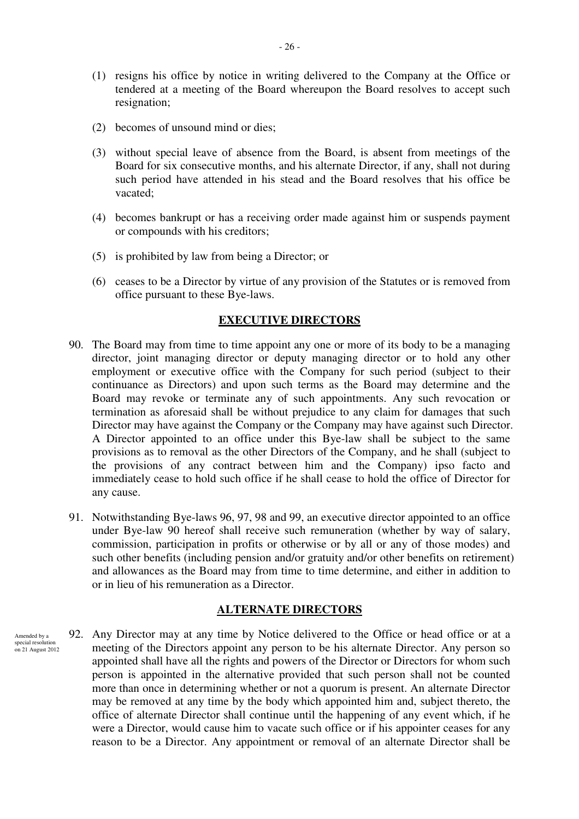- (1) resigns his office by notice in writing delivered to the Company at the Office or tendered at a meeting of the Board whereupon the Board resolves to accept such resignation;
- (2) becomes of unsound mind or dies;
- (3) without special leave of absence from the Board, is absent from meetings of the Board for six consecutive months, and his alternate Director, if any, shall not during such period have attended in his stead and the Board resolves that his office be vacated;
- (4) becomes bankrupt or has a receiving order made against him or suspends payment or compounds with his creditors;
- (5) is prohibited by law from being a Director; or
- (6) ceases to be a Director by virtue of any provision of the Statutes or is removed from office pursuant to these Bye-laws.

## **EXECUTIVE DIRECTORS**

- 90. The Board may from time to time appoint any one or more of its body to be a managing director, joint managing director or deputy managing director or to hold any other employment or executive office with the Company for such period (subject to their continuance as Directors) and upon such terms as the Board may determine and the Board may revoke or terminate any of such appointments. Any such revocation or termination as aforesaid shall be without prejudice to any claim for damages that such Director may have against the Company or the Company may have against such Director. A Director appointed to an office under this Bye-law shall be subject to the same provisions as to removal as the other Directors of the Company, and he shall (subject to the provisions of any contract between him and the Company) ipso facto and immediately cease to hold such office if he shall cease to hold the office of Director for any cause.
- 91. Notwithstanding Bye-laws 96, 97, 98 and 99, an executive director appointed to an office under Bye-law 90 hereof shall receive such remuneration (whether by way of salary, commission, participation in profits or otherwise or by all or any of those modes) and such other benefits (including pension and/or gratuity and/or other benefits on retirement) and allowances as the Board may from time to time determine, and either in addition to or in lieu of his remuneration as a Director.

## **ALTERNATE DIRECTORS**

92. Any Director may at any time by Notice delivered to the Office or head office or at a meeting of the Directors appoint any person to be his alternate Director. Any person so appointed shall have all the rights and powers of the Director or Directors for whom such person is appointed in the alternative provided that such person shall not be counted more than once in determining whether or not a quorum is present. An alternate Director may be removed at any time by the body which appointed him and, subject thereto, the office of alternate Director shall continue until the happening of any event which, if he were a Director, would cause him to vacate such office or if his appointer ceases for any reason to be a Director. Any appointment or removal of an alternate Director shall be Amended by a special resolution on 21 August 2012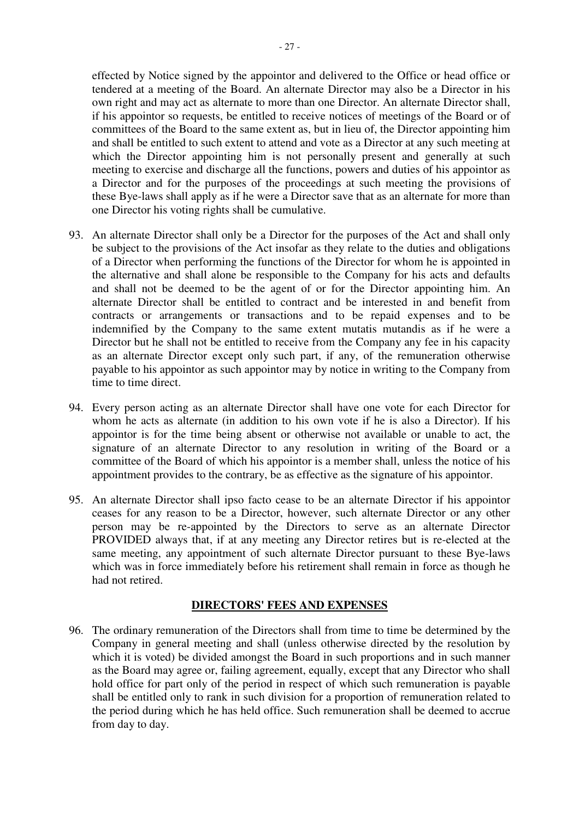effected by Notice signed by the appointor and delivered to the Office or head office or tendered at a meeting of the Board. An alternate Director may also be a Director in his own right and may act as alternate to more than one Director. An alternate Director shall, if his appointor so requests, be entitled to receive notices of meetings of the Board or of committees of the Board to the same extent as, but in lieu of, the Director appointing him and shall be entitled to such extent to attend and vote as a Director at any such meeting at which the Director appointing him is not personally present and generally at such meeting to exercise and discharge all the functions, powers and duties of his appointor as a Director and for the purposes of the proceedings at such meeting the provisions of these Bye-laws shall apply as if he were a Director save that as an alternate for more than one Director his voting rights shall be cumulative.

- 93. An alternate Director shall only be a Director for the purposes of the Act and shall only be subject to the provisions of the Act insofar as they relate to the duties and obligations of a Director when performing the functions of the Director for whom he is appointed in the alternative and shall alone be responsible to the Company for his acts and defaults and shall not be deemed to be the agent of or for the Director appointing him. An alternate Director shall be entitled to contract and be interested in and benefit from contracts or arrangements or transactions and to be repaid expenses and to be indemnified by the Company to the same extent mutatis mutandis as if he were a Director but he shall not be entitled to receive from the Company any fee in his capacity as an alternate Director except only such part, if any, of the remuneration otherwise payable to his appointor as such appointor may by notice in writing to the Company from time to time direct.
- 94. Every person acting as an alternate Director shall have one vote for each Director for whom he acts as alternate (in addition to his own vote if he is also a Director). If his appointor is for the time being absent or otherwise not available or unable to act, the signature of an alternate Director to any resolution in writing of the Board or a committee of the Board of which his appointor is a member shall, unless the notice of his appointment provides to the contrary, be as effective as the signature of his appointor.
- 95. An alternate Director shall ipso facto cease to be an alternate Director if his appointor ceases for any reason to be a Director, however, such alternate Director or any other person may be re-appointed by the Directors to serve as an alternate Director PROVIDED always that, if at any meeting any Director retires but is re-elected at the same meeting, any appointment of such alternate Director pursuant to these Bye-laws which was in force immediately before his retirement shall remain in force as though he had not retired.

## **DIRECTORS' FEES AND EXPENSES**

96. The ordinary remuneration of the Directors shall from time to time be determined by the Company in general meeting and shall (unless otherwise directed by the resolution by which it is voted) be divided amongst the Board in such proportions and in such manner as the Board may agree or, failing agreement, equally, except that any Director who shall hold office for part only of the period in respect of which such remuneration is payable shall be entitled only to rank in such division for a proportion of remuneration related to the period during which he has held office. Such remuneration shall be deemed to accrue from day to day.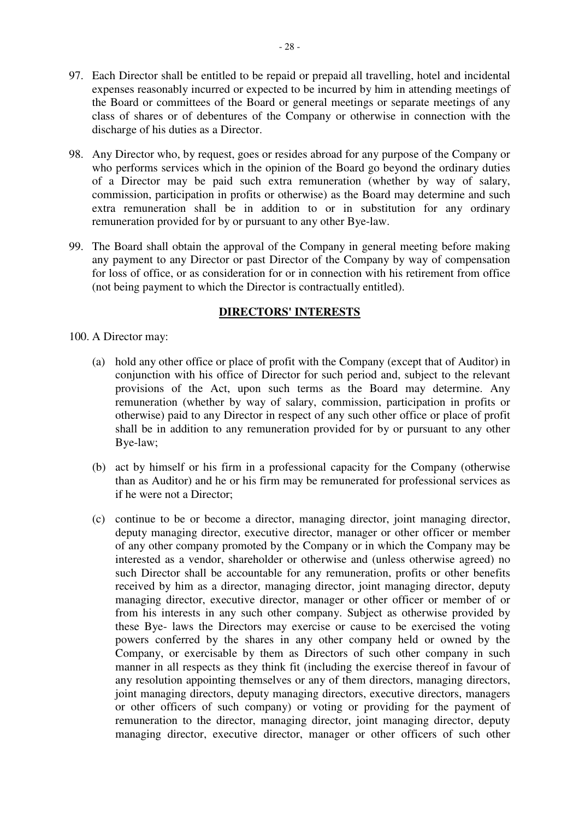- 97. Each Director shall be entitled to be repaid or prepaid all travelling, hotel and incidental expenses reasonably incurred or expected to be incurred by him in attending meetings of the Board or committees of the Board or general meetings or separate meetings of any class of shares or of debentures of the Company or otherwise in connection with the discharge of his duties as a Director.
- 98. Any Director who, by request, goes or resides abroad for any purpose of the Company or who performs services which in the opinion of the Board go beyond the ordinary duties of a Director may be paid such extra remuneration (whether by way of salary, commission, participation in profits or otherwise) as the Board may determine and such extra remuneration shall be in addition to or in substitution for any ordinary remuneration provided for by or pursuant to any other Bye-law.
- 99. The Board shall obtain the approval of the Company in general meeting before making any payment to any Director or past Director of the Company by way of compensation for loss of office, or as consideration for or in connection with his retirement from office (not being payment to which the Director is contractually entitled).

## **DIRECTORS' INTERESTS**

- 100. A Director may:
	- (a) hold any other office or place of profit with the Company (except that of Auditor) in conjunction with his office of Director for such period and, subject to the relevant provisions of the Act, upon such terms as the Board may determine. Any remuneration (whether by way of salary, commission, participation in profits or otherwise) paid to any Director in respect of any such other office or place of profit shall be in addition to any remuneration provided for by or pursuant to any other Bye-law;
	- (b) act by himself or his firm in a professional capacity for the Company (otherwise than as Auditor) and he or his firm may be remunerated for professional services as if he were not a Director;
	- (c) continue to be or become a director, managing director, joint managing director, deputy managing director, executive director, manager or other officer or member of any other company promoted by the Company or in which the Company may be interested as a vendor, shareholder or otherwise and (unless otherwise agreed) no such Director shall be accountable for any remuneration, profits or other benefits received by him as a director, managing director, joint managing director, deputy managing director, executive director, manager or other officer or member of or from his interests in any such other company. Subject as otherwise provided by these Bye- laws the Directors may exercise or cause to be exercised the voting powers conferred by the shares in any other company held or owned by the Company, or exercisable by them as Directors of such other company in such manner in all respects as they think fit (including the exercise thereof in favour of any resolution appointing themselves or any of them directors, managing directors, joint managing directors, deputy managing directors, executive directors, managers or other officers of such company) or voting or providing for the payment of remuneration to the director, managing director, joint managing director, deputy managing director, executive director, manager or other officers of such other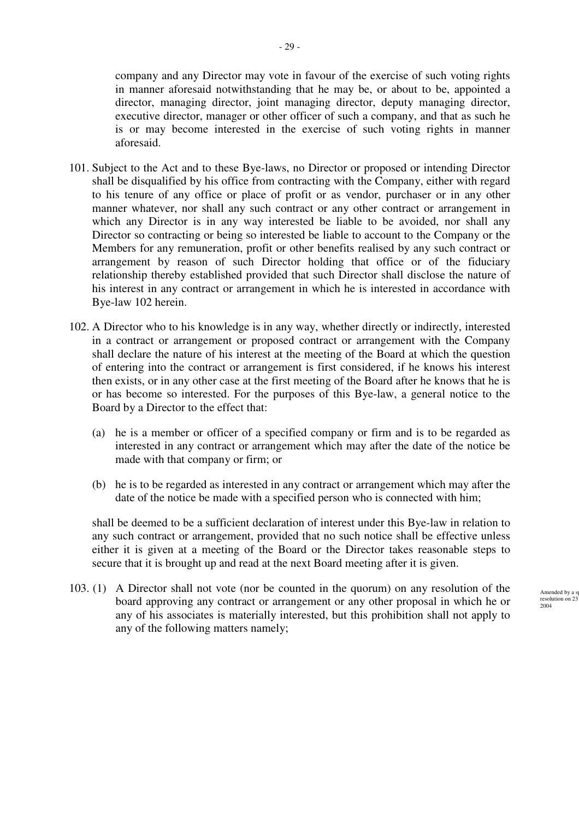company and any Director may vote in favour of the exercise of such voting rights in manner aforesaid notwithstanding that he may be, or about to be, appointed a director, managing director, joint managing director, deputy managing director, executive director, manager or other officer of such a company, and that as such he is or may become interested in the exercise of such voting rights in manner aforesaid.

- 101. Subject to the Act and to these Bye-laws, no Director or proposed or intending Director shall be disqualified by his office from contracting with the Company, either with regard to his tenure of any office or place of profit or as vendor, purchaser or in any other manner whatever, nor shall any such contract or any other contract or arrangement in which any Director is in any way interested be liable to be avoided, nor shall any Director so contracting or being so interested be liable to account to the Company or the Members for any remuneration, profit or other benefits realised by any such contract or arrangement by reason of such Director holding that office or of the fiduciary relationship thereby established provided that such Director shall disclose the nature of his interest in any contract or arrangement in which he is interested in accordance with Bye-law 102 herein.
- 102. A Director who to his knowledge is in any way, whether directly or indirectly, interested in a contract or arrangement or proposed contract or arrangement with the Company shall declare the nature of his interest at the meeting of the Board at which the question of entering into the contract or arrangement is first considered, if he knows his interest then exists, or in any other case at the first meeting of the Board after he knows that he is or has become so interested. For the purposes of this Bye-law, a general notice to the Board by a Director to the effect that:
	- (a) he is a member or officer of a specified company or firm and is to be regarded as interested in any contract or arrangement which may after the date of the notice be made with that company or firm; or
	- (b) he is to be regarded as interested in any contract or arrangement which may after the date of the notice be made with a specified person who is connected with him;

shall be deemed to be a sufficient declaration of interest under this Bye-law in relation to any such contract or arrangement, provided that no such notice shall be effective unless either it is given at a meeting of the Board or the Director takes reasonable steps to secure that it is brought up and read at the next Board meeting after it is given.

103. (1) A Director shall not vote (nor be counted in the quorum) on any resolution of the board approving any contract or arrangement or any other proposal in which he or any of his associates is materially interested, but this prohibition shall not apply to any of the following matters namely;

Amended by a s  $resolution$  on 23 2004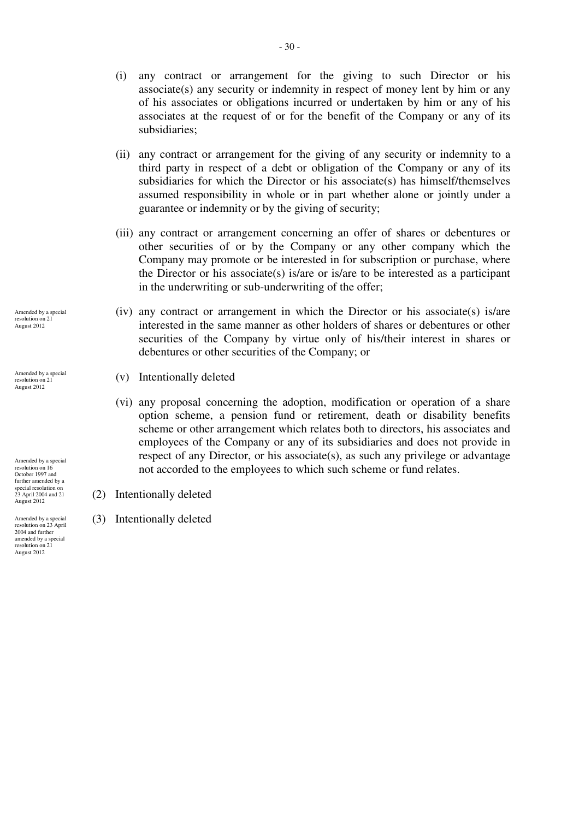- (i) any contract or arrangement for the giving to such Director or his  $\text{associate(s)}$  any security or indemnity in respect of money lent by him or any of his associates or obligations incurred or undertaken by him or any of his associates at the request of or for the benefit of the Company or any of its subsidiaries;
- (ii) any contract or arrangement for the giving of any security or indemnity to a third party in respect of a debt or obligation of the Company or any of its subsidiaries for which the Director or his associate(s) has himself/themselves assumed responsibility in whole or in part whether alone or jointly under a guarantee or indemnity or by the giving of security;
- (iii) any contract or arrangement concerning an offer of shares or debentures or other securities of or by the Company or any other company which the Company may promote or be interested in for subscription or purchase, where the Director or his associate(s) is/are or is/are to be interested as a participant in the underwriting or sub-underwriting of the offer;
- (iv) any contract or arrangement in which the Director or his associate(s) is/are interested in the same manner as other holders of shares or debentures or other securities of the Company by virtue only of his/their interest in shares or debentures or other securities of the Company; or
- (v) Intentionally deleted
- (vi) any proposal concerning the adoption, modification or operation of a share option scheme, a pension fund or retirement, death or disability benefits scheme or other arrangement which relates both to directors, his associates and employees of the Company or any of its subsidiaries and does not provide in respect of any Director, or his associate(s), as such any privilege or advantage not accorded to the employees to which such scheme or fund relates.
- (2) Intentionally deleted
- (3) Intentionally deleted

Amended by a special<br>resolution on 21 resolution on 21 August 2012

Amended by a special resolution on 21 August 2012

Amended by a special resolution on 16 October 1997 and further amended by a special resolution on 23 April 2004 and 21 August 2012

Amended by a special resolution on 23 April 2004 and further amended by a special resolution on 21 August 2012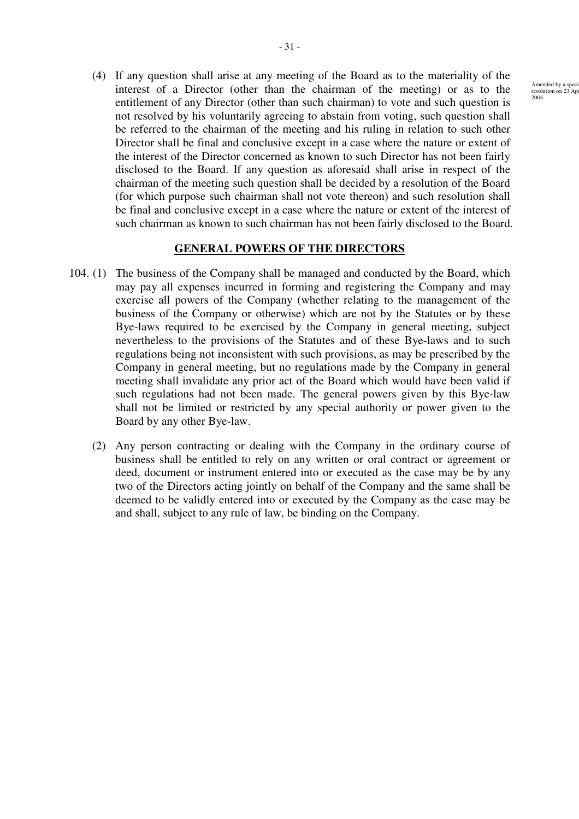(4) If any question shall arise at any meeting of the Board as to the materiality of the interest of a Director (other than the chairman of the meeting) or as to the entitlement of any Director (other than such chairman) to vote and such question is not resolved by his voluntarily agreeing to abstain from voting, such question shall be referred to the chairman of the meeting and his ruling in relation to such other Director shall be final and conclusive except in a case where the nature or extent of the interest of the Director concerned as known to such Director has not been fairly disclosed to the Board. If any question as aforesaid shall arise in respect of the chairman of the meeting such question shall be decided by a resolution of the Board (for which purpose such chairman shall not vote thereon) and such resolution shall be final and conclusive except in a case where the nature or extent of the interest of such chairman as known to such chairman has not been fairly disclosed to the Board.

# **GENERAL POWERS OF THE DIRECTORS**

- 104. (1) The business of the Company shall be managed and conducted by the Board, which may pay all expenses incurred in forming and registering the Company and may exercise all powers of the Company (whether relating to the management of the business of the Company or otherwise) which are not by the Statutes or by these Bye-laws required to be exercised by the Company in general meeting, subject nevertheless to the provisions of the Statutes and of these Bye-laws and to such regulations being not inconsistent with such provisions, as may be prescribed by the Company in general meeting, but no regulations made by the Company in general meeting shall invalidate any prior act of the Board which would have been valid if such regulations had not been made. The general powers given by this Bye-law shall not be limited or restricted by any special authority or power given to the Board by any other Bye-law.
	- (2) Any person contracting or dealing with the Company in the ordinary course of business shall be entitled to rely on any written or oral contract or agreement or deed, document or instrument entered into or executed as the case may be by any two of the Directors acting jointly on behalf of the Company and the same shall be deemed to be validly entered into or executed by the Company as the case may be and shall, subject to any rule of law, be binding on the Company.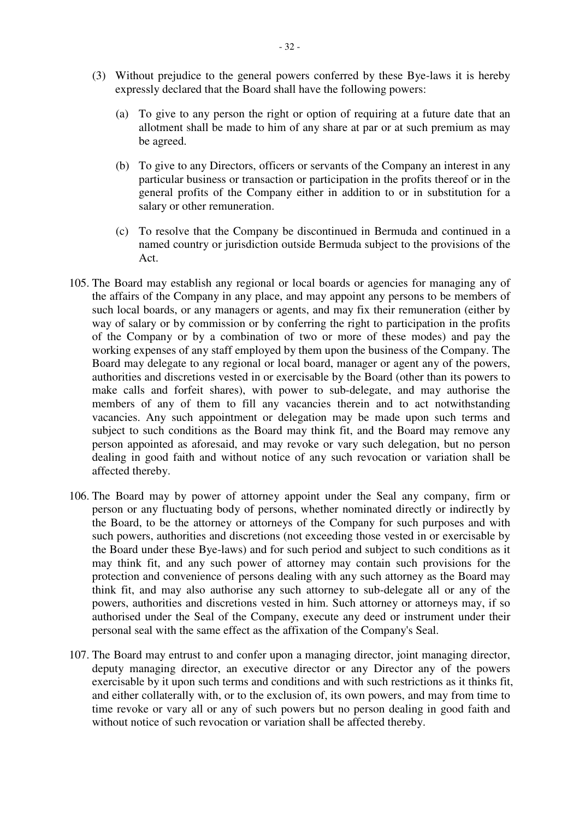- (3) Without prejudice to the general powers conferred by these Bye-laws it is hereby expressly declared that the Board shall have the following powers:
	- (a) To give to any person the right or option of requiring at a future date that an allotment shall be made to him of any share at par or at such premium as may be agreed.
	- (b) To give to any Directors, officers or servants of the Company an interest in any particular business or transaction or participation in the profits thereof or in the general profits of the Company either in addition to or in substitution for a salary or other remuneration.
	- (c) To resolve that the Company be discontinued in Bermuda and continued in a named country or jurisdiction outside Bermuda subject to the provisions of the Act.
- 105. The Board may establish any regional or local boards or agencies for managing any of the affairs of the Company in any place, and may appoint any persons to be members of such local boards, or any managers or agents, and may fix their remuneration (either by way of salary or by commission or by conferring the right to participation in the profits of the Company or by a combination of two or more of these modes) and pay the working expenses of any staff employed by them upon the business of the Company. The Board may delegate to any regional or local board, manager or agent any of the powers, authorities and discretions vested in or exercisable by the Board (other than its powers to make calls and forfeit shares), with power to sub-delegate, and may authorise the members of any of them to fill any vacancies therein and to act notwithstanding vacancies. Any such appointment or delegation may be made upon such terms and subject to such conditions as the Board may think fit, and the Board may remove any person appointed as aforesaid, and may revoke or vary such delegation, but no person dealing in good faith and without notice of any such revocation or variation shall be affected thereby.
- 106. The Board may by power of attorney appoint under the Seal any company, firm or person or any fluctuating body of persons, whether nominated directly or indirectly by the Board, to be the attorney or attorneys of the Company for such purposes and with such powers, authorities and discretions (not exceeding those vested in or exercisable by the Board under these Bye-laws) and for such period and subject to such conditions as it may think fit, and any such power of attorney may contain such provisions for the protection and convenience of persons dealing with any such attorney as the Board may think fit, and may also authorise any such attorney to sub-delegate all or any of the powers, authorities and discretions vested in him. Such attorney or attorneys may, if so authorised under the Seal of the Company, execute any deed or instrument under their personal seal with the same effect as the affixation of the Company's Seal.
- 107. The Board may entrust to and confer upon a managing director, joint managing director, deputy managing director, an executive director or any Director any of the powers exercisable by it upon such terms and conditions and with such restrictions as it thinks fit, and either collaterally with, or to the exclusion of, its own powers, and may from time to time revoke or vary all or any of such powers but no person dealing in good faith and without notice of such revocation or variation shall be affected thereby.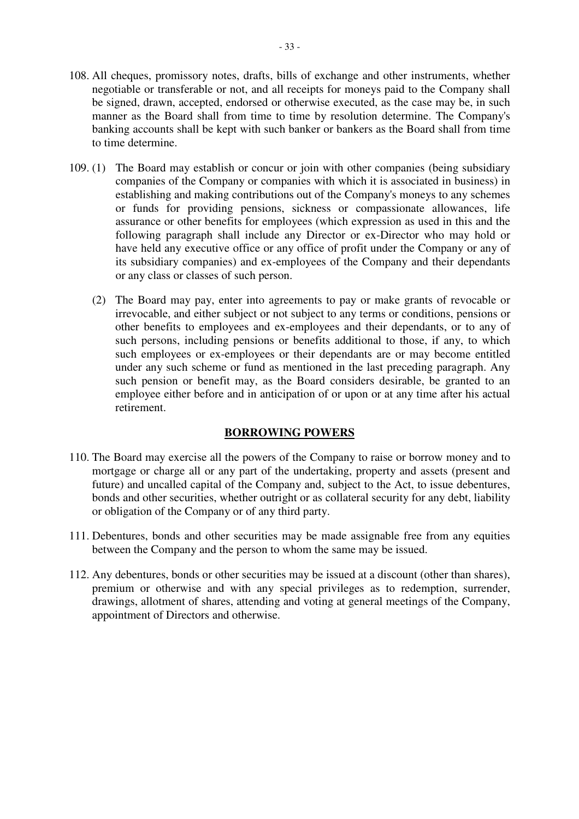- 33 -

- 108. All cheques, promissory notes, drafts, bills of exchange and other instruments, whether negotiable or transferable or not, and all receipts for moneys paid to the Company shall be signed, drawn, accepted, endorsed or otherwise executed, as the case may be, in such manner as the Board shall from time to time by resolution determine. The Company's banking accounts shall be kept with such banker or bankers as the Board shall from time to time determine.
- 109. (1) The Board may establish or concur or join with other companies (being subsidiary companies of the Company or companies with which it is associated in business) in establishing and making contributions out of the Company's moneys to any schemes or funds for providing pensions, sickness or compassionate allowances, life assurance or other benefits for employees (which expression as used in this and the following paragraph shall include any Director or ex-Director who may hold or have held any executive office or any office of profit under the Company or any of its subsidiary companies) and ex-employees of the Company and their dependants or any class or classes of such person.
	- (2) The Board may pay, enter into agreements to pay or make grants of revocable or irrevocable, and either subject or not subject to any terms or conditions, pensions or other benefits to employees and ex-employees and their dependants, or to any of such persons, including pensions or benefits additional to those, if any, to which such employees or ex-employees or their dependants are or may become entitled under any such scheme or fund as mentioned in the last preceding paragraph. Any such pension or benefit may, as the Board considers desirable, be granted to an employee either before and in anticipation of or upon or at any time after his actual retirement.

# **BORROWING POWERS**

- 110. The Board may exercise all the powers of the Company to raise or borrow money and to mortgage or charge all or any part of the undertaking, property and assets (present and future) and uncalled capital of the Company and, subject to the Act, to issue debentures, bonds and other securities, whether outright or as collateral security for any debt, liability or obligation of the Company or of any third party.
- 111. Debentures, bonds and other securities may be made assignable free from any equities between the Company and the person to whom the same may be issued.
- 112. Any debentures, bonds or other securities may be issued at a discount (other than shares), premium or otherwise and with any special privileges as to redemption, surrender, drawings, allotment of shares, attending and voting at general meetings of the Company, appointment of Directors and otherwise.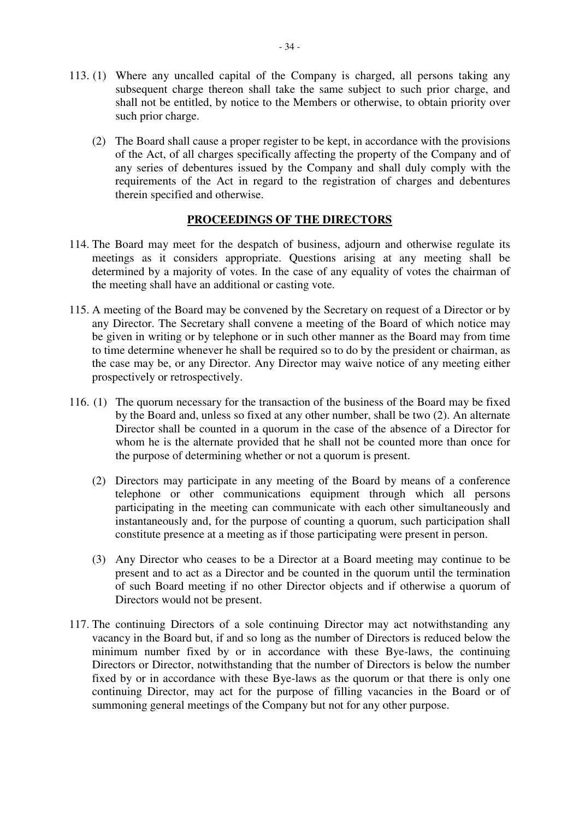- 113. (1) Where any uncalled capital of the Company is charged, all persons taking any subsequent charge thereon shall take the same subject to such prior charge, and shall not be entitled, by notice to the Members or otherwise, to obtain priority over such prior charge.
	- (2) The Board shall cause a proper register to be kept, in accordance with the provisions of the Act, of all charges specifically affecting the property of the Company and of any series of debentures issued by the Company and shall duly comply with the requirements of the Act in regard to the registration of charges and debentures therein specified and otherwise.

## **PROCEEDINGS OF THE DIRECTORS**

- 114. The Board may meet for the despatch of business, adjourn and otherwise regulate its meetings as it considers appropriate. Questions arising at any meeting shall be determined by a majority of votes. In the case of any equality of votes the chairman of the meeting shall have an additional or casting vote.
- 115. A meeting of the Board may be convened by the Secretary on request of a Director or by any Director. The Secretary shall convene a meeting of the Board of which notice may be given in writing or by telephone or in such other manner as the Board may from time to time determine whenever he shall be required so to do by the president or chairman, as the case may be, or any Director. Any Director may waive notice of any meeting either prospectively or retrospectively.
- 116. (1) The quorum necessary for the transaction of the business of the Board may be fixed by the Board and, unless so fixed at any other number, shall be two (2). An alternate Director shall be counted in a quorum in the case of the absence of a Director for whom he is the alternate provided that he shall not be counted more than once for the purpose of determining whether or not a quorum is present.
	- (2) Directors may participate in any meeting of the Board by means of a conference telephone or other communications equipment through which all persons participating in the meeting can communicate with each other simultaneously and instantaneously and, for the purpose of counting a quorum, such participation shall constitute presence at a meeting as if those participating were present in person.
	- (3) Any Director who ceases to be a Director at a Board meeting may continue to be present and to act as a Director and be counted in the quorum until the termination of such Board meeting if no other Director objects and if otherwise a quorum of Directors would not be present.
- 117. The continuing Directors of a sole continuing Director may act notwithstanding any vacancy in the Board but, if and so long as the number of Directors is reduced below the minimum number fixed by or in accordance with these Bye-laws, the continuing Directors or Director, notwithstanding that the number of Directors is below the number fixed by or in accordance with these Bye-laws as the quorum or that there is only one continuing Director, may act for the purpose of filling vacancies in the Board or of summoning general meetings of the Company but not for any other purpose.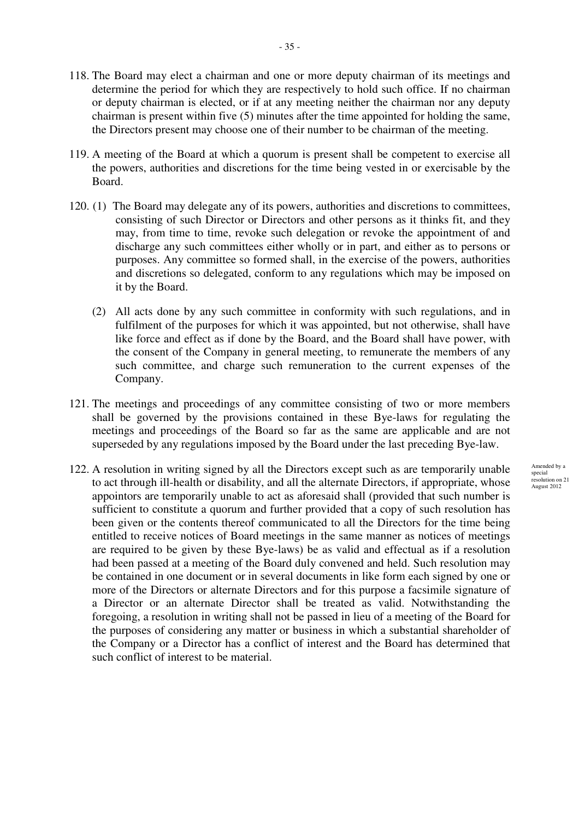- 118. The Board may elect a chairman and one or more deputy chairman of its meetings and determine the period for which they are respectively to hold such office. If no chairman or deputy chairman is elected, or if at any meeting neither the chairman nor any deputy chairman is present within five (5) minutes after the time appointed for holding the same, the Directors present may choose one of their number to be chairman of the meeting.
- 119. A meeting of the Board at which a quorum is present shall be competent to exercise all the powers, authorities and discretions for the time being vested in or exercisable by the Board.
- 120. (1) The Board may delegate any of its powers, authorities and discretions to committees, consisting of such Director or Directors and other persons as it thinks fit, and they may, from time to time, revoke such delegation or revoke the appointment of and discharge any such committees either wholly or in part, and either as to persons or purposes. Any committee so formed shall, in the exercise of the powers, authorities and discretions so delegated, conform to any regulations which may be imposed on it by the Board.
	- (2) All acts done by any such committee in conformity with such regulations, and in fulfilment of the purposes for which it was appointed, but not otherwise, shall have like force and effect as if done by the Board, and the Board shall have power, with the consent of the Company in general meeting, to remunerate the members of any such committee, and charge such remuneration to the current expenses of the Company.
- 121. The meetings and proceedings of any committee consisting of two or more members shall be governed by the provisions contained in these Bye-laws for regulating the meetings and proceedings of the Board so far as the same are applicable and are not superseded by any regulations imposed by the Board under the last preceding Bye-law.
- 122. A resolution in writing signed by all the Directors except such as are temporarily unable to act through ill-health or disability, and all the alternate Directors, if appropriate, whose appointors are temporarily unable to act as aforesaid shall (provided that such number is sufficient to constitute a quorum and further provided that a copy of such resolution has been given or the contents thereof communicated to all the Directors for the time being entitled to receive notices of Board meetings in the same manner as notices of meetings are required to be given by these Bye-laws) be as valid and effectual as if a resolution had been passed at a meeting of the Board duly convened and held. Such resolution may be contained in one document or in several documents in like form each signed by one or more of the Directors or alternate Directors and for this purpose a facsimile signature of a Director or an alternate Director shall be treated as valid. Notwithstanding the foregoing, a resolution in writing shall not be passed in lieu of a meeting of the Board for the purposes of considering any matter or business in which a substantial shareholder of the Company or a Director has a conflict of interest and the Board has determined that such conflict of interest to be material.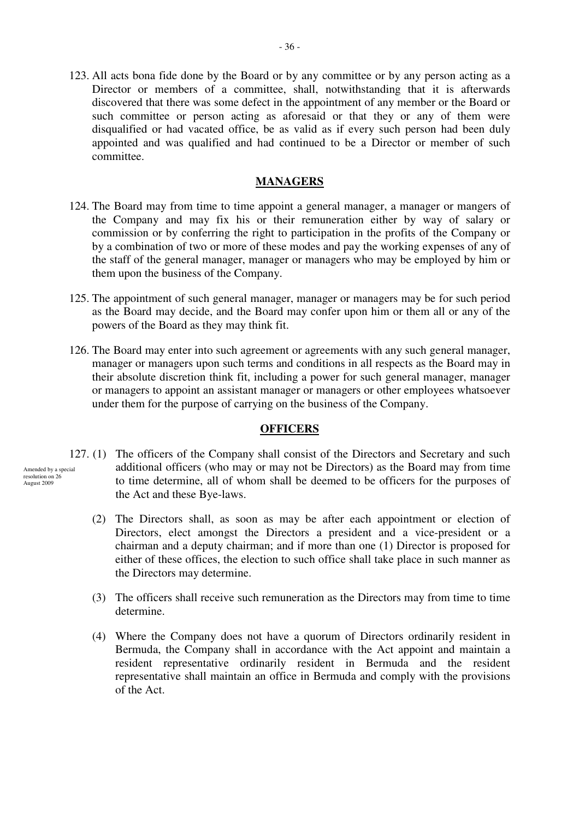123. All acts bona fide done by the Board or by any committee or by any person acting as a Director or members of a committee, shall, notwithstanding that it is afterwards discovered that there was some defect in the appointment of any member or the Board or such committee or person acting as aforesaid or that they or any of them were disqualified or had vacated office, be as valid as if every such person had been duly appointed and was qualified and had continued to be a Director or member of such committee.

## **MANAGERS**

- 124. The Board may from time to time appoint a general manager, a manager or mangers of the Company and may fix his or their remuneration either by way of salary or commission or by conferring the right to participation in the profits of the Company or by a combination of two or more of these modes and pay the working expenses of any of the staff of the general manager, manager or managers who may be employed by him or them upon the business of the Company.
- 125. The appointment of such general manager, manager or managers may be for such period as the Board may decide, and the Board may confer upon him or them all or any of the powers of the Board as they may think fit.
- 126. The Board may enter into such agreement or agreements with any such general manager, manager or managers upon such terms and conditions in all respects as the Board may in their absolute discretion think fit, including a power for such general manager, manager or managers to appoint an assistant manager or managers or other employees whatsoever under them for the purpose of carrying on the business of the Company.

## **OFFICERS**

- 127. (1) The officers of the Company shall consist of the Directors and Secretary and such additional officers (who may or may not be Directors) as the Board may from time to time determine, all of whom shall be deemed to be officers for the purposes of the Act and these Bye-laws.
	- (2) The Directors shall, as soon as may be after each appointment or election of Directors, elect amongst the Directors a president and a vice-president or a chairman and a deputy chairman; and if more than one (1) Director is proposed for either of these offices, the election to such office shall take place in such manner as the Directors may determine.
	- (3) The officers shall receive such remuneration as the Directors may from time to time determine.
	- (4) Where the Company does not have a quorum of Directors ordinarily resident in Bermuda, the Company shall in accordance with the Act appoint and maintain a resident representative ordinarily resident in Bermuda and the resident representative shall maintain an office in Bermuda and comply with the provisions of the Act.

Amended by a special resolution on 26 August 2009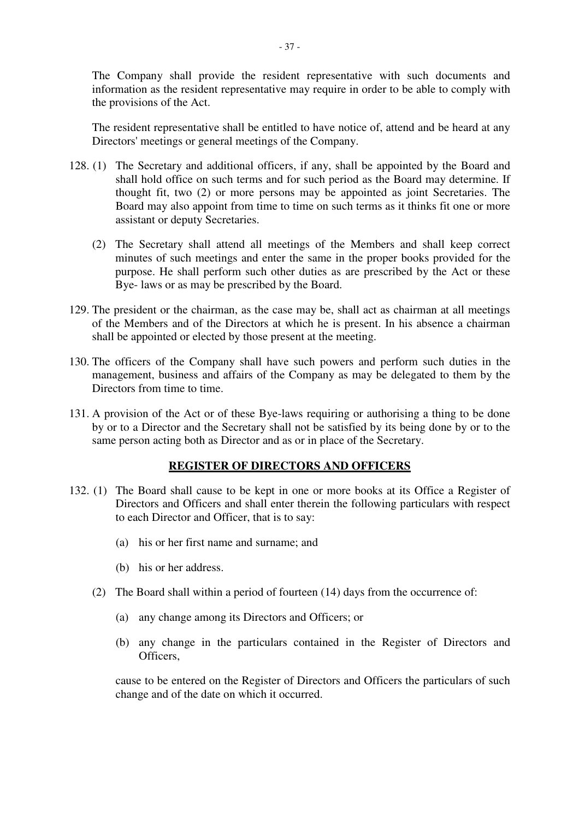The Company shall provide the resident representative with such documents and information as the resident representative may require in order to be able to comply with the provisions of the Act.

The resident representative shall be entitled to have notice of, attend and be heard at any Directors' meetings or general meetings of the Company.

- 128. (1) The Secretary and additional officers, if any, shall be appointed by the Board and shall hold office on such terms and for such period as the Board may determine. If thought fit, two (2) or more persons may be appointed as joint Secretaries. The Board may also appoint from time to time on such terms as it thinks fit one or more assistant or deputy Secretaries.
	- (2) The Secretary shall attend all meetings of the Members and shall keep correct minutes of such meetings and enter the same in the proper books provided for the purpose. He shall perform such other duties as are prescribed by the Act or these Bye- laws or as may be prescribed by the Board.
- 129. The president or the chairman, as the case may be, shall act as chairman at all meetings of the Members and of the Directors at which he is present. In his absence a chairman shall be appointed or elected by those present at the meeting.
- 130. The officers of the Company shall have such powers and perform such duties in the management, business and affairs of the Company as may be delegated to them by the Directors from time to time.
- 131. A provision of the Act or of these Bye-laws requiring or authorising a thing to be done by or to a Director and the Secretary shall not be satisfied by its being done by or to the same person acting both as Director and as or in place of the Secretary.

## **REGISTER OF DIRECTORS AND OFFICERS**

- 132. (1) The Board shall cause to be kept in one or more books at its Office a Register of Directors and Officers and shall enter therein the following particulars with respect to each Director and Officer, that is to say:
	- (a) his or her first name and surname; and
	- (b) his or her address.
	- (2) The Board shall within a period of fourteen (14) days from the occurrence of:
		- (a) any change among its Directors and Officers; or
		- (b) any change in the particulars contained in the Register of Directors and Officers,

cause to be entered on the Register of Directors and Officers the particulars of such change and of the date on which it occurred.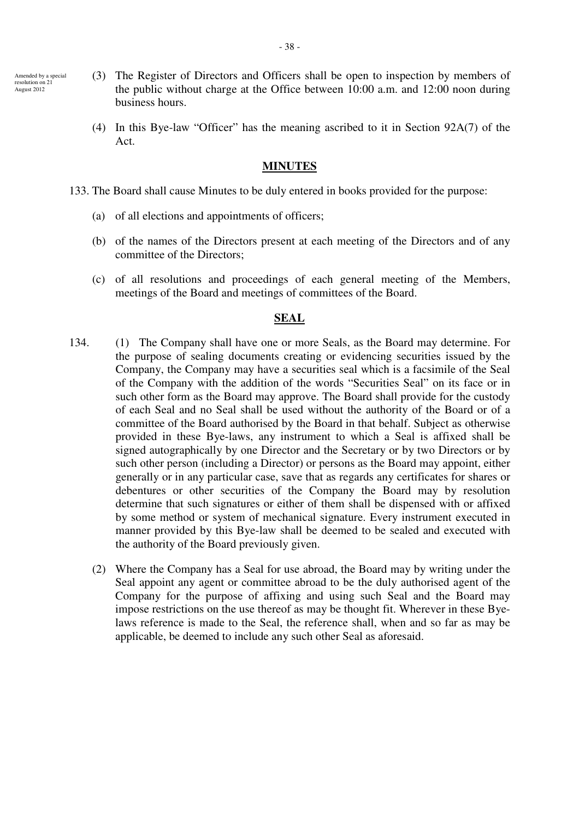- Amended by a special resolution on 21 August 2012
- (3) The Register of Directors and Officers shall be open to inspection by members of the public without charge at the Office between 10:00 a.m. and 12:00 noon during business hours.
- (4) In this Bye-law "Officer" has the meaning ascribed to it in Section 92A(7) of the Act.

#### **MINUTES**

- 133. The Board shall cause Minutes to be duly entered in books provided for the purpose:
	- (a) of all elections and appointments of officers;
	- (b) of the names of the Directors present at each meeting of the Directors and of any committee of the Directors;
	- (c) of all resolutions and proceedings of each general meeting of the Members, meetings of the Board and meetings of committees of the Board.

### **SEAL**

- 134. (1) The Company shall have one or more Seals, as the Board may determine. For the purpose of sealing documents creating or evidencing securities issued by the Company, the Company may have a securities seal which is a facsimile of the Seal of the Company with the addition of the words "Securities Seal" on its face or in such other form as the Board may approve. The Board shall provide for the custody of each Seal and no Seal shall be used without the authority of the Board or of a committee of the Board authorised by the Board in that behalf. Subject as otherwise provided in these Bye-laws, any instrument to which a Seal is affixed shall be signed autographically by one Director and the Secretary or by two Directors or by such other person (including a Director) or persons as the Board may appoint, either generally or in any particular case, save that as regards any certificates for shares or debentures or other securities of the Company the Board may by resolution determine that such signatures or either of them shall be dispensed with or affixed by some method or system of mechanical signature. Every instrument executed in manner provided by this Bye-law shall be deemed to be sealed and executed with the authority of the Board previously given.
	- (2) Where the Company has a Seal for use abroad, the Board may by writing under the Seal appoint any agent or committee abroad to be the duly authorised agent of the Company for the purpose of affixing and using such Seal and the Board may impose restrictions on the use thereof as may be thought fit. Wherever in these Byelaws reference is made to the Seal, the reference shall, when and so far as may be applicable, be deemed to include any such other Seal as aforesaid.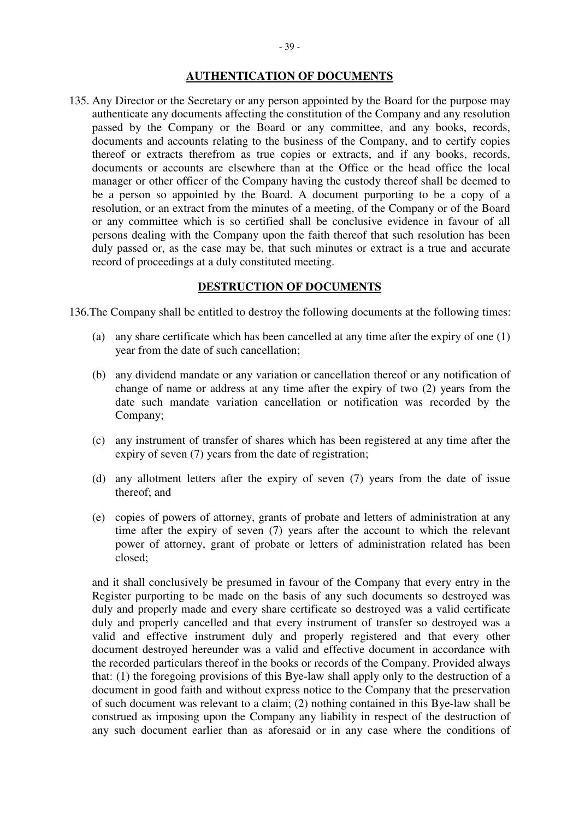## **AUTHENTICATION OF DOCUMENTS**

135. Any Director or the Secretary or any person appointed by the Board for the purpose may authenticate any documents affecting the constitution of the Company and any resolution passed by the Company or the Board or any committee, and any books, records, documents and accounts relating to the business of the Company, and to certify copies thereof or extracts therefrom as true copies or extracts, and if any books, records, documents or accounts are elsewhere than at the Office or the head office the local manager or other officer of the Company having the custody thereof shall be deemed to be a person so appointed by the Board. A document purporting to be a copy of a resolution, or an extract from the minutes of a meeting, of the Company or of the Board or any committee which is so certified shall be conclusive evidence in favour of all persons dealing with the Company upon the faith thereof that such resolution has been duly passed or, as the case may be, that such minutes or extract is a true and accurate record of proceedings at a duly constituted meeting.

## **DESTRUCTION OF DOCUMENTS**

136.The Company shall be entitled to destroy the following documents at the following times:

- (a) any share certificate which has been cancelled at any time after the expiry of one (1) year from the date of such cancellation;
- (b) any dividend mandate or any variation or cancellation thereof or any notification of change of name or address at any time after the expiry of two (2) years from the date such mandate variation cancellation or notification was recorded by the Company;
- (c) any instrument of transfer of shares which has been registered at any time after the expiry of seven (7) years from the date of registration;
- (d) any allotment letters after the expiry of seven (7) years from the date of issue thereof; and
- (e) copies of powers of attorney, grants of probate and letters of administration at any time after the expiry of seven (7) years after the account to which the relevant power of attorney, grant of probate or letters of administration related has been closed;

and it shall conclusively be presumed in favour of the Company that every entry in the Register purporting to be made on the basis of any such documents so destroyed was duly and properly made and every share certificate so destroyed was a valid certificate duly and properly cancelled and that every instrument of transfer so destroyed was a valid and effective instrument duly and properly registered and that every other document destroyed hereunder was a valid and effective document in accordance with the recorded particulars thereof in the books or records of the Company. Provided always that: (1) the foregoing provisions of this Bye-law shall apply only to the destruction of a document in good faith and without express notice to the Company that the preservation of such document was relevant to a claim; (2) nothing contained in this Bye-law shall be construed as imposing upon the Company any liability in respect of the destruction of any such document earlier than as aforesaid or in any case where the conditions of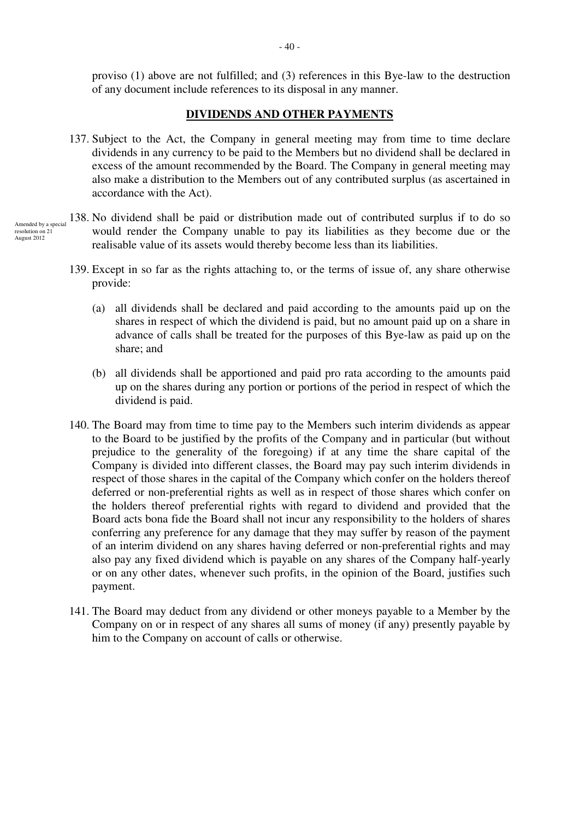proviso (1) above are not fulfilled; and (3) references in this Bye-law to the destruction of any document include references to its disposal in any manner.

## **DIVIDENDS AND OTHER PAYMENTS**

- 137. Subject to the Act, the Company in general meeting may from time to time declare dividends in any currency to be paid to the Members but no dividend shall be declared in excess of the amount recommended by the Board. The Company in general meeting may also make a distribution to the Members out of any contributed surplus (as ascertained in accordance with the Act).
- 138. No dividend shall be paid or distribution made out of contributed surplus if to do so would render the Company unable to pay its liabilities as they become due or the realisable value of its assets would thereby become less than its liabilities.
	- 139. Except in so far as the rights attaching to, or the terms of issue of, any share otherwise provide:
		- (a) all dividends shall be declared and paid according to the amounts paid up on the shares in respect of which the dividend is paid, but no amount paid up on a share in advance of calls shall be treated for the purposes of this Bye-law as paid up on the share; and
		- (b) all dividends shall be apportioned and paid pro rata according to the amounts paid up on the shares during any portion or portions of the period in respect of which the dividend is paid.
	- 140. The Board may from time to time pay to the Members such interim dividends as appear to the Board to be justified by the profits of the Company and in particular (but without prejudice to the generality of the foregoing) if at any time the share capital of the Company is divided into different classes, the Board may pay such interim dividends in respect of those shares in the capital of the Company which confer on the holders thereof deferred or non-preferential rights as well as in respect of those shares which confer on the holders thereof preferential rights with regard to dividend and provided that the Board acts bona fide the Board shall not incur any responsibility to the holders of shares conferring any preference for any damage that they may suffer by reason of the payment of an interim dividend on any shares having deferred or non-preferential rights and may also pay any fixed dividend which is payable on any shares of the Company half-yearly or on any other dates, whenever such profits, in the opinion of the Board, justifies such payment.
	- 141. The Board may deduct from any dividend or other moneys payable to a Member by the Company on or in respect of any shares all sums of money (if any) presently payable by him to the Company on account of calls or otherwise.

Amended by a special  $resolution$  on  $2<sup>1</sup>$ August 2012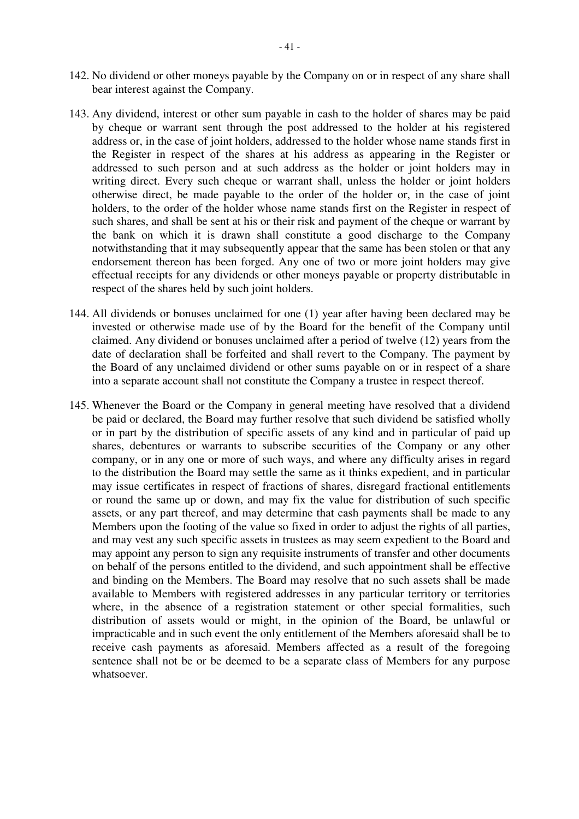- 142. No dividend or other moneys payable by the Company on or in respect of any share shall bear interest against the Company.
- 143. Any dividend, interest or other sum payable in cash to the holder of shares may be paid by cheque or warrant sent through the post addressed to the holder at his registered address or, in the case of joint holders, addressed to the holder whose name stands first in the Register in respect of the shares at his address as appearing in the Register or addressed to such person and at such address as the holder or joint holders may in writing direct. Every such cheque or warrant shall, unless the holder or joint holders otherwise direct, be made payable to the order of the holder or, in the case of joint holders, to the order of the holder whose name stands first on the Register in respect of such shares, and shall be sent at his or their risk and payment of the cheque or warrant by the bank on which it is drawn shall constitute a good discharge to the Company notwithstanding that it may subsequently appear that the same has been stolen or that any endorsement thereon has been forged. Any one of two or more joint holders may give effectual receipts for any dividends or other moneys payable or property distributable in respect of the shares held by such joint holders.
- 144. All dividends or bonuses unclaimed for one (1) year after having been declared may be invested or otherwise made use of by the Board for the benefit of the Company until claimed. Any dividend or bonuses unclaimed after a period of twelve (12) years from the date of declaration shall be forfeited and shall revert to the Company. The payment by the Board of any unclaimed dividend or other sums payable on or in respect of a share into a separate account shall not constitute the Company a trustee in respect thereof.
- 145. Whenever the Board or the Company in general meeting have resolved that a dividend be paid or declared, the Board may further resolve that such dividend be satisfied wholly or in part by the distribution of specific assets of any kind and in particular of paid up shares, debentures or warrants to subscribe securities of the Company or any other company, or in any one or more of such ways, and where any difficulty arises in regard to the distribution the Board may settle the same as it thinks expedient, and in particular may issue certificates in respect of fractions of shares, disregard fractional entitlements or round the same up or down, and may fix the value for distribution of such specific assets, or any part thereof, and may determine that cash payments shall be made to any Members upon the footing of the value so fixed in order to adjust the rights of all parties, and may vest any such specific assets in trustees as may seem expedient to the Board and may appoint any person to sign any requisite instruments of transfer and other documents on behalf of the persons entitled to the dividend, and such appointment shall be effective and binding on the Members. The Board may resolve that no such assets shall be made available to Members with registered addresses in any particular territory or territories where, in the absence of a registration statement or other special formalities, such distribution of assets would or might, in the opinion of the Board, be unlawful or impracticable and in such event the only entitlement of the Members aforesaid shall be to receive cash payments as aforesaid. Members affected as a result of the foregoing sentence shall not be or be deemed to be a separate class of Members for any purpose whatsoever.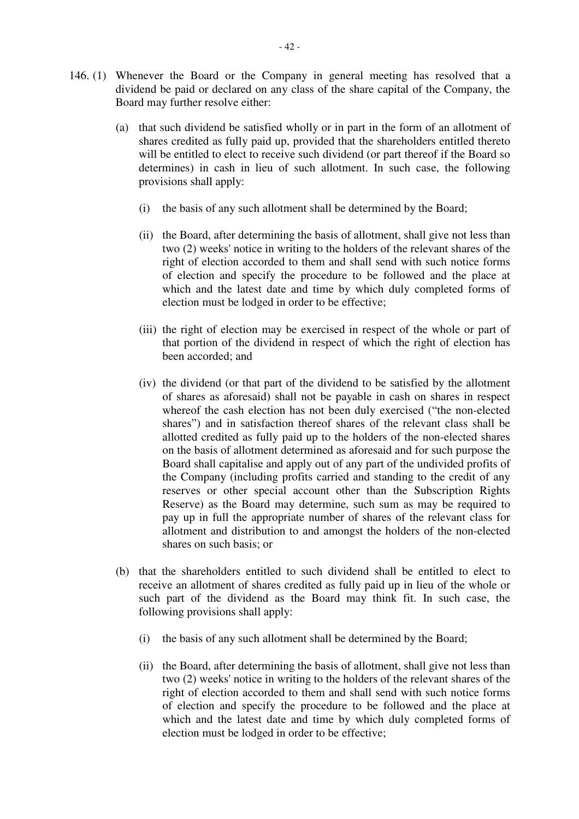- 146. (1) Whenever the Board or the Company in general meeting has resolved that a dividend be paid or declared on any class of the share capital of the Company, the Board may further resolve either:
	- (a) that such dividend be satisfied wholly or in part in the form of an allotment of shares credited as fully paid up, provided that the shareholders entitled thereto will be entitled to elect to receive such dividend (or part thereof if the Board so determines) in cash in lieu of such allotment. In such case, the following provisions shall apply:
		- (i) the basis of any such allotment shall be determined by the Board;
		- (ii) the Board, after determining the basis of allotment, shall give not less than two (2) weeks' notice in writing to the holders of the relevant shares of the right of election accorded to them and shall send with such notice forms of election and specify the procedure to be followed and the place at which and the latest date and time by which duly completed forms of election must be lodged in order to be effective;
		- (iii) the right of election may be exercised in respect of the whole or part of that portion of the dividend in respect of which the right of election has been accorded; and
		- (iv) the dividend (or that part of the dividend to be satisfied by the allotment of shares as aforesaid) shall not be payable in cash on shares in respect whereof the cash election has not been duly exercised ("the non-elected shares") and in satisfaction thereof shares of the relevant class shall be allotted credited as fully paid up to the holders of the non-elected shares on the basis of allotment determined as aforesaid and for such purpose the Board shall capitalise and apply out of any part of the undivided profits of the Company (including profits carried and standing to the credit of any reserves or other special account other than the Subscription Rights Reserve) as the Board may determine, such sum as may be required to pay up in full the appropriate number of shares of the relevant class for allotment and distribution to and amongst the holders of the non-elected shares on such basis; or
	- (b) that the shareholders entitled to such dividend shall be entitled to elect to receive an allotment of shares credited as fully paid up in lieu of the whole or such part of the dividend as the Board may think fit. In such case, the following provisions shall apply:
		- (i) the basis of any such allotment shall be determined by the Board;
		- (ii) the Board, after determining the basis of allotment, shall give not less than two (2) weeks' notice in writing to the holders of the relevant shares of the right of election accorded to them and shall send with such notice forms of election and specify the procedure to be followed and the place at which and the latest date and time by which duly completed forms of election must be lodged in order to be effective;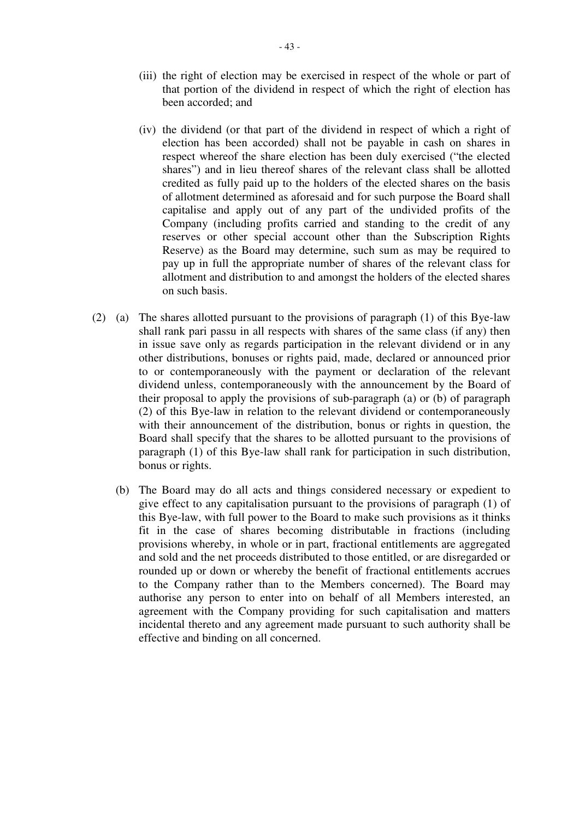- (iii) the right of election may be exercised in respect of the whole or part of that portion of the dividend in respect of which the right of election has been accorded; and
- (iv) the dividend (or that part of the dividend in respect of which a right of election has been accorded) shall not be payable in cash on shares in respect whereof the share election has been duly exercised ("the elected shares") and in lieu thereof shares of the relevant class shall be allotted credited as fully paid up to the holders of the elected shares on the basis of allotment determined as aforesaid and for such purpose the Board shall capitalise and apply out of any part of the undivided profits of the Company (including profits carried and standing to the credit of any reserves or other special account other than the Subscription Rights Reserve) as the Board may determine, such sum as may be required to pay up in full the appropriate number of shares of the relevant class for allotment and distribution to and amongst the holders of the elected shares on such basis.
- (2) (a) The shares allotted pursuant to the provisions of paragraph (1) of this Bye-law shall rank pari passu in all respects with shares of the same class (if any) then in issue save only as regards participation in the relevant dividend or in any other distributions, bonuses or rights paid, made, declared or announced prior to or contemporaneously with the payment or declaration of the relevant dividend unless, contemporaneously with the announcement by the Board of their proposal to apply the provisions of sub-paragraph (a) or (b) of paragraph (2) of this Bye-law in relation to the relevant dividend or contemporaneously with their announcement of the distribution, bonus or rights in question, the Board shall specify that the shares to be allotted pursuant to the provisions of paragraph (1) of this Bye-law shall rank for participation in such distribution, bonus or rights.
	- (b) The Board may do all acts and things considered necessary or expedient to give effect to any capitalisation pursuant to the provisions of paragraph (1) of this Bye-law, with full power to the Board to make such provisions as it thinks fit in the case of shares becoming distributable in fractions (including provisions whereby, in whole or in part, fractional entitlements are aggregated and sold and the net proceeds distributed to those entitled, or are disregarded or rounded up or down or whereby the benefit of fractional entitlements accrues to the Company rather than to the Members concerned). The Board may authorise any person to enter into on behalf of all Members interested, an agreement with the Company providing for such capitalisation and matters incidental thereto and any agreement made pursuant to such authority shall be effective and binding on all concerned.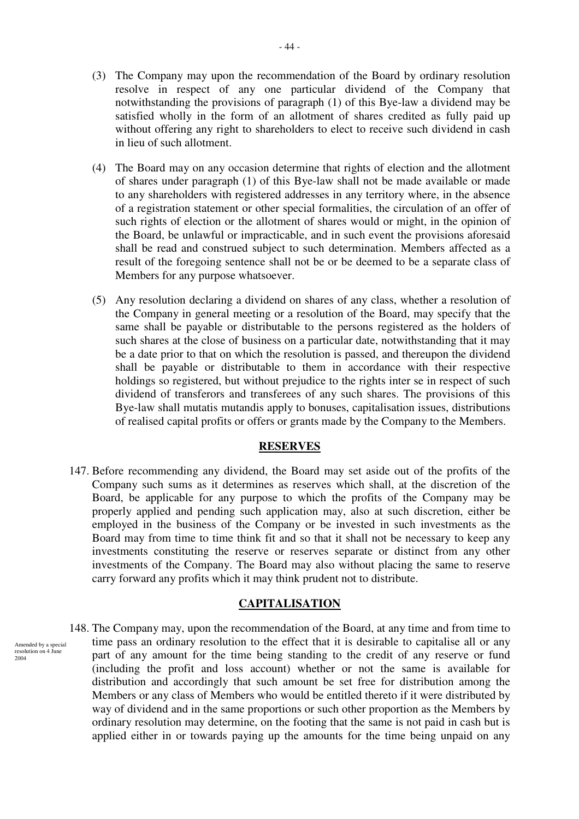- (3) The Company may upon the recommendation of the Board by ordinary resolution resolve in respect of any one particular dividend of the Company that notwithstanding the provisions of paragraph (1) of this Bye-law a dividend may be satisfied wholly in the form of an allotment of shares credited as fully paid up without offering any right to shareholders to elect to receive such dividend in cash in lieu of such allotment.
- (4) The Board may on any occasion determine that rights of election and the allotment of shares under paragraph (1) of this Bye-law shall not be made available or made to any shareholders with registered addresses in any territory where, in the absence of a registration statement or other special formalities, the circulation of an offer of such rights of election or the allotment of shares would or might, in the opinion of the Board, be unlawful or impracticable, and in such event the provisions aforesaid shall be read and construed subject to such determination. Members affected as a result of the foregoing sentence shall not be or be deemed to be a separate class of Members for any purpose whatsoever.
- (5) Any resolution declaring a dividend on shares of any class, whether a resolution of the Company in general meeting or a resolution of the Board, may specify that the same shall be payable or distributable to the persons registered as the holders of such shares at the close of business on a particular date, notwithstanding that it may be a date prior to that on which the resolution is passed, and thereupon the dividend shall be payable or distributable to them in accordance with their respective holdings so registered, but without prejudice to the rights inter se in respect of such dividend of transferors and transferees of any such shares. The provisions of this Bye-law shall mutatis mutandis apply to bonuses, capitalisation issues, distributions of realised capital profits or offers or grants made by the Company to the Members.

#### **RESERVES**

147. Before recommending any dividend, the Board may set aside out of the profits of the Company such sums as it determines as reserves which shall, at the discretion of the Board, be applicable for any purpose to which the profits of the Company may be properly applied and pending such application may, also at such discretion, either be employed in the business of the Company or be invested in such investments as the Board may from time to time think fit and so that it shall not be necessary to keep any investments constituting the reserve or reserves separate or distinct from any other investments of the Company. The Board may also without placing the same to reserve carry forward any profits which it may think prudent not to distribute.

#### **CAPITALISATION**

148. The Company may, upon the recommendation of the Board, at any time and from time to time pass an ordinary resolution to the effect that it is desirable to capitalise all or any part of any amount for the time being standing to the credit of any reserve or fund (including the profit and loss account) whether or not the same is available for distribution and accordingly that such amount be set free for distribution among the Members or any class of Members who would be entitled thereto if it were distributed by way of dividend and in the same proportions or such other proportion as the Members by ordinary resolution may determine, on the footing that the same is not paid in cash but is applied either in or towards paying up the amounts for the time being unpaid on any

Amended by a special resolution on 4 June  $2004$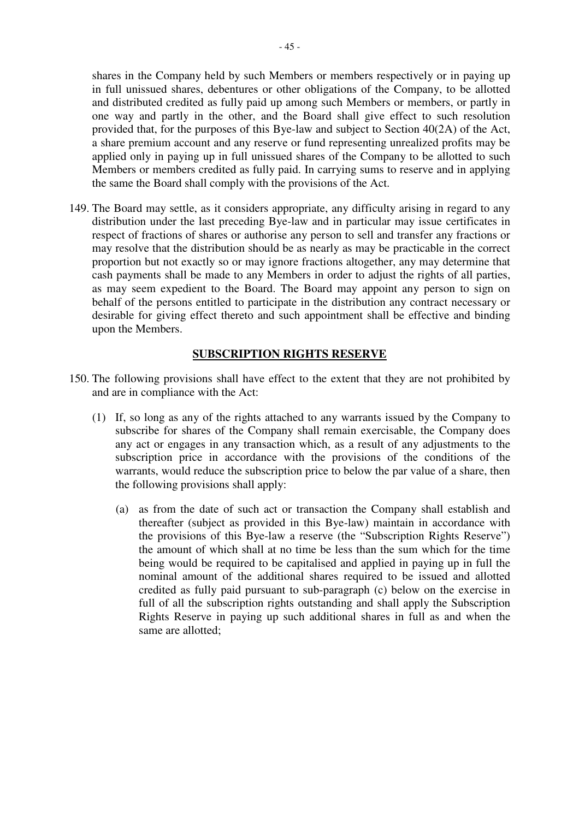shares in the Company held by such Members or members respectively or in paying up in full unissued shares, debentures or other obligations of the Company, to be allotted and distributed credited as fully paid up among such Members or members, or partly in one way and partly in the other, and the Board shall give effect to such resolution provided that, for the purposes of this Bye-law and subject to Section 40(2A) of the Act, a share premium account and any reserve or fund representing unrealized profits may be applied only in paying up in full unissued shares of the Company to be allotted to such Members or members credited as fully paid. In carrying sums to reserve and in applying the same the Board shall comply with the provisions of the Act.

149. The Board may settle, as it considers appropriate, any difficulty arising in regard to any distribution under the last preceding Bye-law and in particular may issue certificates in respect of fractions of shares or authorise any person to sell and transfer any fractions or may resolve that the distribution should be as nearly as may be practicable in the correct proportion but not exactly so or may ignore fractions altogether, any may determine that cash payments shall be made to any Members in order to adjust the rights of all parties, as may seem expedient to the Board. The Board may appoint any person to sign on behalf of the persons entitled to participate in the distribution any contract necessary or desirable for giving effect thereto and such appointment shall be effective and binding upon the Members.

# **SUBSCRIPTION RIGHTS RESERVE**

- 150. The following provisions shall have effect to the extent that they are not prohibited by and are in compliance with the Act:
	- (1) If, so long as any of the rights attached to any warrants issued by the Company to subscribe for shares of the Company shall remain exercisable, the Company does any act or engages in any transaction which, as a result of any adjustments to the subscription price in accordance with the provisions of the conditions of the warrants, would reduce the subscription price to below the par value of a share, then the following provisions shall apply:
		- (a) as from the date of such act or transaction the Company shall establish and thereafter (subject as provided in this Bye-law) maintain in accordance with the provisions of this Bye-law a reserve (the "Subscription Rights Reserve") the amount of which shall at no time be less than the sum which for the time being would be required to be capitalised and applied in paying up in full the nominal amount of the additional shares required to be issued and allotted credited as fully paid pursuant to sub-paragraph (c) below on the exercise in full of all the subscription rights outstanding and shall apply the Subscription Rights Reserve in paying up such additional shares in full as and when the same are allotted;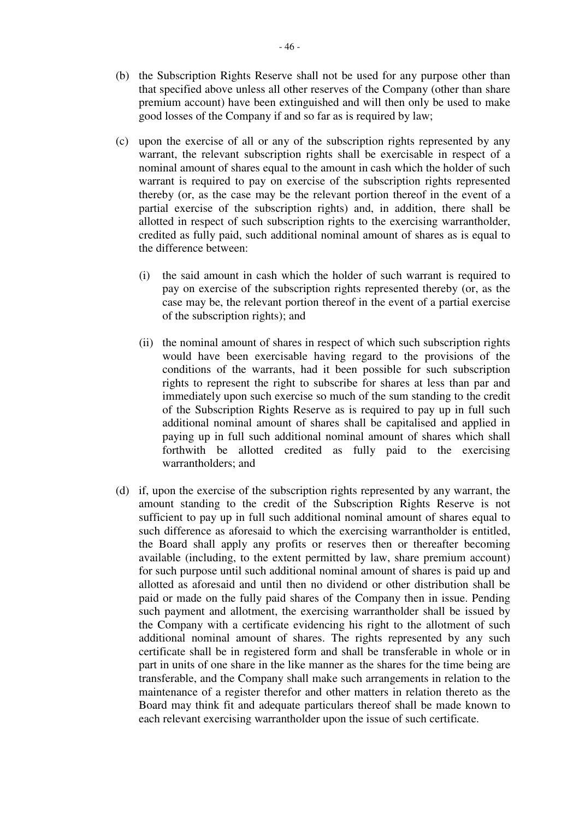- (b) the Subscription Rights Reserve shall not be used for any purpose other than that specified above unless all other reserves of the Company (other than share premium account) have been extinguished and will then only be used to make good losses of the Company if and so far as is required by law;
- (c) upon the exercise of all or any of the subscription rights represented by any warrant, the relevant subscription rights shall be exercisable in respect of a nominal amount of shares equal to the amount in cash which the holder of such warrant is required to pay on exercise of the subscription rights represented thereby (or, as the case may be the relevant portion thereof in the event of a partial exercise of the subscription rights) and, in addition, there shall be allotted in respect of such subscription rights to the exercising warrantholder, credited as fully paid, such additional nominal amount of shares as is equal to the difference between:
	- (i) the said amount in cash which the holder of such warrant is required to pay on exercise of the subscription rights represented thereby (or, as the case may be, the relevant portion thereof in the event of a partial exercise of the subscription rights); and
	- (ii) the nominal amount of shares in respect of which such subscription rights would have been exercisable having regard to the provisions of the conditions of the warrants, had it been possible for such subscription rights to represent the right to subscribe for shares at less than par and immediately upon such exercise so much of the sum standing to the credit of the Subscription Rights Reserve as is required to pay up in full such additional nominal amount of shares shall be capitalised and applied in paying up in full such additional nominal amount of shares which shall forthwith be allotted credited as fully paid to the exercising warrantholders; and
- (d) if, upon the exercise of the subscription rights represented by any warrant, the amount standing to the credit of the Subscription Rights Reserve is not sufficient to pay up in full such additional nominal amount of shares equal to such difference as aforesaid to which the exercising warrantholder is entitled, the Board shall apply any profits or reserves then or thereafter becoming available (including, to the extent permitted by law, share premium account) for such purpose until such additional nominal amount of shares is paid up and allotted as aforesaid and until then no dividend or other distribution shall be paid or made on the fully paid shares of the Company then in issue. Pending such payment and allotment, the exercising warrantholder shall be issued by the Company with a certificate evidencing his right to the allotment of such additional nominal amount of shares. The rights represented by any such certificate shall be in registered form and shall be transferable in whole or in part in units of one share in the like manner as the shares for the time being are transferable, and the Company shall make such arrangements in relation to the maintenance of a register therefor and other matters in relation thereto as the Board may think fit and adequate particulars thereof shall be made known to each relevant exercising warrantholder upon the issue of such certificate.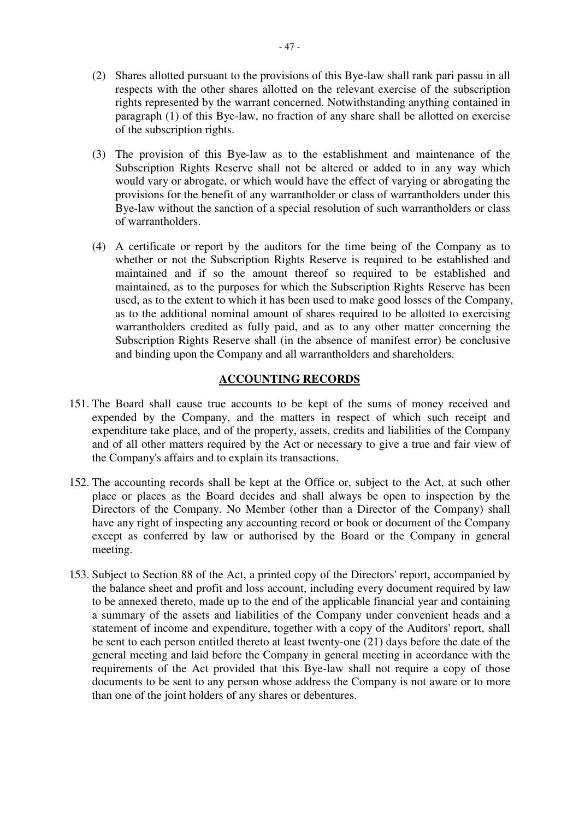- (2) Shares allotted pursuant to the provisions of this Bye-law shall rank pari passu in all respects with the other shares allotted on the relevant exercise of the subscription rights represented by the warrant concerned. Notwithstanding anything contained in paragraph (1) of this Bye-law, no fraction of any share shall be allotted on exercise of the subscription rights.
- (3) The provision of this Bye-law as to the establishment and maintenance of the Subscription Rights Reserve shall not be altered or added to in any way which would vary or abrogate, or which would have the effect of varying or abrogating the provisions for the benefit of any warrantholder or class of warrantholders under this Bye-law without the sanction of a special resolution of such warrantholders or class of warrantholders.
- (4) A certificate or report by the auditors for the time being of the Company as to whether or not the Subscription Rights Reserve is required to be established and maintained and if so the amount thereof so required to be established and maintained, as to the purposes for which the Subscription Rights Reserve has been used, as to the extent to which it has been used to make good losses of the Company, as to the additional nominal amount of shares required to be allotted to exercising warrantholders credited as fully paid, and as to any other matter concerning the Subscription Rights Reserve shall (in the absence of manifest error) be conclusive and binding upon the Company and all warrantholders and shareholders.

# **ACCOUNTING RECORDS**

- 151. The Board shall cause true accounts to be kept of the sums of money received and expended by the Company, and the matters in respect of which such receipt and expenditure take place, and of the property, assets, credits and liabilities of the Company and of all other matters required by the Act or necessary to give a true and fair view of the Company's affairs and to explain its transactions.
- 152. The accounting records shall be kept at the Office or, subject to the Act, at such other place or places as the Board decides and shall always be open to inspection by the Directors of the Company. No Member (other than a Director of the Company) shall have any right of inspecting any accounting record or book or document of the Company except as conferred by law or authorised by the Board or the Company in general meeting.
- 153. Subject to Section 88 of the Act, a printed copy of the Directors' report, accompanied by the balance sheet and profit and loss account, including every document required by law to be annexed thereto, made up to the end of the applicable financial year and containing a summary of the assets and liabilities of the Company under convenient heads and a statement of income and expenditure, together with a copy of the Auditors' report, shall be sent to each person entitled thereto at least twenty-one (21) days before the date of the general meeting and laid before the Company in general meeting in accordance with the requirements of the Act provided that this Bye-law shall not require a copy of those documents to be sent to any person whose address the Company is not aware or to more than one of the joint holders of any shares or debentures.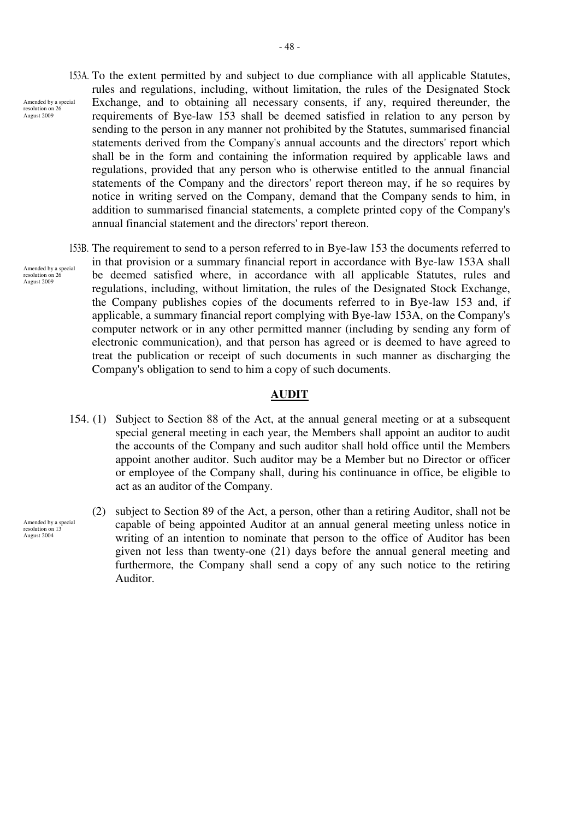- 153A. To the extent permitted by and subject to due compliance with all applicable Statutes, rules and regulations, including, without limitation, the rules of the Designated Stock Exchange, and to obtaining all necessary consents, if any, required thereunder, the requirements of Bye-law 153 shall be deemed satisfied in relation to any person by sending to the person in any manner not prohibited by the Statutes, summarised financial statements derived from the Company's annual accounts and the directors' report which shall be in the form and containing the information required by applicable laws and regulations, provided that any person who is otherwise entitled to the annual financial statements of the Company and the directors' report thereon may, if he so requires by notice in writing served on the Company, demand that the Company sends to him, in addition to summarised financial statements, a complete printed copy of the Company's annual financial statement and the directors' report thereon. Amended by a special
	- 153B. The requirement to send to a person referred to in Bye-law 153 the documents referred to in that provision or a summary financial report in accordance with Bye-law 153A shall be deemed satisfied where, in accordance with all applicable Statutes, rules and regulations, including, without limitation, the rules of the Designated Stock Exchange, the Company publishes copies of the documents referred to in Bye-law 153 and, if applicable, a summary financial report complying with Bye-law 153A, on the Company's computer network or in any other permitted manner (including by sending any form of electronic communication), and that person has agreed or is deemed to have agreed to treat the publication or receipt of such documents in such manner as discharging the Company's obligation to send to him a copy of such documents.

# **AUDIT**

- 154. (1) Subject to Section 88 of the Act, at the annual general meeting or at a subsequent special general meeting in each year, the Members shall appoint an auditor to audit the accounts of the Company and such auditor shall hold office until the Members appoint another auditor. Such auditor may be a Member but no Director or officer or employee of the Company shall, during his continuance in office, be eligible to act as an auditor of the Company.
	- (2) subject to Section 89 of the Act, a person, other than a retiring Auditor, shall not be capable of being appointed Auditor at an annual general meeting unless notice in writing of an intention to nominate that person to the office of Auditor has been given not less than twenty-one (21) days before the annual general meeting and furthermore, the Company shall send a copy of any such notice to the retiring Auditor.

Amended by a special resolution on  $26$ August 2009

resolution on 26 August 2009

Amended by a special resolution on 13 August 2004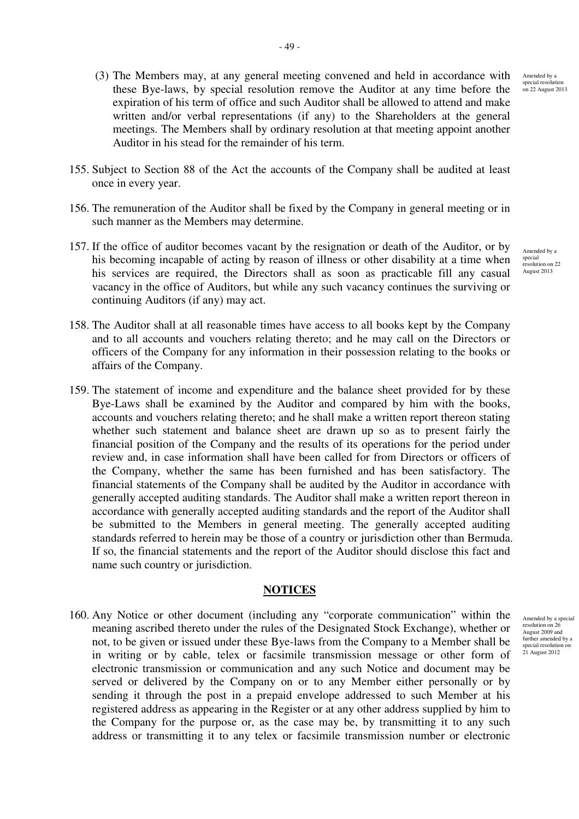Amended by a

special resolution on 22 August 2013

- (3) The Members may, at any general meeting convened and held in accordance with these Bye-laws, by special resolution remove the Auditor at any time before the expiration of his term of office and such Auditor shall be allowed to attend and make written and/or verbal representations (if any) to the Shareholders at the general meetings. The Members shall by ordinary resolution at that meeting appoint another Auditor in his stead for the remainder of his term.
- 155. Subject to Section 88 of the Act the accounts of the Company shall be audited at least once in every year.
- 156. The remuneration of the Auditor shall be fixed by the Company in general meeting or in such manner as the Members may determine.
- 157. If the office of auditor becomes vacant by the resignation or death of the Auditor, or by his becoming incapable of acting by reason of illness or other disability at a time when his services are required, the Directors shall as soon as practicable fill any casual vacancy in the office of Auditors, but while any such vacancy continues the surviving or continuing Auditors (if any) may act.
- 158. The Auditor shall at all reasonable times have access to all books kept by the Company and to all accounts and vouchers relating thereto; and he may call on the Directors or officers of the Company for any information in their possession relating to the books or affairs of the Company.
- 159. The statement of income and expenditure and the balance sheet provided for by these Bye-Laws shall be examined by the Auditor and compared by him with the books, accounts and vouchers relating thereto; and he shall make a written report thereon stating whether such statement and balance sheet are drawn up so as to present fairly the financial position of the Company and the results of its operations for the period under review and, in case information shall have been called for from Directors or officers of the Company, whether the same has been furnished and has been satisfactory. The financial statements of the Company shall be audited by the Auditor in accordance with generally accepted auditing standards. The Auditor shall make a written report thereon in accordance with generally accepted auditing standards and the report of the Auditor shall be submitted to the Members in general meeting. The generally accepted auditing standards referred to herein may be those of a country or jurisdiction other than Bermuda. If so, the financial statements and the report of the Auditor should disclose this fact and name such country or jurisdiction.

## **NOTICES**

160. Any Notice or other document (including any "corporate communication" within the meaning ascribed thereto under the rules of the Designated Stock Exchange), whether or not, to be given or issued under these Bye-laws from the Company to a Member shall be in writing or by cable, telex or facsimile transmission message or other form of electronic transmission or communication and any such Notice and document may be served or delivered by the Company on or to any Member either personally or by sending it through the post in a prepaid envelope addressed to such Member at his registered address as appearing in the Register or at any other address supplied by him to the Company for the purpose or, as the case may be, by transmitting it to any such address or transmitting it to any telex or facsimile transmission number or electronic

Amended by a special resolution on 22 August 2013

Amended by a special resolution on 26 August 2009 and further amended by a special resolution on 21 August 2012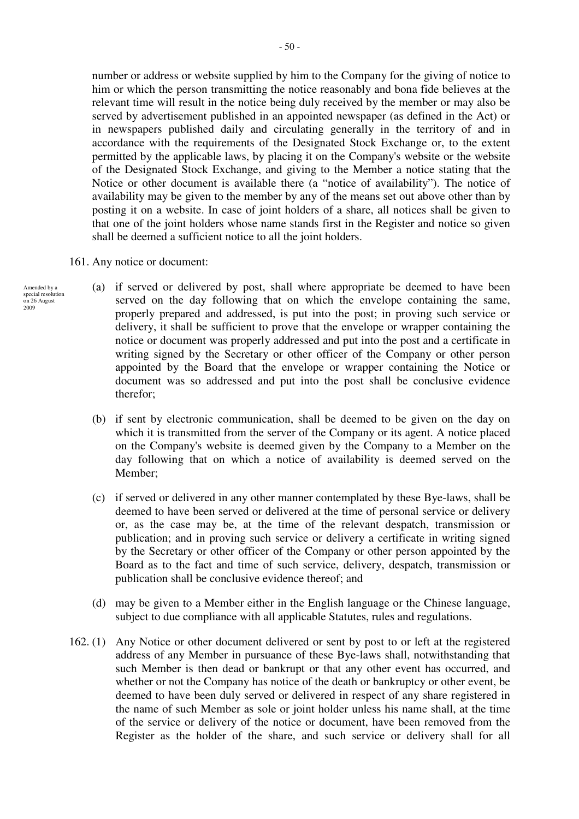number or address or website supplied by him to the Company for the giving of notice to him or which the person transmitting the notice reasonably and bona fide believes at the relevant time will result in the notice being duly received by the member or may also be served by advertisement published in an appointed newspaper (as defined in the Act) or in newspapers published daily and circulating generally in the territory of and in accordance with the requirements of the Designated Stock Exchange or, to the extent permitted by the applicable laws, by placing it on the Company's website or the website of the Designated Stock Exchange, and giving to the Member a notice stating that the Notice or other document is available there (a "notice of availability"). The notice of availability may be given to the member by any of the means set out above other than by posting it on a website. In case of joint holders of a share, all notices shall be given to that one of the joint holders whose name stands first in the Register and notice so given shall be deemed a sufficient notice to all the joint holders.

- 161. Any notice or document:
- (a) if served or delivered by post, shall where appropriate be deemed to have been served on the day following that on which the envelope containing the same, properly prepared and addressed, is put into the post; in proving such service or delivery, it shall be sufficient to prove that the envelope or wrapper containing the notice or document was properly addressed and put into the post and a certificate in writing signed by the Secretary or other officer of the Company or other person appointed by the Board that the envelope or wrapper containing the Notice or document was so addressed and put into the post shall be conclusive evidence therefor;
	- (b) if sent by electronic communication, shall be deemed to be given on the day on which it is transmitted from the server of the Company or its agent. A notice placed on the Company's website is deemed given by the Company to a Member on the day following that on which a notice of availability is deemed served on the Member;
	- (c) if served or delivered in any other manner contemplated by these Bye-laws, shall be deemed to have been served or delivered at the time of personal service or delivery or, as the case may be, at the time of the relevant despatch, transmission or publication; and in proving such service or delivery a certificate in writing signed by the Secretary or other officer of the Company or other person appointed by the Board as to the fact and time of such service, delivery, despatch, transmission or publication shall be conclusive evidence thereof; and
	- (d) may be given to a Member either in the English language or the Chinese language, subject to due compliance with all applicable Statutes, rules and regulations.
	- 162. (1) Any Notice or other document delivered or sent by post to or left at the registered address of any Member in pursuance of these Bye-laws shall, notwithstanding that such Member is then dead or bankrupt or that any other event has occurred, and whether or not the Company has notice of the death or bankruptcy or other event, be deemed to have been duly served or delivered in respect of any share registered in the name of such Member as sole or joint holder unless his name shall, at the time of the service or delivery of the notice or document, have been removed from the Register as the holder of the share, and such service or delivery shall for all

Amended by a special resolution on 26 August

2009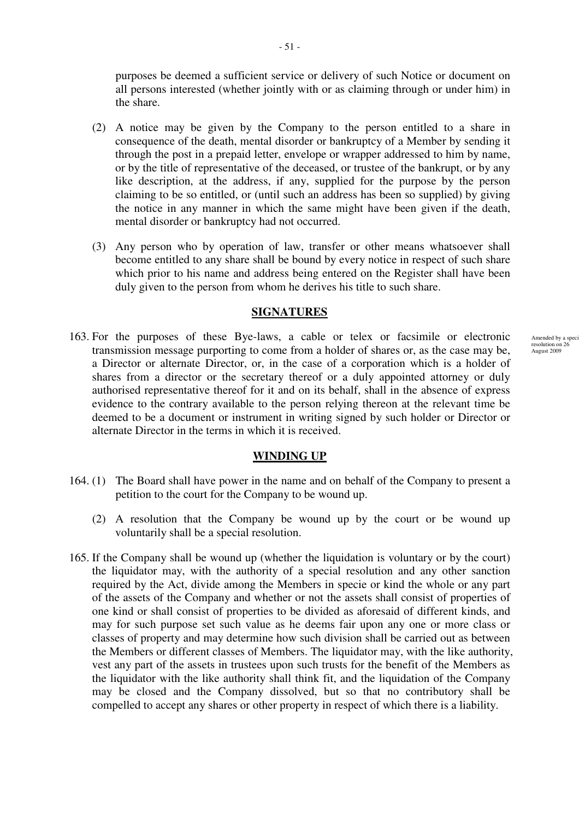purposes be deemed a sufficient service or delivery of such Notice or document on all persons interested (whether jointly with or as claiming through or under him) in the share.

- (2) A notice may be given by the Company to the person entitled to a share in consequence of the death, mental disorder or bankruptcy of a Member by sending it through the post in a prepaid letter, envelope or wrapper addressed to him by name, or by the title of representative of the deceased, or trustee of the bankrupt, or by any like description, at the address, if any, supplied for the purpose by the person claiming to be so entitled, or (until such an address has been so supplied) by giving the notice in any manner in which the same might have been given if the death, mental disorder or bankruptcy had not occurred.
- (3) Any person who by operation of law, transfer or other means whatsoever shall become entitled to any share shall be bound by every notice in respect of such share which prior to his name and address being entered on the Register shall have been duly given to the person from whom he derives his title to such share.

### **SIGNATURES**

163. For the purposes of these Bye-laws, a cable or telex or facsimile or electronic transmission message purporting to come from a holder of shares or, as the case may be, a Director or alternate Director, or, in the case of a corporation which is a holder of shares from a director or the secretary thereof or a duly appointed attorney or duly authorised representative thereof for it and on its behalf, shall in the absence of express evidence to the contrary available to the person relying thereon at the relevant time be deemed to be a document or instrument in writing signed by such holder or Director or alternate Director in the terms in which it is received.

## **WINDING UP**

- 164. (1) The Board shall have power in the name and on behalf of the Company to present a petition to the court for the Company to be wound up.
	- (2) A resolution that the Company be wound up by the court or be wound up voluntarily shall be a special resolution.
- 165. If the Company shall be wound up (whether the liquidation is voluntary or by the court) the liquidator may, with the authority of a special resolution and any other sanction required by the Act, divide among the Members in specie or kind the whole or any part of the assets of the Company and whether or not the assets shall consist of properties of one kind or shall consist of properties to be divided as aforesaid of different kinds, and may for such purpose set such value as he deems fair upon any one or more class or classes of property and may determine how such division shall be carried out as between the Members or different classes of Members. The liquidator may, with the like authority, vest any part of the assets in trustees upon such trusts for the benefit of the Members as the liquidator with the like authority shall think fit, and the liquidation of the Company may be closed and the Company dissolved, but so that no contributory shall be compelled to accept any shares or other property in respect of which there is a liability.

Amended by a speci<br>resolution on 26 August 2009